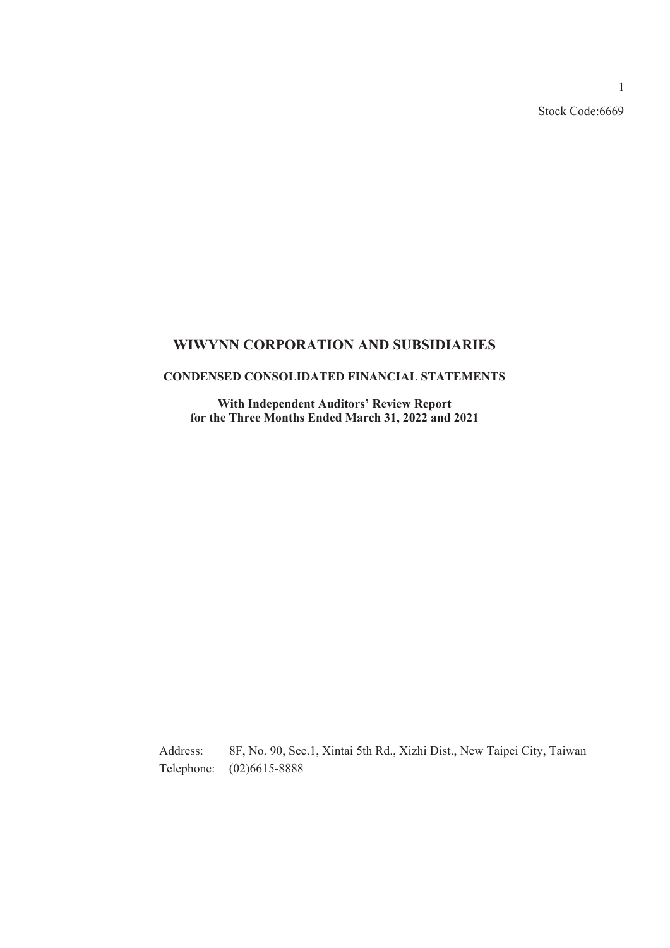Stock Code:6669

### **WIWYNN CORPORATION AND SUBSIDIARIES**

### **CONDENSED CONSOLIDATED FINANCIAL STATEMENTS**

**With Independent Auditors' Review Report for the Three Months Ended March 31, 2022 and 2021**

Address: 8F, No. 90, Sec.1, Xintai 5th Rd., Xizhi Dist., New Taipei City, Taiwan Telephone: (02)6615-8888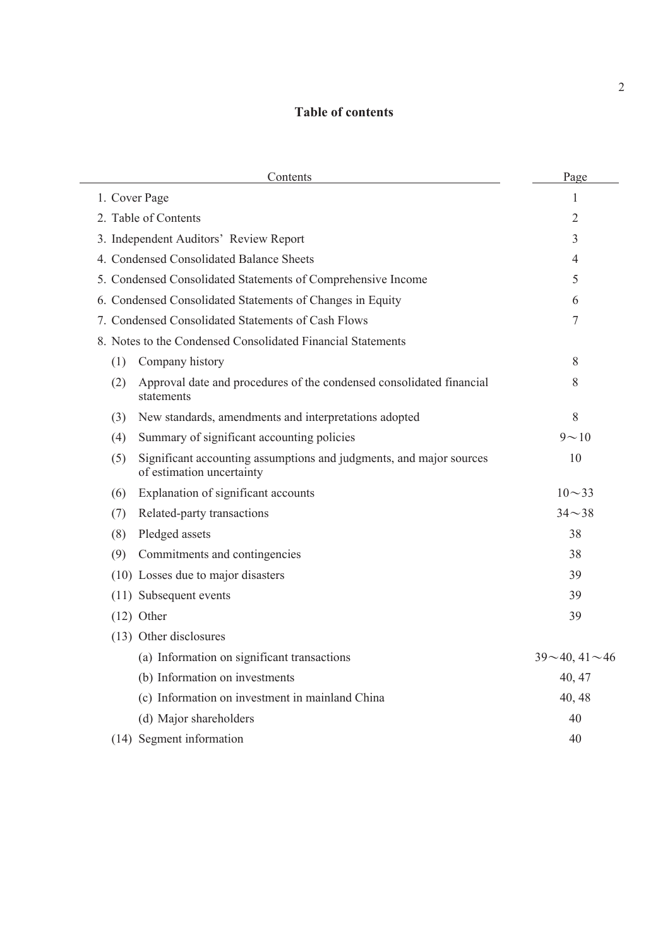## **Table of contents**

| Contents                                                                                                | Page               |
|---------------------------------------------------------------------------------------------------------|--------------------|
| 1. Cover Page                                                                                           | $\mathbf{1}$       |
| 2. Table of Contents                                                                                    | 2                  |
| 3. Independent Auditors' Review Report                                                                  | 3                  |
| 4. Condensed Consolidated Balance Sheets                                                                | 4                  |
| 5. Condensed Consolidated Statements of Comprehensive Income                                            | 5                  |
| 6. Condensed Consolidated Statements of Changes in Equity                                               | 6                  |
| 7. Condensed Consolidated Statements of Cash Flows                                                      | 7                  |
| 8. Notes to the Condensed Consolidated Financial Statements                                             |                    |
| Company history<br>(1)                                                                                  | 8                  |
| Approval date and procedures of the condensed consolidated financial<br>(2)<br>statements               | 8                  |
| New standards, amendments and interpretations adopted<br>(3)                                            | 8                  |
| Summary of significant accounting policies<br>(4)                                                       | $9 - 10$           |
| Significant accounting assumptions and judgments, and major sources<br>(5)<br>of estimation uncertainty | 10                 |
| Explanation of significant accounts<br>(6)                                                              | $10 - 33$          |
| Related-party transactions<br>(7)                                                                       | $34 - 38$          |
| Pledged assets<br>(8)                                                                                   | 38                 |
| Commitments and contingencies<br>(9)                                                                    | 38                 |
| (10) Losses due to major disasters                                                                      | 39                 |
| (11) Subsequent events                                                                                  | 39                 |
| $(12)$ Other                                                                                            | 39                 |
| (13) Other disclosures                                                                                  |                    |
| (a) Information on significant transactions                                                             | $39 - 40, 41 - 46$ |
| (b) Information on investments                                                                          | 40, 47             |
| (c) Information on investment in mainland China                                                         | 40, 48             |
| (d) Major shareholders                                                                                  | 40                 |
| (14) Segment information                                                                                | 40                 |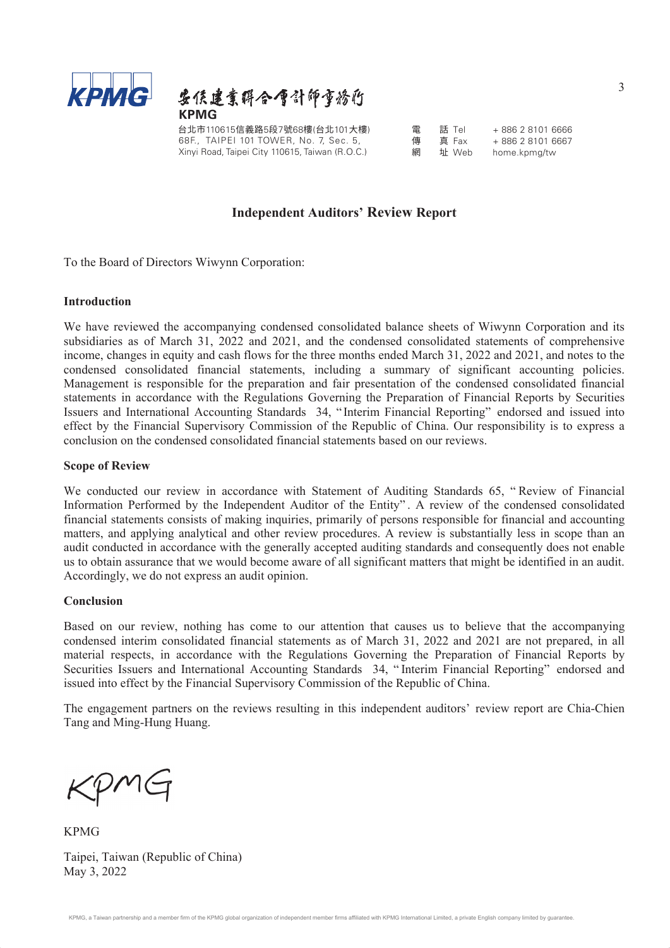



台北市110615信義路5段7號68樓(台北101大樓) 電 話 Tel + 886 2 8101 6666<br>68F., TAIPEI 101 TOWER, No. 7, Sec. 5, 傳 真 Fax + 886 2 8101 6667 68F., TAIPEI 101 TOWER, No. 7, Sec. 5, Xinyi Road, Taipei City 110615, Taiwan (R.O.C.)

傳 真 Fax + 886 2 8101 6667<br>網 址 Web home.kpmg/tw

home.kpmg/tw

### **Independent Auditors' Review Report**

To the Board of Directors Wiwynn Corporation:

#### **Introduction**

We have reviewed the accompanying condensed consolidated balance sheets of Wiwynn Corporation and its subsidiaries as of March 31, 2022 and 2021, and the condensed consolidated statements of comprehensive income, changes in equity and cash flows for the three months ended March 31, 2022 and 2021, and notes to the condensed consolidated financial statements, including a summary of significant accounting policies. Management is responsible for the preparation and fair presentation of the condensed consolidated financial statements in accordance with the Regulations Governing the Preparation of Financial Reports by Securities Issuers and International Accounting Standards 34, " Interim Financial Reporting" endorsed and issued into effect by the Financial Supervisory Commission of the Republic of China. Our responsibility is to express a conclusion on the condensed consolidated financial statements based on our reviews.

#### **Scope of Review**

We conducted our review in accordance with Statement of Auditing Standards 65, " Review of Financial Information Performed by the Independent Auditor of the Entity" . A review of the condensed consolidated financial statements consists of making inquiries, primarily of persons responsible for financial and accounting matters, and applying analytical and other review procedures. A review is substantially less in scope than an audit conducted in accordance with the generally accepted auditing standards and consequently does not enable us to obtain assurance that we would become aware of all significant matters that might be identified in an audit. Accordingly, we do not express an audit opinion.

#### **Conclusion**

Based on our review, nothing has come to our attention that causes us to believe that the accompanying condensed interim consolidated financial statements as of March 31, 2022 and 2021 are not prepared, in all material respects, in accordance with the Regulations Governing the Preparation of Financial Reports by Securities Issuers and International Accounting Standards 34, " Interim Financial Reporting" endorsed and issued into effect by the Financial Supervisory Commission of the Republic of China.

The engagement partners on the reviews resulting in this independent auditors' review report are Chia-Chien Tang and Ming-Hung Huang.

KPMG

KPMG Taipei, Taiwan (Republic of China) May 3, 2022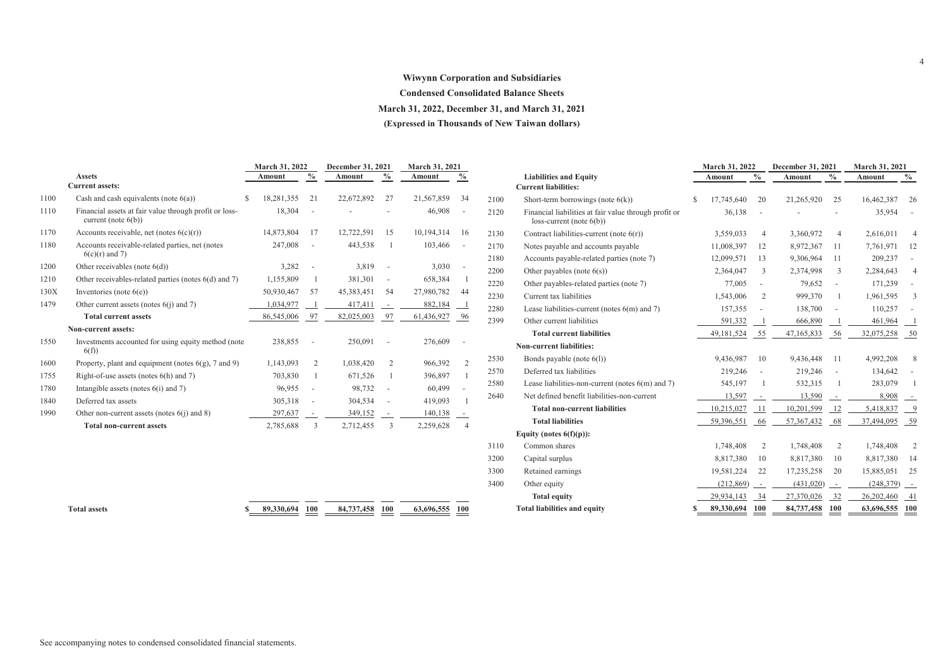#### **Wiwynn Corporation and Subsidiaries**

**Condensed Consolidated Balance Sheets**

**March 31, 2022, December 31, and March 31, 2021**

**(Expressed in Thousands of New Taiwan dollars)**

|      |                                                                                  |     | March 31, 2022 |                          | December 31, 2021 |                          | March 31, 2021 |                          |
|------|----------------------------------------------------------------------------------|-----|----------------|--------------------------|-------------------|--------------------------|----------------|--------------------------|
|      | <b>Assets</b>                                                                    |     | Amount         | $\%$                     | Amount            | $\%$                     | Amount         | $\%$                     |
|      | <b>Current assets:</b>                                                           |     |                |                          |                   |                          |                |                          |
| 1100 | Cash and cash equivalents (note $6(a)$ )                                         | \$. | 18,281,355     | 21                       | 22,672,892        | 27                       | 21,567,859     | 34                       |
| 1110 | Financial assets at fair value through profit or loss-<br>current (note $6(b)$ ) |     | 18,304         | ÷,                       |                   |                          | 46,908         | ÷                        |
| 1170 | Accounts receivable, net (notes $6(c)(r)$ )                                      |     | 14,873,804     | 17                       | 12,722,591        | 15                       | 10,194,314     | 16                       |
| 1180 | Accounts receivable-related parties, net (notes<br>$6(c)(r)$ and 7)              |     | 247,008        | ÷,                       | 443,538           | -1                       | 103,466        | $\frac{1}{2}$            |
| 1200 | Other receivables (note $6(d)$ )                                                 |     | 3,282          |                          | 3,819             |                          | 3,030          |                          |
| 1210 | Other receivables-related parties (notes 6(d) and 7)                             |     | 1,155,809      | 1                        | 381,301           | $\blacksquare$           | 658,384        | $\overline{1}$           |
| 130X | Inventories (note $6(e)$ )                                                       |     | 50,930,467     | 57                       | 45,383,451        | 54                       | 27,980,782     | 44                       |
| 1479 | Other current assets (notes $6(j)$ and 7)                                        |     | 1,034,977      | - 1                      | 417,411           | $\overline{\phantom{a}}$ | 882,184        | $\overline{\phantom{0}}$ |
|      | <b>Total current assets</b>                                                      |     | 86,545,006     | - 97                     | 82,025,003        | 97                       | 61,436,927     | - 96                     |
|      | Non-current assets:                                                              |     |                |                          |                   |                          |                |                          |
| 1550 | Investments accounted for using equity method (note<br>6(f)                      |     | 238,855        |                          | 250,091           |                          | 276,609        |                          |
| 1600 | Property, plant and equipment (notes $6(g)$ , 7 and 9)                           |     | 1,143,093      | 2                        | 1,038,420         | 2                        | 966,392        | 2                        |
| 1755 | Right-of-use assets (notes $6(h)$ and 7)                                         |     | 703,830        | 1                        | 671,526           | 1                        | 396,897        | 1                        |
| 1780 | Intangible assets (notes $6(i)$ and 7)                                           |     | 96,955         | ÷,                       | 98,732            | $\overline{\phantom{a}}$ | 60,499         | $\blacksquare$           |
| 1840 | Deferred tax assets                                                              |     | 305,318        | ÷,                       | 304,534           |                          | 419,093        | 1                        |
| 1990 | Other non-current assets (notes $6(i)$ ) and 8)                                  |     | 297,637        | $\overline{\phantom{a}}$ | 349,152           | $\blacksquare$           | 140,138        | $\sim$                   |
|      | <b>Total non-current assets</b>                                                  |     | 2,785,688      | 3                        | 2,712,455         | 3                        | 2,259,628      | $\overline{4}$           |

|      |                                                                                     |   | <b>March 31, 2022</b> |                          | December 31, 2021 | <b>March 31, 2021</b>         |               |                          |
|------|-------------------------------------------------------------------------------------|---|-----------------------|--------------------------|-------------------|-------------------------------|---------------|--------------------------|
|      | <b>Liabilities and Equity</b>                                                       |   | <b>Amount</b>         | $\frac{0}{0}$            | Amount            | $\frac{0}{0}$                 | <b>Amount</b> | $\%$                     |
|      | <b>Current liabilities:</b>                                                         |   |                       |                          |                   |                               |               |                          |
| 2100 | Short-term borrowings (note $6(k)$ )                                                | S | 17,745,640            | 20                       | 21,265,920        | 25                            | 16,462,387    | 26                       |
| 2120 | Financial liabilities at fair value through profit or<br>$loss-current (note 6(b))$ |   | 36,138                |                          |                   |                               | 35,954        |                          |
| 2130 | Contract liabilities-current (note $6(r)$ )                                         |   | 3,559,033             | 4                        | 3,360,972         | $\overline{4}$                | 2,616,011     | $\overline{4}$           |
| 2170 | Notes payable and accounts payable                                                  |   | 11,008,397            | 12                       | 8,972,367         | 11                            | 7,761,971     | 12                       |
| 2180 | Accounts payable-related parties (note 7)                                           |   | 12,099,571            | 13                       | 9,306,964         | 11                            | 209,237       |                          |
| 2200 | Other payables (note $6(s)$ )                                                       |   | 2,364,047             | 3                        | 2,374,998         | 3                             | 2,284,643     | $\overline{4}$           |
| 2220 | Other payables-related parties (note 7)                                             |   | 77,005                | L,                       | 79,652            |                               | 171,239       |                          |
| 2230 | Current tax liabilities                                                             |   | 1,543,006             | $\overline{2}$           | 999,370           | 1                             | 1,961,595     | 3                        |
| 2280 | Lease liabilities-current (notes $6(m)$ and 7)                                      |   | 157,355               | ÷,                       | 138,700           |                               | 110,257       |                          |
| 2399 | Other current liabilities                                                           |   | 591,332               | -1                       | 666,890           |                               | 461,964       | - 1                      |
|      | <b>Total current liabilities</b>                                                    |   | 49,181,524            | - 55                     | 47,165,833        | - 56                          | 32,075,258    | - 50                     |
|      | <b>Non-current liabilities:</b>                                                     |   |                       |                          |                   |                               |               |                          |
| 2530 | Bonds payable (note $6(1)$ )                                                        |   | 9,436,987             | 10                       | 9,436,448         | 11                            | 4,992,208     | 8                        |
| 2570 | Deferred tax liabilities                                                            |   | 219,246               |                          | 219,246           | $\overline{a}$                | 134,642       |                          |
| 2580 | Lease liabilities-non-current (notes $6(m)$ and 7)                                  |   | 545,197               | 1                        | 532,315           | 1                             | 283,079       | $\mathbf{1}$             |
| 2640 | Net defined benefit liabilities-non-current                                         |   | 13,597                |                          | 13,590            |                               | 8,908         | $\overline{\phantom{a}}$ |
|      | <b>Total non-current liabilities</b>                                                |   | 10,215,027            | 11                       | 10,201,599        | 12                            | 5,418,837     | - 9                      |
|      | <b>Total liabilities</b>                                                            |   | 59,396,551            | 66                       | 57,367,432        | - 68                          | 37,494,095    | 59                       |
|      | Equity (notes $6(f)(p)$ ):                                                          |   |                       |                          |                   |                               |               |                          |
| 3110 | Common shares                                                                       |   | 1,748,408             | $\overline{2}$           | 1,748,408         | 2                             | 1,748,408     | $\overline{2}$           |
| 3200 | Capital surplus                                                                     |   | 8,817,380             | 10                       | 8,817,380         | 10                            | 8,817,380     | 14                       |
| 3300 | Retained earnings                                                                   |   | 19,581,224            | 22                       | 17,235,258        | 20                            | 15,885,051    | 25                       |
| 3400 | Other equity                                                                        |   | (212, 869)            | $\overline{\phantom{a}}$ | (431, 020)        | $\overline{\phantom{a}}$      | (248, 379)    | $\sim$                   |
|      | <b>Total equity</b>                                                                 |   | 29,934,143            | 34                       | 27,370,026        | 32                            | 26,202,460    | 41                       |
|      | <b>Total liabilities and equity</b>                                                 |   | 89,330,694            | 100                      | 84,737,458        | $\underline{\underline{100}}$ | 63,696,555    | $\frac{100}{1}$          |

**Total assets \$ 89,330,694 100 84,737,458 100 63,696,555 100**

4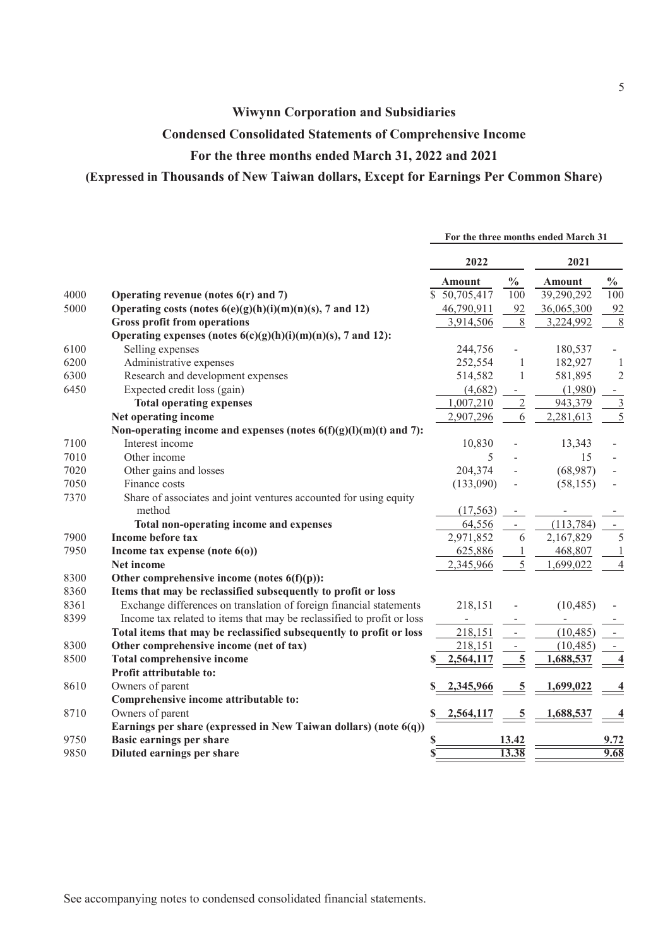### **Wiwynn Corporation and Subsidiaries**

### **Condensed Consolidated Statements of Comprehensive Income**

### **For the three months ended March 31, 2022 and 2021**

### **(Expressed in Thousands of New Taiwan dollars, Except for Earnings Per Common Share)**

|      |                                                                        | For the three months ended March 31 |                          |               |                |
|------|------------------------------------------------------------------------|-------------------------------------|--------------------------|---------------|----------------|
|      |                                                                        | 2022                                |                          | 2021          |                |
|      |                                                                        | <b>Amount</b>                       | $\frac{0}{0}$            | <b>Amount</b> | $\frac{0}{0}$  |
| 4000 | Operating revenue (notes $6(r)$ and 7)                                 | \$50,705,417                        | 100                      | 39,290,292    | 100            |
| 5000 | Operating costs (notes $6(e)(g)(h)(i)(m)(n)(s)$ , 7 and 12)            | 46,790,911                          | 92                       | 36,065,300    | 92             |
|      | <b>Gross profit from operations</b>                                    | 3,914,506                           | 8                        | 3,224,992     | 8              |
|      | Operating expenses (notes $6(c)(g)(h)(i)(m)(n)(s)$ , 7 and 12):        |                                     |                          |               |                |
| 6100 | Selling expenses                                                       | 244,756                             |                          | 180,537       |                |
| 6200 | Administrative expenses                                                | 252,554                             | $\mathbf{1}$             | 182,927       | 1              |
| 6300 | Research and development expenses                                      | 514,582                             | 1                        | 581,895       | $\overline{c}$ |
| 6450 | Expected credit loss (gain)                                            | (4,682)                             | $\sim$                   | (1,980)       |                |
|      | <b>Total operating expenses</b>                                        | 1,007,210                           | $\overline{2}$           | 943,379       | 3              |
|      | Net operating income                                                   | 2,907,296                           | 6                        | 2,281,613     | 5              |
|      | Non-operating income and expenses (notes $6(f)(g)(l)(m)(t)$ and 7):    |                                     |                          |               |                |
| 7100 | Interest income                                                        | 10,830                              |                          | 13,343        |                |
| 7010 | Other income                                                           | 5                                   |                          | 15            |                |
| 7020 | Other gains and losses                                                 | 204,374                             |                          | (68,987)      |                |
| 7050 | Finance costs                                                          | (133,090)                           |                          | (58, 155)     |                |
| 7370 | Share of associates and joint ventures accounted for using equity      |                                     |                          |               |                |
|      | method                                                                 | (17, 563)                           |                          |               |                |
|      | Total non-operating income and expenses                                | 64,556                              | $\overline{a}$           | (113, 784)    |                |
| 7900 | Income before tax                                                      | 2,971,852                           | 6                        | 2,167,829     | 5              |
| 7950 | Income tax expense (note $6(0)$ )                                      | 625,886                             |                          | 468,807       |                |
|      | Net income                                                             | 2,345,966                           | 5                        | 1,699,022     | $\overline{4}$ |
| 8300 | Other comprehensive income (notes $6(f)(p)$ ):                         |                                     |                          |               |                |
| 8360 | Items that may be reclassified subsequently to profit or loss          |                                     |                          |               |                |
| 8361 | Exchange differences on translation of foreign financial statements    | 218,151                             |                          | (10, 485)     |                |
| 8399 | Income tax related to items that may be reclassified to profit or loss |                                     |                          |               |                |
|      | Total items that may be reclassified subsequently to profit or loss    | 218,151                             | $\overline{\phantom{a}}$ | (10, 485)     |                |
| 8300 | Other comprehensive income (net of tax)                                | 218,151                             |                          | (10, 485)     |                |
| 8500 | <b>Total comprehensive income</b>                                      | 2,564,117                           | 5                        | 1,688,537     | 4              |
|      | Profit attributable to:                                                |                                     |                          |               |                |
| 8610 | Owners of parent                                                       | 2,345,966                           | 5                        | 1,699,022     |                |
|      | Comprehensive income attributable to:                                  |                                     |                          |               |                |
| 8710 | Owners of parent                                                       | 2,564,117                           | 5                        | 1,688,537     |                |
|      | Earnings per share (expressed in New Taiwan dollars) (note 6(q))       |                                     |                          |               |                |
| 9750 | <b>Basic earnings per share</b>                                        |                                     | 13.42                    |               | 9.72           |
| 9850 | Diluted earnings per share                                             |                                     | 13.38                    |               | 9.68           |
|      |                                                                        |                                     |                          |               |                |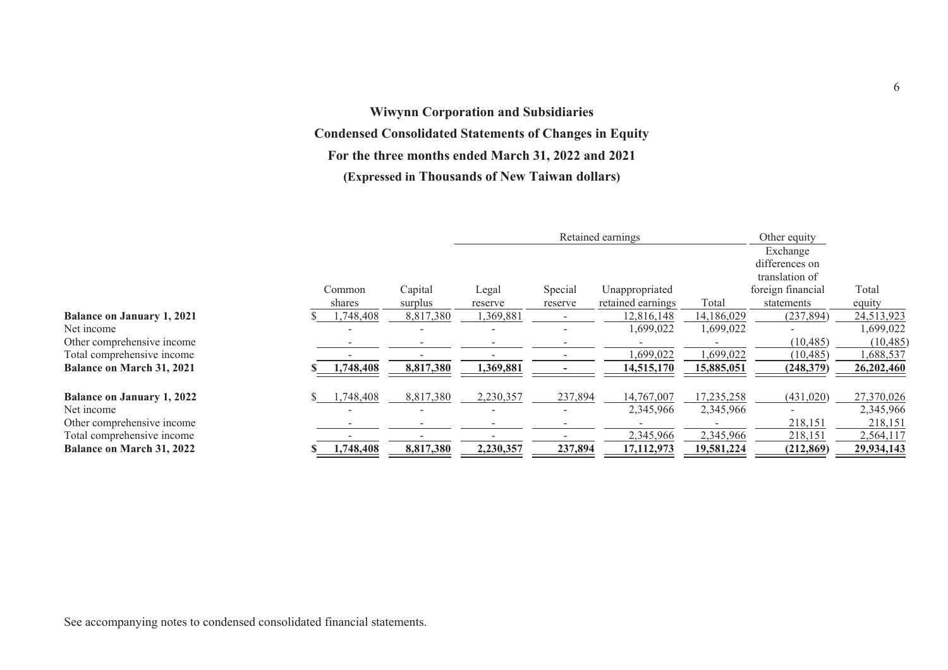# **Wiwynn Corporation and Subsidiaries Condensed Consolidated Statements of Changes in Equity For the three months ended March 31, 2022 and 2021 (Expressed in Thousands of New Taiwan dollars)**

|                                   |          |           |           |                          | Retained earnings |            | Other equity<br>Exchange<br>differences on<br>translation of |            |
|-----------------------------------|----------|-----------|-----------|--------------------------|-------------------|------------|--------------------------------------------------------------|------------|
|                                   | Common   | Capital   | Legal     | Special                  | Unappropriated    |            | foreign financial                                            | Total      |
|                                   | shares   | surplus   | reserve   | reserve                  | retained earnings | Total      | statements                                                   | equity     |
| <b>Balance on January 1, 2021</b> | ,748,408 | 8,817,380 | 1,369,881 | $\overline{\phantom{a}}$ | 12,816,148        | 14,186,029 | (237, 894)                                                   | 24,513,923 |
| Net income                        |          |           |           |                          | 1,699,022         | 1,699,022  |                                                              | 1,699,022  |
| Other comprehensive income        |          |           |           |                          |                   |            | (10, 485)                                                    | (10, 485)  |
| Total comprehensive income        |          |           |           |                          | ,699,022          | 1,699,022  | (10, 485)                                                    | 1,688,537  |
| <b>Balance on March 31, 2021</b>  | ,748,408 | 8,817,380 | 1,369,881 |                          | 14,515,170        | 15,885,051 | (248, 379)                                                   | 26,202,460 |
| <b>Balance on January 1, 2022</b> | ,748,408 | 8,817,380 | 2,230,357 | 237,894                  | 14,767,007        | 17,235,258 | (431, 020)                                                   | 27,370,026 |
| Net income                        |          |           |           | $\overline{\phantom{a}}$ | 2,345,966         | 2,345,966  |                                                              | 2,345,966  |
| Other comprehensive income        |          |           |           |                          |                   |            | 218,151                                                      | 218,151    |
| Total comprehensive income        |          |           |           |                          | 2,345,966         | 2,345,966  | 218,151                                                      | 2,564,117  |
| <b>Balance on March 31, 2022</b>  | ,748,408 | 8,817,380 | 2,230,357 | 237,894                  | 17,112,973        | 19,581,224 | (212, 869)                                                   | 29,934,143 |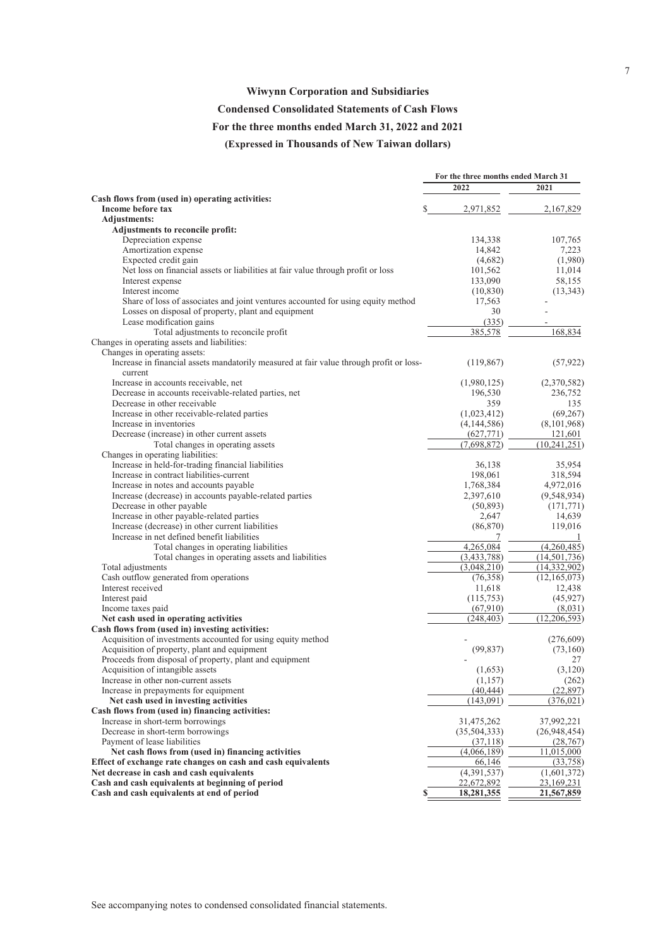#### **Wiwynn Corporation and Subsidiaries**

#### **Condensed Consolidated Statements of Cash Flows**

#### **For the three months ended March 31, 2022 and 2021**

**(Expressed in Thousands of New Taiwan dollars)**

|                                                                                         | For the three months ended March 31 |                |
|-----------------------------------------------------------------------------------------|-------------------------------------|----------------|
|                                                                                         | 2022                                | 2021           |
| Cash flows from (used in) operating activities:                                         |                                     |                |
| Income before tax                                                                       | S<br>2,971,852                      | 2,167,829      |
| <b>Adjustments:</b>                                                                     |                                     |                |
| Adjustments to reconcile profit:                                                        |                                     |                |
| Depreciation expense                                                                    | 134,338                             | 107,765        |
| Amortization expense                                                                    | 14,842                              | 7,223          |
| Expected credit gain                                                                    | (4,682)                             | (1,980)        |
| Net loss on financial assets or liabilities at fair value through profit or loss        | 101,562                             | 11,014         |
| Interest expense                                                                        | 133,090                             | 58,155         |
| Interest income                                                                         | (10, 830)                           | (13, 343)      |
| Share of loss of associates and joint ventures accounted for using equity method        | 17,563                              |                |
| Losses on disposal of property, plant and equipment                                     | 30<br>(335)                         |                |
| Lease modification gains<br>Total adjustments to reconcile profit                       | 385,578                             | 168,834        |
| Changes in operating assets and liabilities:                                            |                                     |                |
| Changes in operating assets:                                                            |                                     |                |
| Increase in financial assets mandatorily measured at fair value through profit or loss- | (119, 867)                          | (57, 922)      |
| current                                                                                 |                                     |                |
| Increase in accounts receivable, net                                                    | (1,980,125)                         | (2,370,582)    |
| Decrease in accounts receivable-related parties, net                                    | 196,530                             | 236,752        |
| Decrease in other receivable                                                            | 359                                 | 135            |
| Increase in other receivable-related parties                                            | (1,023,412)                         | (69,267)       |
| Increase in inventories                                                                 | (4,144,586)                         | (8,101,968)    |
| Decrease (increase) in other current assets                                             | (627,771)                           | 121,601        |
| Total changes in operating assets                                                       | (7,698,872)                         | (10, 241, 251) |
| Changes in operating liabilities:                                                       |                                     |                |
| Increase in held-for-trading financial liabilities                                      | 36.138                              | 35,954         |
| Increase in contract liabilities-current                                                | 198,061                             | 318,594        |
| Increase in notes and accounts payable                                                  | 1,768,384                           | 4,972,016      |
| Increase (decrease) in accounts payable-related parties                                 | 2,397,610                           | (9,548,934)    |
| Decrease in other payable                                                               | (50, 893)                           | (171, 771)     |
| Increase in other payable-related parties                                               | 2,647                               | 14,639         |
| Increase (decrease) in other current liabilities                                        | (86,870)                            | 119,016        |
| Increase in net defined benefit liabilities                                             | 7                                   | 1              |
| Total changes in operating liabilities                                                  | 4,265,084                           | (4,260,485)    |
| Total changes in operating assets and liabilities                                       | (3,433,788)                         | (14, 501, 736) |
| Total adjustments                                                                       | (3,048,210)                         | (14,332,902)   |
| Cash outflow generated from operations                                                  | (76,358)                            | (12, 165, 073) |
| Interest received                                                                       | 11,618                              | 12,438         |
| Interest paid                                                                           | (115,753)                           | (45, 927)      |
| Income taxes paid                                                                       | (67,910)                            | (8,031)        |
| Net cash used in operating activities                                                   | (248, 403)                          | (12, 206, 593) |
| Cash flows from (used in) investing activities:                                         |                                     |                |
| Acquisition of investments accounted for using equity method                            |                                     | (276, 609)     |
| Acquisition of property, plant and equipment                                            | (99, 837)                           | (73,160)       |
| Proceeds from disposal of property, plant and equipment                                 |                                     | 27             |
| Acquisition of intangible assets                                                        | (1,653)                             | (3,120)        |
| Increase in other non-current assets                                                    | (1,157)                             | (262)          |
| Increase in prepayments for equipment                                                   | (40, 444)                           | (22, 897)      |
| Net cash used in investing activities                                                   | (143.091)                           | (376, 021)     |
| Cash flows from (used in) financing activities:                                         |                                     |                |
| Increase in short-term borrowings                                                       | 31,475,262                          | 37,992,221     |
| Decrease in short-term borrowings                                                       | (35,504,333)                        | (26,948,454)   |
| Payment of lease liabilities                                                            | (37, 118)                           | (28, 767)      |
| Net cash flows from (used in) financing activities                                      | (4,066,189)                         | 11,015,000     |
| Effect of exchange rate changes on cash and cash equivalents                            | 66,146                              | (33,758)       |
| Net decrease in cash and cash equivalents                                               | (4,391,537)                         | (1,601,372)    |
| Cash and cash equivalents at beginning of period                                        | 22,672,892                          | 23,169,231     |
| Cash and cash equivalents at end of period                                              | \$<br>18,281,355                    | 21,567,859     |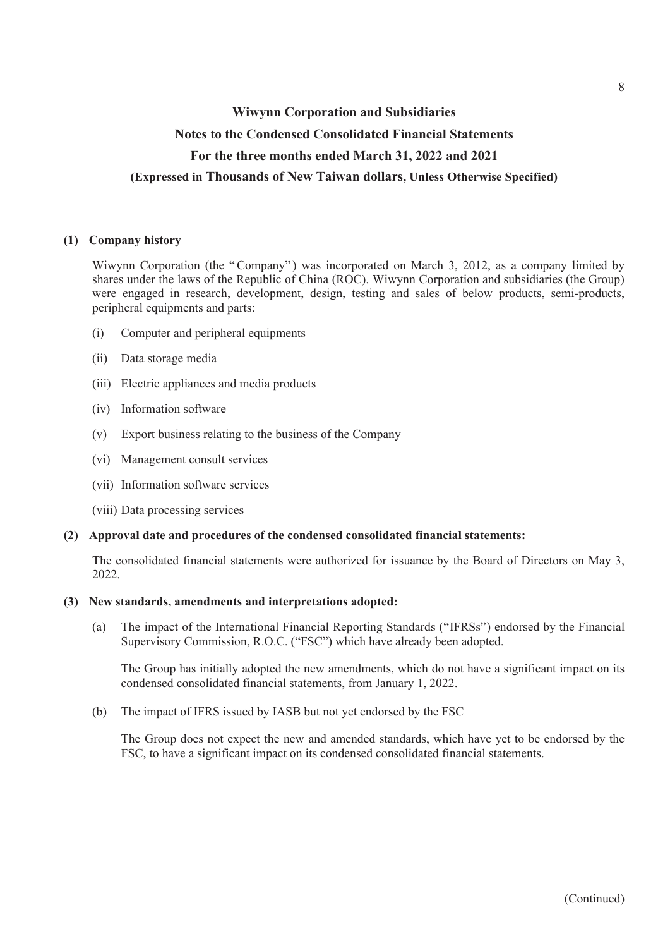# **Wiwynn Corporation and Subsidiaries Notes to the Condensed Consolidated Financial Statements For the three months ended March 31, 2022 and 2021 (Expressed in Thousands of New Taiwan dollars, Unless Otherwise Specified)**

### **(1) Company history**

Wiwynn Corporation (the "Company") was incorporated on March 3, 2012, as a company limited by shares under the laws of the Republic of China (ROC). Wiwynn Corporation and subsidiaries (the Group) were engaged in research, development, design, testing and sales of below products, semi-products, peripheral equipments and parts:

- (i) Computer and peripheral equipments
- (ii) Data storage media
- (iii) Electric appliances and media products
- (iv) Information software
- (v) Export business relating to the business of the Company
- (vi) Management consult services
- (vii) Information software services
- (viii) Data processing services

### **(2) Approval date and procedures of the condensed consolidated financial statements:**

The consolidated financial statements were authorized for issuance by the Board of Directors on May 3, 2022.

#### **(3) New standards, amendments and interpretations adopted:**

(a) The impact of the International Financial Reporting Standards ("IFRSs") endorsed by the Financial Supervisory Commission, R.O.C. ("FSC") which have already been adopted.

The Group has initially adopted the new amendments, which do not have a significant impact on its condensed consolidated financial statements, from January 1, 2022.

(b) The impact of IFRS issued by IASB but not yet endorsed by the FSC

The Group does not expect the new and amended standards, which have yet to be endorsed by the FSC, to have a significant impact on its condensed consolidated financial statements.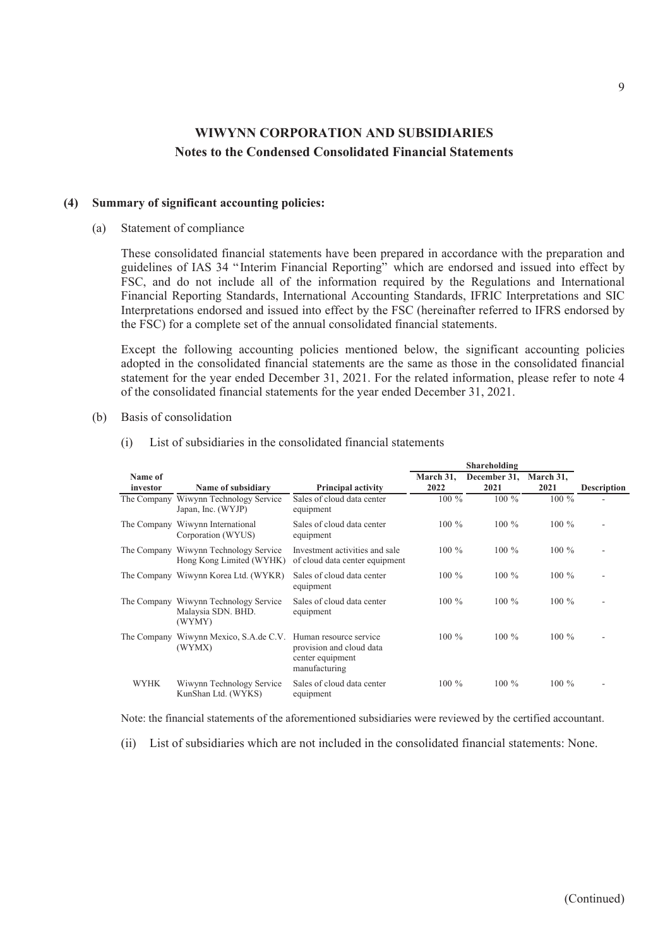#### **(4) Summary of significant accounting policies:**

(a) Statement of compliance

These consolidated financial statements have been prepared in accordance with the preparation and guidelines of IAS 34 "Interim Financial Reporting" which are endorsed and issued into effect by FSC, and do not include all of the information required by the Regulations and International Financial Reporting Standards, International Accounting Standards, IFRIC Interpretations and SIC Interpretations endorsed and issued into effect by the FSC (hereinafter referred to IFRS endorsed by the FSC) for a complete set of the annual consolidated financial statements.

Except the following accounting policies mentioned below, the significant accounting policies adopted in the consolidated financial statements are the same as those in the consolidated financial statement for the year ended December 31, 2021. For the related information, please refer to note 4 of the consolidated financial statements for the year ended December 31, 2021.

(b) Basis of consolidation

| Name of<br>investor | Name of subsidiary                                                    | <b>Principal activity</b>                                                               | March 31,<br>2022 | December 31,<br>2021 | March 31,<br>2021 | <b>Description</b> |
|---------------------|-----------------------------------------------------------------------|-----------------------------------------------------------------------------------------|-------------------|----------------------|-------------------|--------------------|
| The Company         | Wiwynn Technology Service<br>Japan, Inc. (WYJP)                       | Sales of cloud data center<br>equipment                                                 | $100\%$           | $100\%$              | $100\%$           |                    |
|                     | The Company Wiwynn International<br>Corporation (WYUS)                | Sales of cloud data center<br>equipment                                                 | $100\%$           | $100\%$              | $100\%$           |                    |
|                     | The Company Wiwynn Technology Service<br>Hong Kong Limited (WYHK)     | Investment activities and sale<br>of cloud data center equipment                        | $100\%$           | $100\%$              | $100\%$           |                    |
|                     | The Company Wiwynn Korea Ltd. (WYKR)                                  | Sales of cloud data center<br>equipment                                                 | $100\%$           | $100\%$              | $100\%$           |                    |
|                     | The Company Wiwynn Technology Service<br>Malaysia SDN. BHD.<br>(WYMY) | Sales of cloud data center<br>equipment                                                 | $100\%$           | $100\%$              | $100\%$           | ۰                  |
| The Company         | Wiwynn Mexico, S.A.de C.V.<br>(WYMX)                                  | Human resource service<br>provision and cloud data<br>center equipment<br>manufacturing | $100\%$           | $100\%$              | $100\%$           |                    |
| <b>WYHK</b>         | Wiwynn Technology Service<br>KunShan Ltd. (WYKS)                      | Sales of cloud data center<br>equipment                                                 | $100\%$           | $100\%$              | $100\%$           |                    |

(i) List of subsidiaries in the consolidated financial statements

Note: the financial statements of the aforementioned subsidiaries were reviewed by the certified accountant.

(ii) List of subsidiaries which are not included in the consolidated financial statements: None.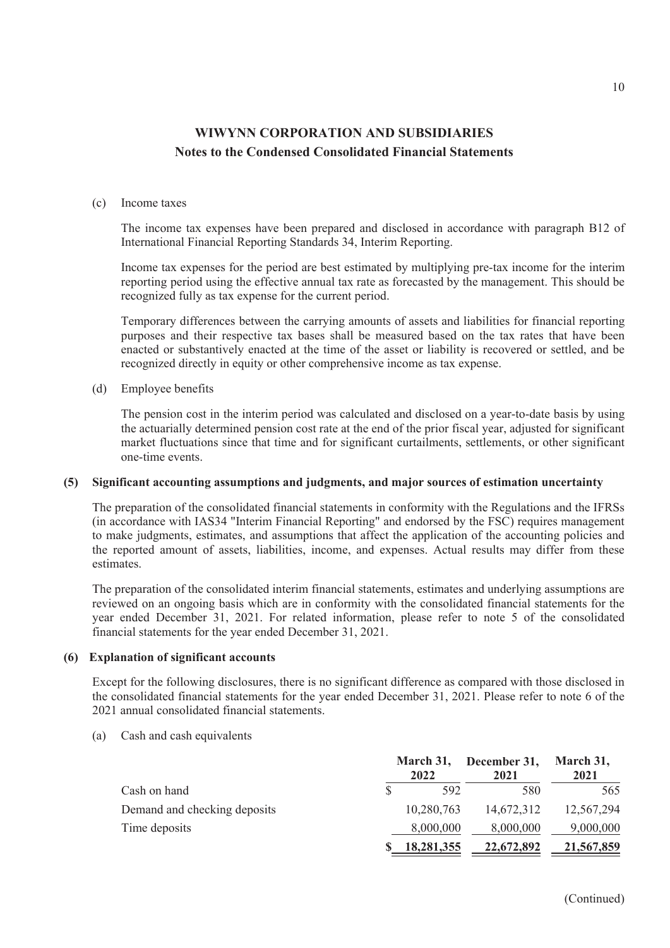#### (c) Income taxes

The income tax expenses have been prepared and disclosed in accordance with paragraph B12 of International Financial Reporting Standards 34, Interim Reporting.

Income tax expenses for the period are best estimated by multiplying pre-tax income for the interim reporting period using the effective annual tax rate as forecasted by the management. This should be recognized fully as tax expense for the current period.

Temporary differences between the carrying amounts of assets and liabilities for financial reporting purposes and their respective tax bases shall be measured based on the tax rates that have been enacted or substantively enacted at the time of the asset or liability is recovered or settled, and be recognized directly in equity or other comprehensive income as tax expense.

### (d) Employee benefits

The pension cost in the interim period was calculated and disclosed on a year-to-date basis by using the actuarially determined pension cost rate at the end of the prior fiscal year, adjusted for significant market fluctuations since that time and for significant curtailments, settlements, or other significant one-time events.

#### **(5) Significant accounting assumptions and judgments, and major sources of estimation uncertainty**

The preparation of the consolidated financial statements in conformity with the Regulations and the IFRSs (in accordance with IAS34 "Interim Financial Reporting" and endorsed by the FSC) requires management to make judgments, estimates, and assumptions that affect the application of the accounting policies and the reported amount of assets, liabilities, income, and expenses. Actual results may differ from these estimates.

The preparation of the consolidated interim financial statements, estimates and underlying assumptions are reviewed on an ongoing basis which are in conformity with the consolidated financial statements for the year ended December 31, 2021. For related information, please refer to note 5 of the consolidated financial statements for the year ended December 31, 2021.

#### **(6) Explanation of significant accounts**

Except for the following disclosures, there is no significant difference as compared with those disclosed in the consolidated financial statements for the year ended December 31, 2021. Please refer to note 6 of the 2021 annual consolidated financial statements.

(a) Cash and cash equivalents

|                              | 2022       | March 31, December 31,<br>2021 | March 31,<br>2021 |
|------------------------------|------------|--------------------------------|-------------------|
| Cash on hand                 | 592        | 580                            | 565               |
| Demand and checking deposits | 10,280,763 | 14,672,312                     | 12,567,294        |
| Time deposits                | 8,000,000  | 8,000,000                      | 9,000,000         |
|                              | 18,281,355 | 22,672,892                     | 21,567,859        |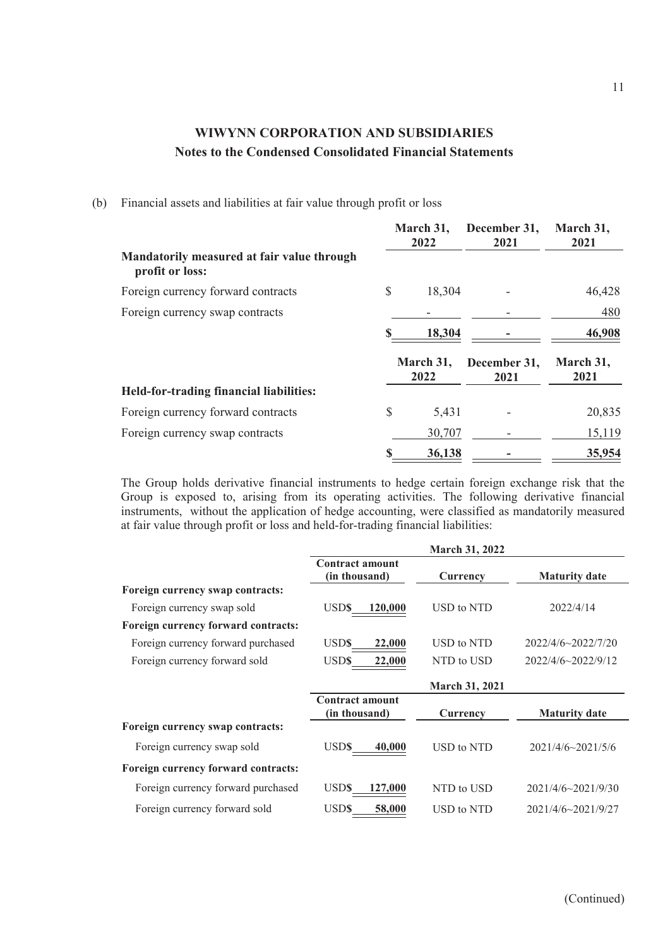(b) Financial assets and liabilities at fair value through profit or loss

|                                                               | March 31,<br>2022 | December 31,<br>2021 | March 31,<br>2021 |
|---------------------------------------------------------------|-------------------|----------------------|-------------------|
| Mandatorily measured at fair value through<br>profit or loss: |                   |                      |                   |
| Foreign currency forward contracts                            | \$<br>18,304      |                      | 46,428            |
| Foreign currency swap contracts                               |                   |                      | 480               |
|                                                               | 18,304            |                      | 46,908            |
|                                                               | March 31,<br>2022 | December 31,<br>2021 | March 31,<br>2021 |
| Held-for-trading financial liabilities:                       |                   |                      |                   |
| Foreign currency forward contracts                            | \$<br>5,431       |                      | 20,835            |
| Foreign currency swap contracts                               | 30,707            |                      | 15,119            |
|                                                               | 36,138            |                      | 35,954            |

The Group holds derivative financial instruments to hedge certain foreign exchange risk that the Group is exposed to, arising from its operating activities. The following derivative financial instruments, without the application of hedge accounting, were classified as mandatorily measured at fair value through profit or loss and held-for-trading financial liabilities:

|                                     |                                         | <b>March 31, 2022</b> |                      |
|-------------------------------------|-----------------------------------------|-----------------------|----------------------|
|                                     | <b>Contract amount</b><br>(in thousand) | Currency              | <b>Maturity date</b> |
| Foreign currency swap contracts:    |                                         |                       |                      |
| Foreign currency swap sold          | USD\$<br>120,000                        | USD to NTD            | 2022/4/14            |
| Foreign currency forward contracts: |                                         |                       |                      |
| Foreign currency forward purchased  | USD\$<br>22,000                         | USD to NTD            | 2022/4/6~2022/7/20   |
| Foreign currency forward sold       | USD\$<br>22,000                         | NTD to USD            | 2022/4/6~2022/9/12   |
|                                     |                                         | <b>March 31, 2021</b> |                      |
|                                     | <b>Contract amount</b><br>(in thousand) | Currency              | <b>Maturity date</b> |
| Foreign currency swap contracts:    |                                         |                       |                      |
| Foreign currency swap sold          | <b>USDS</b><br>40,000                   | USD to NTD            | 2021/4/6~2021/5/6    |
| Foreign currency forward contracts: |                                         |                       |                      |
| Foreign currency forward purchased  | <b>USD\$</b><br>127,000                 | NTD to USD            | 2021/4/6~2021/9/30   |
| Foreign currency forward sold       | <b>USDS</b><br>58,000                   | USD to NTD            | 2021/4/6~2021/9/27   |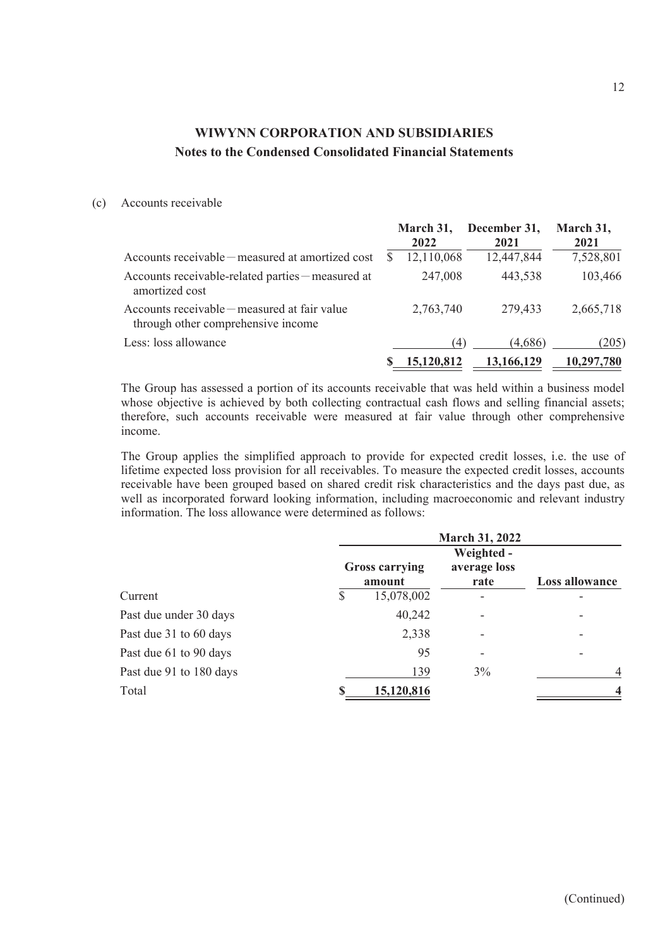### (c) Accounts receivable

|                                                                                      | March 31,<br>2022 | December 31,<br>2021 | March 31,<br>2021 |
|--------------------------------------------------------------------------------------|-------------------|----------------------|-------------------|
| Accounts receivable – measured at amortized cost                                     | 12,110,068        | 12,447,844           | 7,528,801         |
| Accounts receivable-related parties – measured at<br>amortized cost                  | 247,008           | 443,538              | 103,466           |
| Accounts receivable $-$ measured at fair value<br>through other comprehensive income | 2,763,740         | 279,433              | 2,665,718         |
| Less: loss allowance                                                                 | (4)               | (4,686)              | (205)             |
|                                                                                      | 15.120.812        | 13.166.129           | 10,297,780        |

The Group has assessed a portion of its accounts receivable that was held within a business model whose objective is achieved by both collecting contractual cash flows and selling financial assets; therefore, such accounts receivable were measured at fair value through other comprehensive income.

The Group applies the simplified approach to provide for expected credit losses, i.e. the use of lifetime expected loss provision for all receivables. To measure the expected credit losses, accounts receivable have been grouped based on shared credit risk characteristics and the days past due, as well as incorporated forward looking information, including macroeconomic and relevant industry information. The loss allowance were determined as follows:

|                         | <b>March 31, 2022</b> |                       |                            |                          |  |  |
|-------------------------|-----------------------|-----------------------|----------------------------|--------------------------|--|--|
|                         |                       | <b>Gross carrying</b> | Weighted -<br>average loss |                          |  |  |
| Current                 |                       | amount<br>15,078,002  | rate<br>-                  | <b>Loss allowance</b>    |  |  |
| Past due under 30 days  |                       | 40,242                | ۰                          | $\overline{\phantom{0}}$ |  |  |
| Past due 31 to 60 days  |                       | 2,338                 |                            | $\overline{\phantom{0}}$ |  |  |
| Past due 61 to 90 days  |                       | 95                    |                            |                          |  |  |
| Past due 91 to 180 days |                       | 139                   | 3%                         | $\overline{4}$           |  |  |
| Total                   |                       | 15,120,816            |                            | $\overline{\mathbf{4}}$  |  |  |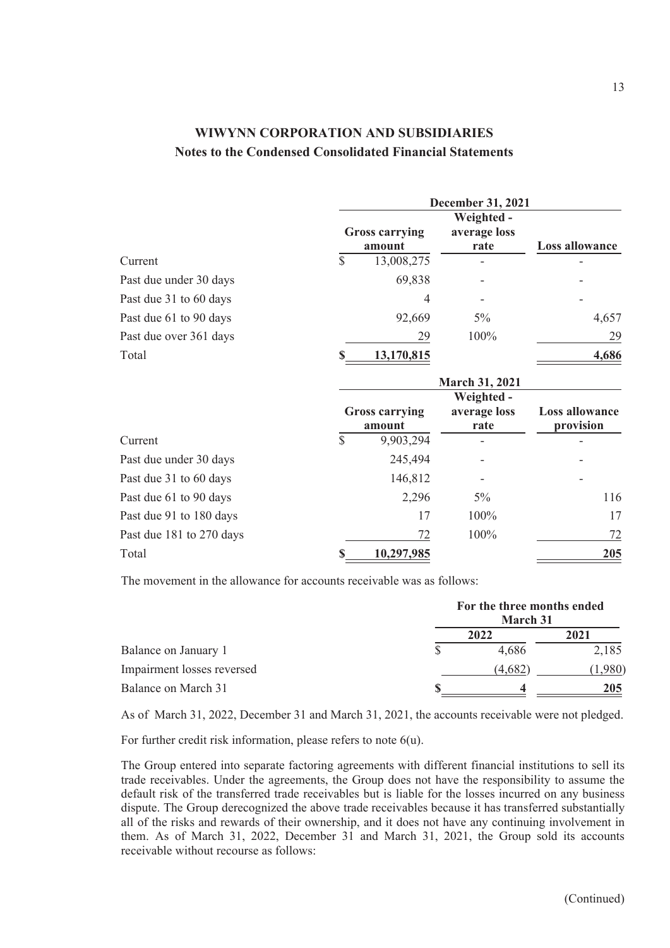|                        | <b>December 31, 2021</b> |                                              |                                    |                                    |  |  |
|------------------------|--------------------------|----------------------------------------------|------------------------------------|------------------------------------|--|--|
|                        |                          | <b>Gross carrying</b><br>amount              | Weighted -<br>average loss<br>rate | Loss allowance                     |  |  |
| Current                | \$                       | 13,008,275                                   |                                    |                                    |  |  |
| Past due under 30 days |                          | 69,838                                       |                                    |                                    |  |  |
| Past due 31 to 60 days |                          | 4                                            |                                    |                                    |  |  |
| Past due 61 to 90 days |                          | 92,669                                       | $5\%$                              | 4,657                              |  |  |
| Past due over 361 days |                          | 29                                           | 100%                               | 29                                 |  |  |
| Total                  |                          | 13,170,815                                   |                                    | 4,686                              |  |  |
|                        |                          |                                              | <b>March 31, 2021</b>              |                                    |  |  |
| C                      | ¢                        | <b>Gross carrying</b><br>amount<br>0.002.204 | Weighted -<br>average loss<br>rate | <b>Loss allowance</b><br>provision |  |  |

|                          | ашочні     | rate  | provision |  |
|--------------------------|------------|-------|-----------|--|
| Current                  | 9,903,294  |       |           |  |
| Past due under 30 days   | 245,494    |       |           |  |
| Past due 31 to 60 days   | 146,812    |       |           |  |
| Past due 61 to 90 days   | 2,296      | $5\%$ | 116       |  |
| Past due 91 to 180 days  | 17         | 100%  | 17        |  |
| Past due 181 to 270 days | 72         | 100%  | 72        |  |
| Total                    | 10,297,985 |       | 205       |  |
|                          |            |       |           |  |

The movement in the allowance for accounts receivable was as follows:

|                            | For the three months ended<br>March 31 |         |       |  |
|----------------------------|----------------------------------------|---------|-------|--|
|                            |                                        | 2022    | 2021  |  |
| Balance on January 1       |                                        | 4,686   | 2,185 |  |
| Impairment losses reversed |                                        | (4,682) | .980) |  |
| Balance on March 31        |                                        |         | 205   |  |

As of March 31, 2022, December 31 and March 31, 2021, the accounts receivable were not pledged.

For further credit risk information, please refers to note 6(u).

The Group entered into separate factoring agreements with different financial institutions to sell its trade receivables. Under the agreements, the Group does not have the responsibility to assume the default risk of the transferred trade receivables but is liable for the losses incurred on any business dispute. The Group derecognized the above trade receivables because it has transferred substantially all of the risks and rewards of their ownership, and it does not have any continuing involvement in them. As of March 31, 2022, December 31 and March 31, 2021, the Group sold its accounts receivable without recourse as follows: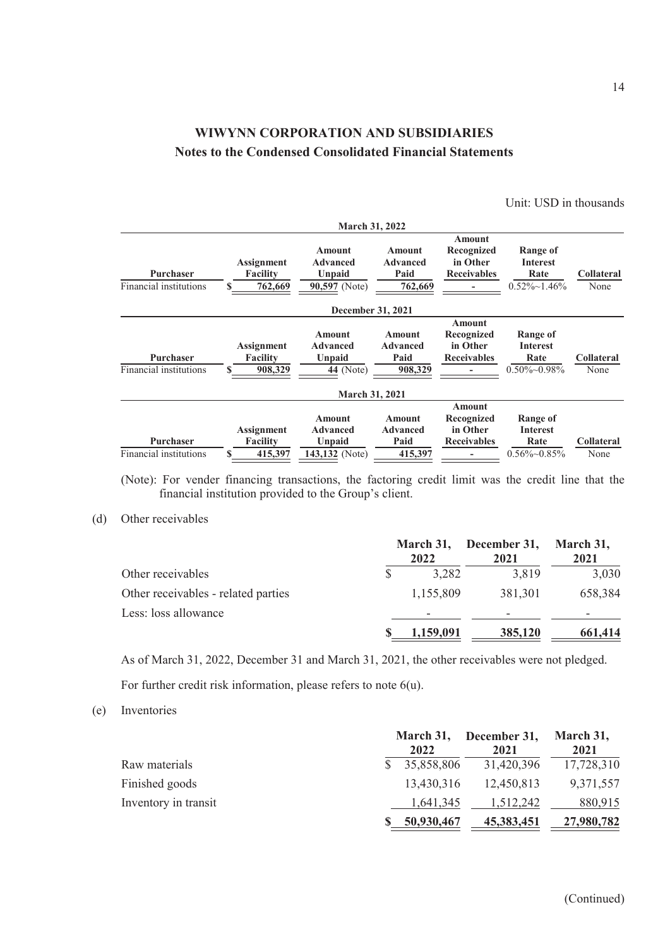Unit: USD in thousands

|                                            |                                                       | <b>March 31, 2022</b>                                        |                                                     |                                                               |                                                                    |                           |
|--------------------------------------------|-------------------------------------------------------|--------------------------------------------------------------|-----------------------------------------------------|---------------------------------------------------------------|--------------------------------------------------------------------|---------------------------|
| <b>Purchaser</b><br>Financial institutions | <b>Assignment</b><br><b>Facility</b><br>762,669<br>\$ | <b>Amount</b><br><b>Advanced</b><br>Unpaid<br>90,597 (Note)  | <b>Amount</b><br><b>Advanced</b><br>Paid<br>762,669 | Amount<br>Recognized<br>in Other<br><b>Receivables</b>        | <b>Range of</b><br><b>Interest</b><br>Rate<br>$0.52\% \sim 1.46\%$ | <b>Collateral</b><br>None |
|                                            |                                                       | December 31, 2021                                            |                                                     |                                                               |                                                                    |                           |
| Purchaser<br>Financial institutions        | <b>Assignment</b><br><b>Facility</b><br>908,329       | Amount<br><b>Advanced</b><br>Unpaid<br><b>44</b> (Note)      | <b>Amount</b><br><b>Advanced</b><br>Paid<br>908,329 | <b>Amount</b><br>Recognized<br>in Other<br><b>Receivables</b> | Range of<br><b>Interest</b><br>Rate<br>$0.50\%$ ~ $0.98\%$         | <b>Collateral</b><br>None |
|                                            |                                                       | <b>March 31, 2021</b>                                        |                                                     |                                                               |                                                                    |                           |
| Purchaser<br>Financial institutions        | <b>Assignment</b><br><b>Facility</b><br>415,397       | <b>Amount</b><br><b>Advanced</b><br>Unpaid<br>143,132 (Note) | <b>Amount</b><br><b>Advanced</b><br>Paid<br>415,397 | <b>Amount</b><br>Recognized<br>in Other<br><b>Receivables</b> | Range of<br><b>Interest</b><br>Rate<br>$0.56\%$ $-0.85\%$          | <b>Collateral</b><br>None |

(Note): For vender financing transactions, the factoring credit limit was the credit line that the financial institution provided to the Group's client.

#### (d) Other receivables

|                                     | March 31,<br>2022 | December 31,<br>2021 | March 31,<br>2021 |
|-------------------------------------|-------------------|----------------------|-------------------|
| Other receivables                   | 3,282             | 3,819                | 3,030             |
| Other receivables - related parties | 1,155,809         | 381,301              | 658,384           |
| Less: loss allowance                |                   |                      |                   |
|                                     | 1,159,091         | 385,120              | 661,414           |

As of March 31, 2022, December 31 and March 31, 2021, the other receivables were not pledged. For further credit risk information, please refers to note 6(u).

#### (e) Inventories

|                      | 2022       | March 31, December 31, March 31,<br>2021 | 2021       |
|----------------------|------------|------------------------------------------|------------|
| Raw materials        | 35,858,806 | 31,420,396                               | 17,728,310 |
| Finished goods       | 13,430,316 | 12.450.813                               | 9,371,557  |
| Inventory in transit | 1,641,345  | 1.512.242                                | 880,915    |
|                      | 50,930,467 | 45,383,451                               | 27,980,782 |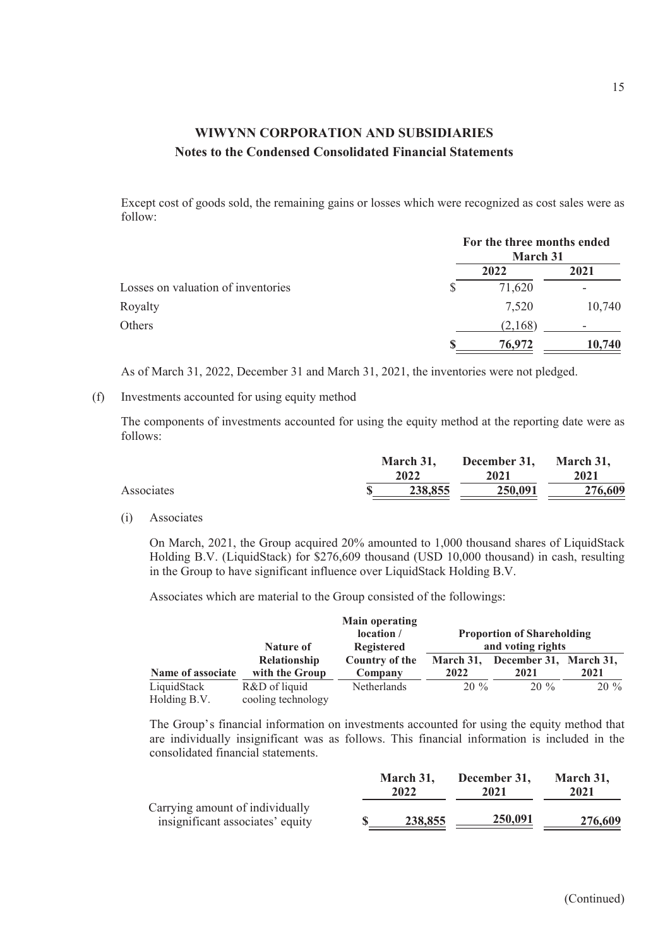Except cost of goods sold, the remaining gains or losses which were recognized as cost sales were as follow:

|                                    | For the three months ended<br>March 31 |        |
|------------------------------------|----------------------------------------|--------|
|                                    | 2022                                   | 2021   |
| Losses on valuation of inventories | 71,620                                 |        |
| Royalty                            | 7,520                                  | 10,740 |
| Others                             | (2,168)                                |        |
|                                    | 76.972                                 | 10,740 |

As of March 31, 2022, December 31 and March 31, 2021, the inventories were not pledged.

(f) Investments accounted for using equity method

The components of investments accounted for using the equity method at the reporting date were as follows:

|            | March 31,<br>2022 | December 31, March 31,<br>2021 | 2021    |  |
|------------|-------------------|--------------------------------|---------|--|
| Associates | 238,855           | 250,091                        | 276,609 |  |

(i) Associates

On March, 2021, the Group acquired 20% amounted to 1,000 thousand shares of LiquidStack Holding B.V. (LiquidStack) for \$276,609 thousand (USD 10,000 thousand) in cash, resulting in the Group to have significant influence over LiquidStack Holding B.V.

Associates which are material to the Group consisted of the followings:

|                   |                     | <b>Main operating</b><br>location / |                                                        |                                  |        |
|-------------------|---------------------|-------------------------------------|--------------------------------------------------------|----------------------------------|--------|
|                   | Nature of           | <b>Registered</b>                   | <b>Proportion of Shareholding</b><br>and voting rights |                                  |        |
|                   | <b>Relationship</b> | Country of the                      |                                                        | March 31, December 31, March 31, |        |
| Name of associate | with the Group      | Company                             | 2022                                                   | 2021                             | 2021   |
| LiquidStack       | R&D of liquid       | <b>Netherlands</b>                  | $20\%$                                                 | $20\%$                           | $20\%$ |
| Holding B.V.      | cooling technology  |                                     |                                                        |                                  |        |

The Group's financial information on investments accounted for using the equity method that are individually insignificant was as follows. This financial information is included in the consolidated financial statements.

|                                                                     | March 31. |         | December 31. | March 31. |  |
|---------------------------------------------------------------------|-----------|---------|--------------|-----------|--|
|                                                                     | 2022      |         | 2021         | 2021      |  |
| Carrying amount of individually<br>insignificant associates' equity |           | 238,855 | 250,091      | 276,609   |  |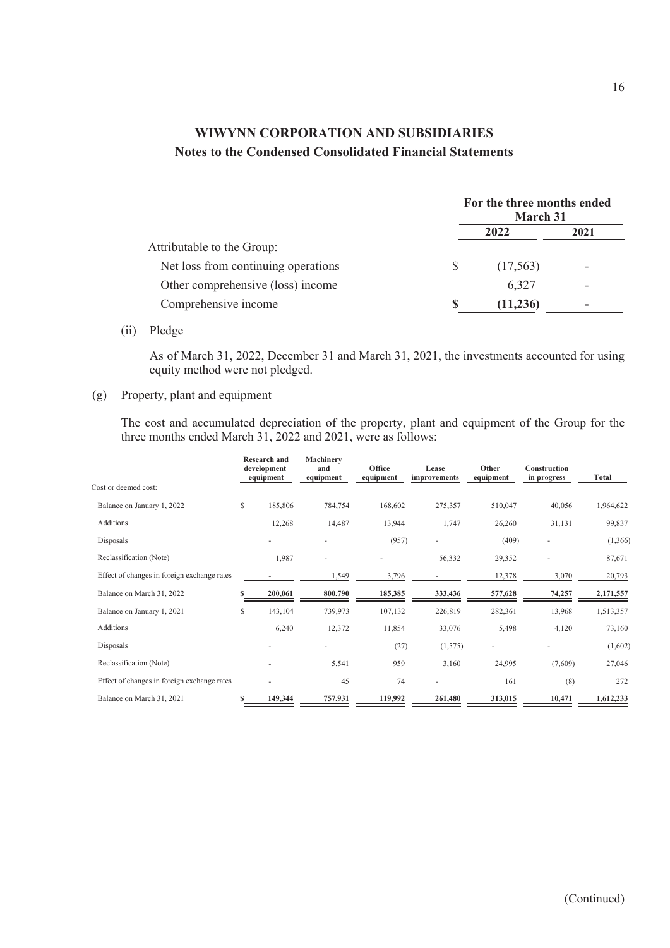|                                     |              | For the three months ended<br><b>March 31</b> |      |
|-------------------------------------|--------------|-----------------------------------------------|------|
|                                     |              | 2022                                          | 2021 |
| Attributable to the Group:          |              |                                               |      |
| Net loss from continuing operations | <sup>S</sup> | (17,563)                                      |      |
| Other comprehensive (loss) income   |              | 6,327                                         |      |
| Comprehensive income                |              | (11,236)                                      |      |

### (ii) Pledge

As of March 31, 2022, December 31 and March 31, 2021, the investments accounted for using equity method were not pledged.

### (g) Property, plant and equipment

The cost and accumulated depreciation of the property, plant and equipment of the Group for the three months ended March 31, 2022 and 2021, were as follows:

|                                             |    | <b>Research and</b><br>development<br>equipment | Machinery<br>and<br>equipment | Office<br>equipment | Lease<br>improvements | Other<br>equipment       | Construction<br>in progress | Total     |
|---------------------------------------------|----|-------------------------------------------------|-------------------------------|---------------------|-----------------------|--------------------------|-----------------------------|-----------|
| Cost or deemed cost:                        |    |                                                 |                               |                     |                       |                          |                             |           |
| Balance on January 1, 2022                  | \$ | 185,806                                         | 784,754                       | 168,602             | 275,357               | 510,047                  | 40,056                      | 1,964,622 |
| <b>Additions</b>                            |    | 12,268                                          | 14,487                        | 13,944              | 1,747                 | 26,260                   | 31,131                      | 99,837    |
| Disposals                                   |    | ٠                                               | $\overline{\phantom{a}}$      | (957)               |                       | (409)                    |                             | (1, 366)  |
| Reclassification (Note)                     |    | 1,987                                           | $\sim$                        |                     | 56,332                | 29,352                   |                             | 87,671    |
| Effect of changes in foreign exchange rates |    |                                                 | 1,549                         | 3,796               |                       | 12,378                   | 3,070                       | 20,793    |
| Balance on March 31, 2022                   |    | 200,061                                         | 800,790                       | 185,385             | 333,436               | 577,628                  | 74,257                      | 2,171,557 |
| Balance on January 1, 2021                  | S  | 143,104                                         | 739,973                       | 107,132             | 226,819               | 282,361                  | 13,968                      | 1,513,357 |
| Additions                                   |    | 6,240                                           | 12,372                        | 11,854              | 33,076                | 5,498                    | 4,120                       | 73,160    |
| Disposals                                   |    |                                                 | ٠                             | (27)                | (1,575)               | $\overline{\phantom{a}}$ |                             | (1,602)   |
| Reclassification (Note)                     |    | $\overline{\phantom{a}}$                        | 5,541                         | 959                 | 3,160                 | 24,995                   | (7,609)                     | 27,046    |
| Effect of changes in foreign exchange rates |    |                                                 | 45                            | 74                  |                       | 161                      | (8)                         | 272       |
| Balance on March 31, 2021                   | s  | 149,344                                         | 757,931                       | 119,992             | 261,480               | 313,015                  | 10,471                      | 1,612,233 |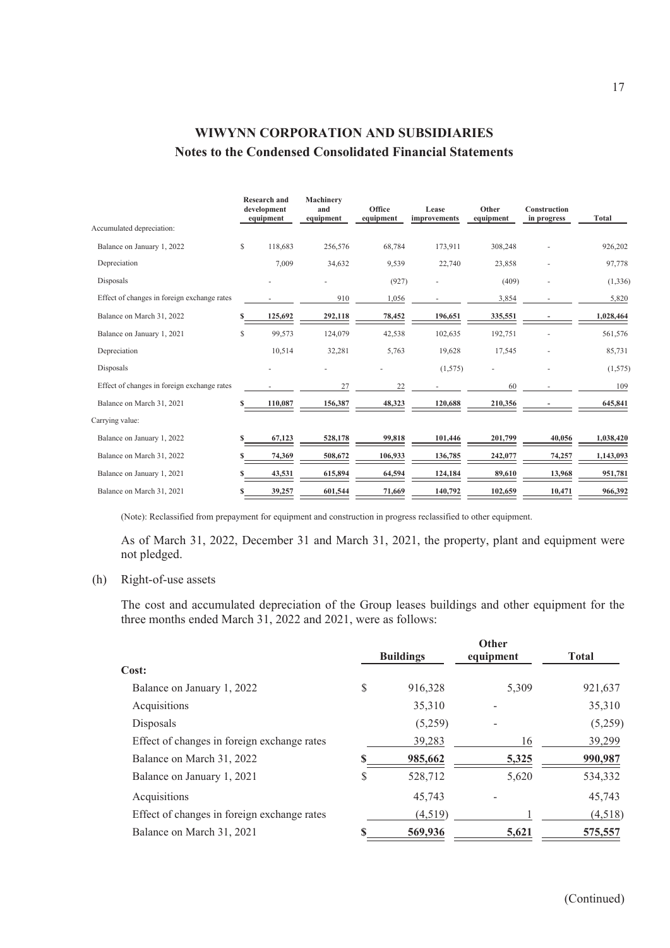|                                             |   | <b>Research and</b><br>development<br>equipment | Machinery<br>and<br>equipment | Office<br>equipment | Lease<br>improvements | Other<br>equipment | Construction<br>in progress | <b>Total</b> |
|---------------------------------------------|---|-------------------------------------------------|-------------------------------|---------------------|-----------------------|--------------------|-----------------------------|--------------|
| Accumulated depreciation:                   |   |                                                 |                               |                     |                       |                    |                             |              |
| Balance on January 1, 2022                  | S | 118,683                                         | 256,576                       | 68,784              | 173,911               | 308,248            |                             | 926,202      |
| Depreciation                                |   | 7,009                                           | 34,632                        | 9,539               | 22,740                | 23,858             |                             | 97,778       |
| Disposals                                   |   |                                                 |                               | (927)               | ٠                     | (409)              |                             | (1, 336)     |
| Effect of changes in foreign exchange rates |   |                                                 | 910                           | 1,056               |                       | 3,854              |                             | 5,820        |
| Balance on March 31, 2022                   |   | 125,692                                         | 292,118                       | 78,452              | 196,651               | 335,551            |                             | 1,028,464    |
| Balance on January 1, 2021                  | S | 99,573                                          | 124,079                       | 42,538              | 102,635               | 192,751            |                             | 561,576      |
| Depreciation                                |   | 10,514                                          | 32,281                        | 5,763               | 19,628                | 17,545             |                             | 85,731       |
| Disposals                                   |   |                                                 |                               |                     | (1,575)               |                    |                             | (1,575)      |
| Effect of changes in foreign exchange rates |   |                                                 | 27                            | 22                  |                       | 60                 |                             | 109          |
| Balance on March 31, 2021                   |   | 110,087                                         | 156,387                       | 48,323              | 120,688               | 210,356            |                             | 645,841      |
| Carrying value:                             |   |                                                 |                               |                     |                       |                    |                             |              |
| Balance on January 1, 2022                  |   | 67,123                                          | 528,178                       | 99,818              | 101,446               | 201,799            | 40,056                      | 1,038,420    |
| Balance on March 31, 2022                   |   | 74,369                                          | 508,672                       | 106,933             | 136,785               | 242,077            | 74,257                      | 1,143,093    |
| Balance on January 1, 2021                  |   | 43,531                                          | 615,894                       | 64,594              | 124,184               | 89,610             | 13,968                      | 951,781      |
| Balance on March 31, 2021                   |   | 39,257                                          | 601,544                       | 71,669              | 140,792               | 102,659            | 10,471                      | 966,392      |

(Note): Reclassified from prepayment for equipment and construction in progress reclassified to other equipment.

As of March 31, 2022, December 31 and March 31, 2021, the property, plant and equipment were not pledged.

### (h) Right-of-use assets

The cost and accumulated depreciation of the Group leases buildings and other equipment for the three months ended March 31, 2022 and 2021, were as follows:

|                                             | <b>Buildings</b> | <b>Other</b><br>equipment | <b>Total</b> |
|---------------------------------------------|------------------|---------------------------|--------------|
| Cost:                                       |                  |                           |              |
| Balance on January 1, 2022                  | \$<br>916,328    | 5.309                     | 921,637      |
| Acquisitions                                | 35,310           |                           | 35,310       |
| Disposals                                   | (5,259)          |                           | (5,259)      |
| Effect of changes in foreign exchange rates | 39,283           | 16                        | 39,299       |
| Balance on March 31, 2022                   | 985,662          | 5,325                     | 990,987      |
| Balance on January 1, 2021                  | \$<br>528,712    | 5,620                     | 534,332      |
| Acquisitions                                | 45,743           |                           | 45,743       |
| Effect of changes in foreign exchange rates | (4,519)          |                           | (4,518)      |
| Balance on March 31, 2021                   | 569,936          | 5,621                     | 575,557      |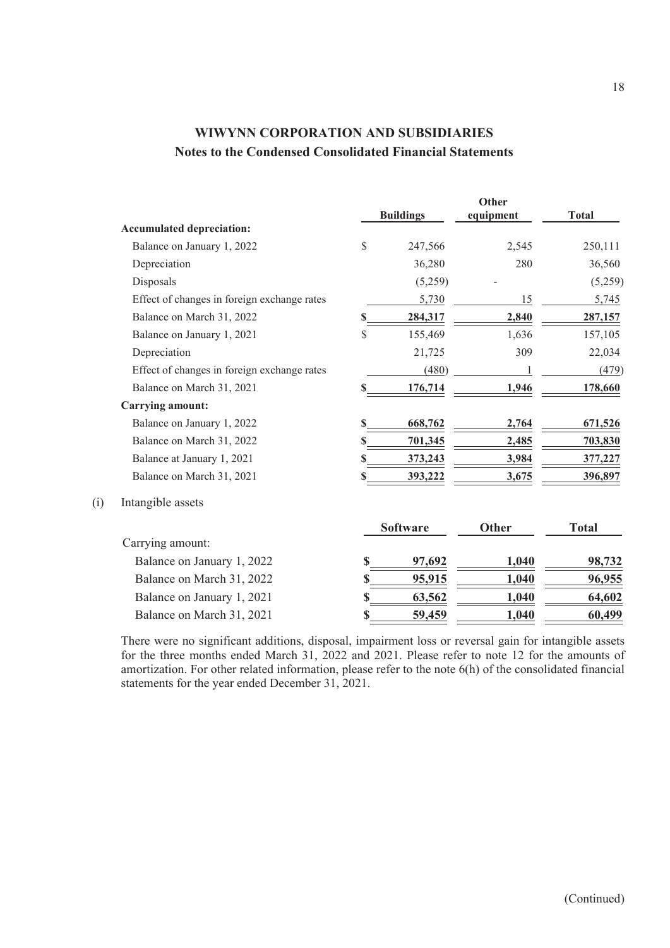|                                             |               |                  | Other        |              |
|---------------------------------------------|---------------|------------------|--------------|--------------|
|                                             |               | <b>Buildings</b> | equipment    | <b>Total</b> |
| <b>Accumulated depreciation:</b>            |               |                  |              |              |
| Balance on January 1, 2022                  | $\mathcal{S}$ | 247,566          | 2,545        | 250,111      |
| Depreciation                                |               | 36,280           | 280          | 36,560       |
| Disposals                                   |               | (5,259)          |              | (5,259)      |
| Effect of changes in foreign exchange rates |               | 5,730            | 15           | 5,745        |
| Balance on March 31, 2022                   | \$            | 284,317          | 2,840        | 287,157      |
| Balance on January 1, 2021                  | $\mathcal{S}$ | 155,469          | 1,636        | 157,105      |
| Depreciation                                |               | 21,725           | 309          | 22,034       |
| Effect of changes in foreign exchange rates |               | (480)            |              | (479)        |
| Balance on March 31, 2021                   | \$            | 176,714          | 1,946        | 178,660      |
| <b>Carrying amount:</b>                     |               |                  |              |              |
| Balance on January 1, 2022                  | \$            | 668,762          | 2,764        | 671,526      |
| Balance on March 31, 2022                   | S             | 701,345          | 2,485        | 703,830      |
| Balance at January 1, 2021                  | \$            | 373,243          | 3,984        | 377,227      |
| Balance on March 31, 2021                   | \$            | 393,222          | 3,675        | 396,897      |
| Intangible assets                           |               |                  |              |              |
|                                             |               | <b>Software</b>  | <b>Other</b> | <b>Total</b> |
| Carrying amount:                            |               |                  |              |              |
| Balance on January 1, 2022                  | S             | 97,692           | 1,040        | 98,732       |
| Balance on March 31, 2022                   | S             | 95,915           | 1,040        | 96,955       |
| Balance on January 1, 2021                  | \$            | 63,562           | 1,040        | 64,602       |
| Balance on March 31, 2021                   | \$            | <u>59,459</u>    | <b>1,040</b> | 60,499       |

 $(i)$ 

There were no significant additions, disposal, impairment loss or reversal gain for intangible assets for the three months ended March 31, 2022 and 2021. Please refer to note 12 for the amounts of amortization. For other related information, please refer to the note 6(h) of the consolidated financial statements for the year ended December 31, 2021.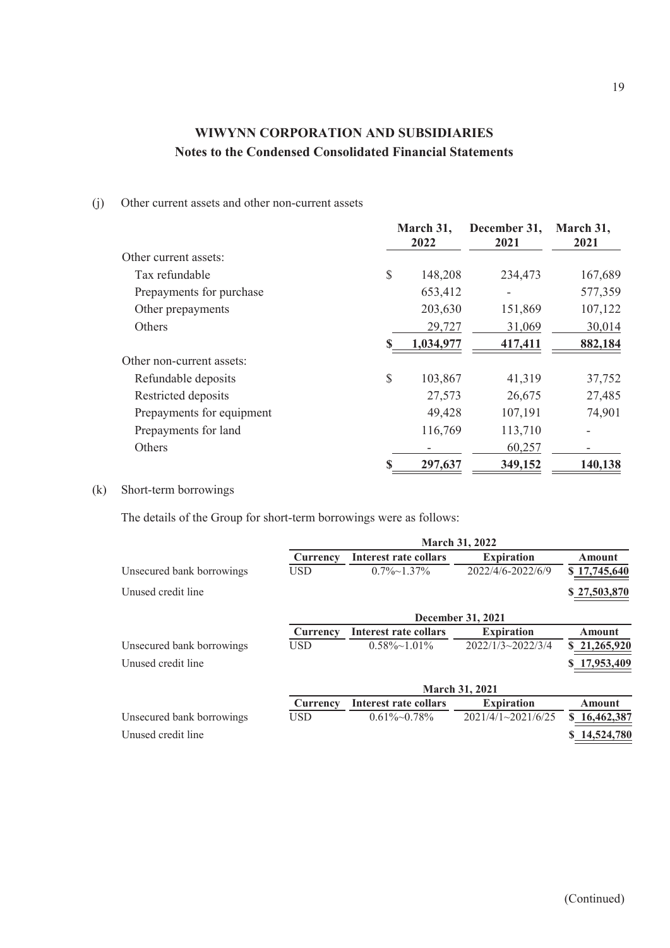#### (j) Other current assets and other non-current assets

|                           |    | March 31,<br>2022 | December 31,<br>2021 | March 31,<br>2021 |
|---------------------------|----|-------------------|----------------------|-------------------|
| Other current assets:     |    |                   |                      |                   |
| Tax refundable            | \$ | 148,208           | 234,473              | 167,689           |
| Prepayments for purchase  |    | 653,412           |                      | 577,359           |
| Other prepayments         |    | 203,630           | 151,869              | 107,122           |
| <b>Others</b>             |    | 29,727            | 31,069               | 30,014            |
|                           | \$ | 1,034,977         | 417,411              | 882,184           |
| Other non-current assets: |    |                   |                      |                   |
| Refundable deposits       | \$ | 103,867           | 41,319               | 37,752            |
| Restricted deposits       |    | 27,573            | 26,675               | 27,485            |
| Prepayments for equipment |    | 49,428            | 107,191              | 74,901            |
| Prepayments for land      |    | 116,769           | 113,710              |                   |
| <b>Others</b>             |    |                   | 60,257               |                   |
|                           | S  | 297,637           | 349,152              | 140,138           |

### (k) Short-term borrowings

The details of the Group for short-term borrowings were as follows:

|                           | <b>March 31, 2022</b> |                       |                           |               |  |
|---------------------------|-----------------------|-----------------------|---------------------------|---------------|--|
|                           | Currency              | Interest rate collars | <b>Expiration</b>         | Amount        |  |
| Unsecured bank borrowings | <b>USD</b>            | $0.7\% \sim 1.37\%$   | 2022/4/6-2022/6/9         | \$17,745,640  |  |
| Unused credit line        |                       |                       |                           | \$27,503,870  |  |
|                           |                       |                       | December 31, 2021         |               |  |
|                           | Currency              | Interest rate collars | <b>Expiration</b>         | <b>Amount</b> |  |
| Unsecured bank borrowings | <b>USD</b>            | $0.58\% \sim 1.01\%$  | $2022/1/3 \sim 2022/3/4$  | \$21,265,920  |  |
| Unused credit line        |                       |                       |                           | \$17,953,409  |  |
|                           |                       |                       | <b>March 31, 2021</b>     |               |  |
|                           | Currency              | Interest rate collars | <b>Expiration</b>         | Amount        |  |
| Unsecured bank borrowings | <b>USD</b>            | $0.61\%~0.78\%$       | $2021/4/1 \sim 2021/6/25$ | \$16,462,387  |  |
| Unused credit line        |                       |                       |                           | 14,524,780    |  |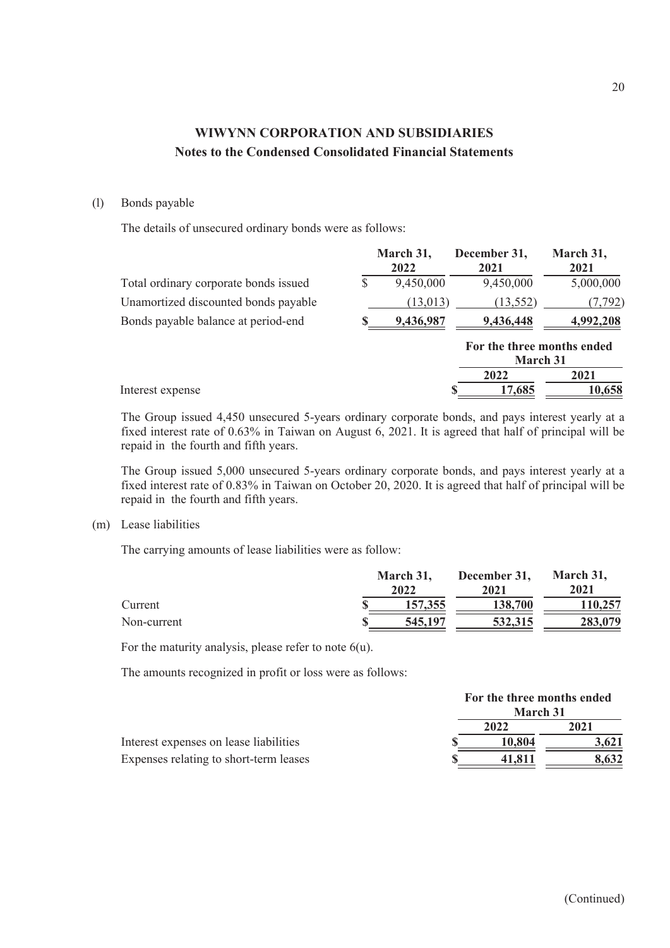### (l) Bonds payable

The details of unsecured ordinary bonds were as follows:

|                                       | March 31,<br>2022 | December 31,<br>2021                          | March 31,<br>2021 |
|---------------------------------------|-------------------|-----------------------------------------------|-------------------|
| Total ordinary corporate bonds issued | \$<br>9,450,000   | 9,450,000                                     | 5,000,000         |
| Unamortized discounted bonds payable  | (13,013)          | (13, 552)                                     | (7, 792)          |
| Bonds payable balance at period-end   | 9,436,987         | 9,436,448                                     | 4,992,208         |
|                                       |                   | For the three months ended<br><b>March 31</b> |                   |
|                                       |                   | 2022                                          | 2021              |
| Interest expense                      |                   | 17,685                                        | 10,658            |

The Group issued 4,450 unsecured 5-years ordinary corporate bonds, and pays interest yearly at a fixed interest rate of 0.63% in Taiwan on August 6, 2021. It is agreed that half of principal will be repaid in the fourth and fifth years.

The Group issued 5,000 unsecured 5-years ordinary corporate bonds, and pays interest yearly at a fixed interest rate of 0.83% in Taiwan on October 20, 2020. It is agreed that half of principal will be repaid in the fourth and fifth years.

(m) Lease liabilities

The carrying amounts of lease liabilities were as follow:

|             | March 31, | December 31, | March 31, |
|-------------|-----------|--------------|-----------|
|             | 2022      | 2021         | 2021      |
| Current     | 157,355   | 138,700      | 110,257   |
| Non-current | 545,197   | 532, 315     | 283,079   |

For the maturity analysis, please refer to note  $6(u)$ .

The amounts recognized in profit or loss were as follows:

|                                        | For the three months ended<br>March 31 |       |
|----------------------------------------|----------------------------------------|-------|
|                                        | 2022                                   | 2021  |
| Interest expenses on lease liabilities | 10.804                                 | 3.621 |
| Expenses relating to short-term leases | 41.811                                 | 8,632 |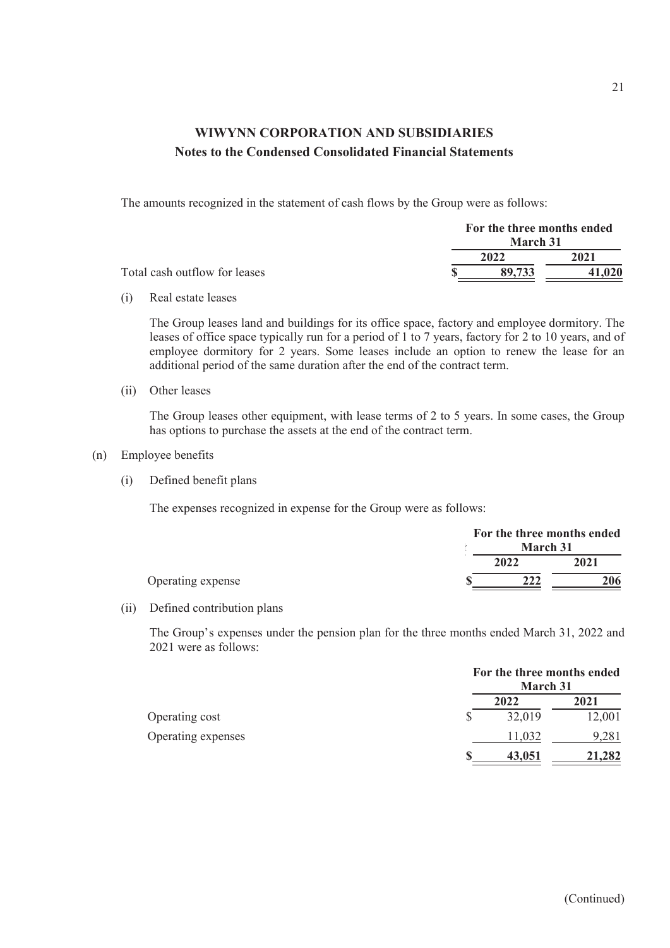The amounts recognized in the statement of cash flows by the Group were as follows:

|                               | For the three months ended |        |
|-------------------------------|----------------------------|--------|
|                               | March 31                   |        |
|                               | 2022                       | 2021   |
| Total cash outflow for leases | 89.733                     | 41,020 |

(i) Real estate leases

The Group leases land and buildings for its office space, factory and employee dormitory. The leases of office space typically run for a period of 1 to 7 years, factory for 2 to 10 years, and of employee dormitory for 2 years. Some leases include an option to renew the lease for an additional period of the same duration after the end of the contract term.

(ii) Other leases

The Group leases other equipment, with lease terms of 2 to 5 years. In some cases, the Group has options to purchase the assets at the end of the contract term.

- (n) Employee benefits
	- (i) Defined benefit plans

The expenses recognized in expense for the Group were as follows:

|                   |                 | For the three months ended |
|-------------------|-----------------|----------------------------|
|                   | <b>March 31</b> |                            |
|                   | 2022            | 2021                       |
| Operating expense | 222             | 206                        |

#### (ii) Defined contribution plans

The Group's expenses under the pension plan for the three months ended March 31, 2022 and 2021 were as follows:

|                    |   | For the three months ended<br><b>March 31</b> |        |
|--------------------|---|-----------------------------------------------|--------|
|                    |   | 2022                                          | 2021   |
| Operating cost     | S | 32,019                                        | 12,001 |
| Operating expenses |   | 11,032                                        | 9,281  |
|                    |   | 43,051                                        | 21,282 |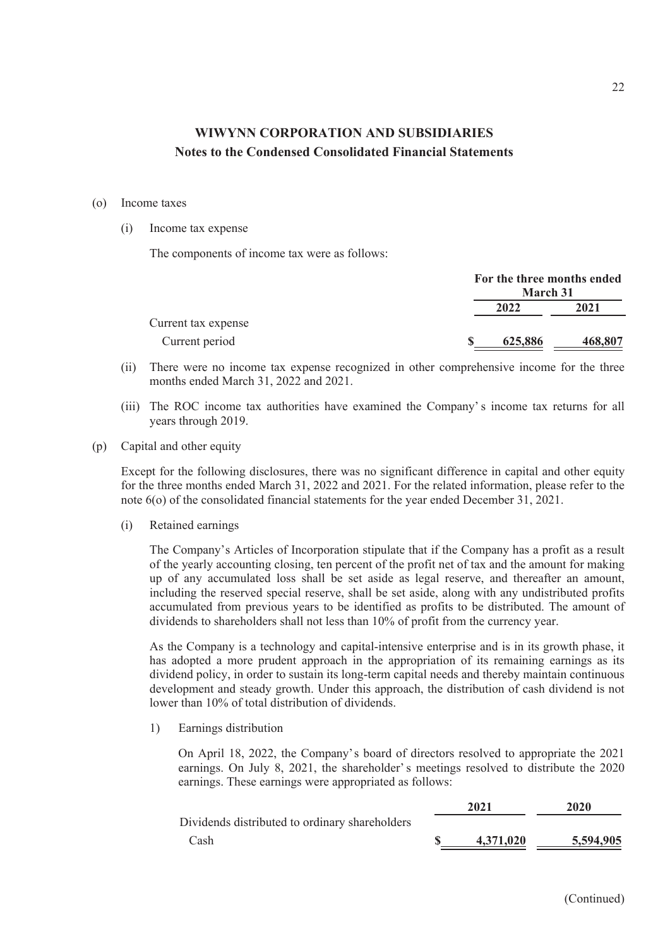#### (o) Income taxes

(i) Income tax expense

The components of income tax were as follows:

|                     | <b>March 31</b> | For the three months ended |
|---------------------|-----------------|----------------------------|
|                     | 2022            | 2021                       |
| Current tax expense |                 |                            |
| Current period      | 625,886         | 468,807                    |

- (ii) There were no income tax expense recognized in other comprehensive income for the three months ended March 31, 2022 and 2021.
- (iii) The ROC income tax authorities have examined the Company' s income tax returns for all years through 2019.
- (p) Capital and other equity

Except for the following disclosures, there was no significant difference in capital and other equity for the three months ended March 31, 2022 and 2021. For the related information, please refer to the note 6(o) of the consolidated financial statements for the year ended December 31, 2021.

(i) Retained earnings

The Company's Articles of Incorporation stipulate that if the Company has a profit as a result of the yearly accounting closing, ten percent of the profit net of tax and the amount for making up of any accumulated loss shall be set aside as legal reserve, and thereafter an amount, including the reserved special reserve, shall be set aside, along with any undistributed profits accumulated from previous years to be identified as profits to be distributed. The amount of dividends to shareholders shall not less than 10% of profit from the currency year.

As the Company is a technology and capital-intensive enterprise and is in its growth phase, it has adopted a more prudent approach in the appropriation of its remaining earnings as its dividend policy, in order to sustain its long-term capital needs and thereby maintain continuous development and steady growth. Under this approach, the distribution of cash dividend is not lower than 10% of total distribution of dividends.

1) Earnings distribution

On April 18, 2022, the Company's board of directors resolved to appropriate the 2021 earnings. On July 8, 2021, the shareholder' s meetings resolved to distribute the 2020 earnings. These earnings were appropriated as follows:

|                                                | 2021      | 2020      |
|------------------------------------------------|-----------|-----------|
| Dividends distributed to ordinary shareholders |           |           |
| Cash                                           | 4.371.020 | 5,594,905 |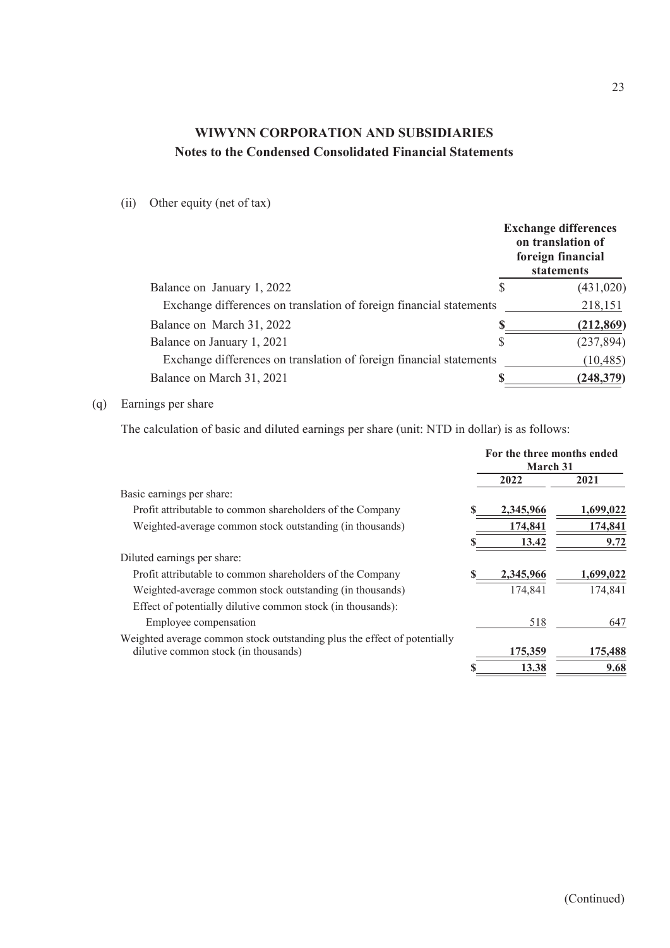### (ii) Other equity (net of tax)

|                                                                     |   | <b>Exchange differences</b><br>on translation of<br>foreign financial<br>statements |
|---------------------------------------------------------------------|---|-------------------------------------------------------------------------------------|
| Balance on January 1, 2022                                          | S | (431, 020)                                                                          |
| Exchange differences on translation of foreign financial statements |   | 218,151                                                                             |
| Balance on March 31, 2022                                           |   | (212, 869)                                                                          |
| Balance on January 1, 2021                                          | S | (237, 894)                                                                          |
| Exchange differences on translation of foreign financial statements |   | (10, 485)                                                                           |
| Balance on March 31, 2021                                           |   | (248, 379)                                                                          |

### (q) Earnings per share

The calculation of basic and diluted earnings per share (unit: NTD in dollar) is as follows:

|                                                                          | For the three months ended<br>March 31 |           |
|--------------------------------------------------------------------------|----------------------------------------|-----------|
|                                                                          | 2022                                   | 2021      |
| Basic earnings per share:                                                |                                        |           |
| Profit attributable to common shareholders of the Company                | 2,345,966                              | 1,699,022 |
| Weighted-average common stock outstanding (in thousands)                 | 174,841                                | 174,841   |
|                                                                          | 13.42                                  | 9.72      |
| Diluted earnings per share:                                              |                                        |           |
| Profit attributable to common shareholders of the Company                | 2,345,966                              | 1,699,022 |
| Weighted-average common stock outstanding (in thousands)                 | 174,841                                | 174,841   |
| Effect of potentially dilutive common stock (in thousands):              |                                        |           |
| Employee compensation                                                    | 518                                    | 647       |
| Weighted average common stock outstanding plus the effect of potentially |                                        |           |
| dilutive common stock (in thousands)                                     | 175,359                                | 175,488   |
|                                                                          | 13.38                                  | 9.68      |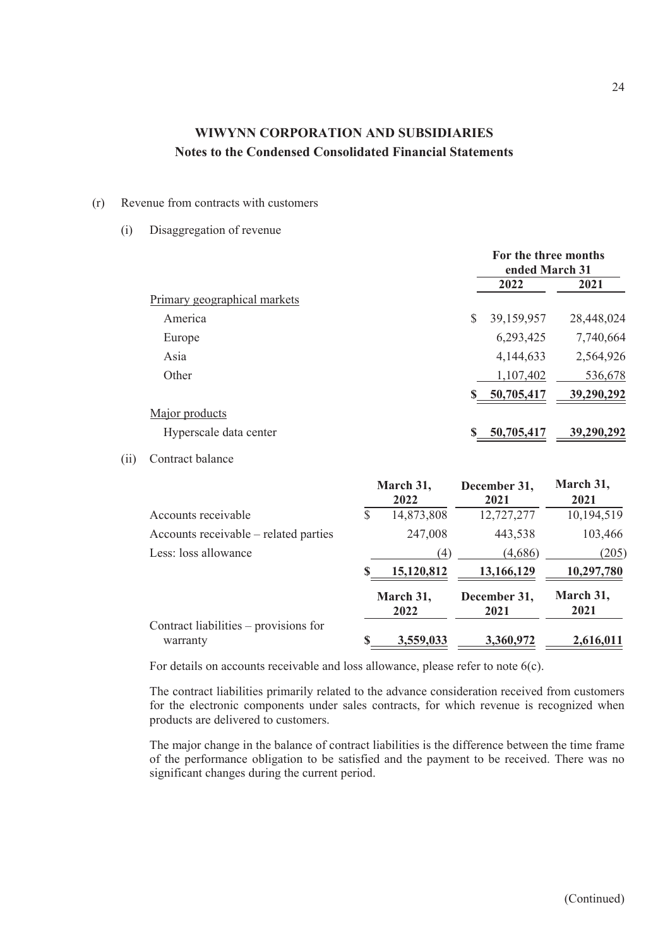#### (r) Revenue from contracts with customers

#### (i) Disaggregation of revenue

|                              | For the three months<br>ended March 31 |            |
|------------------------------|----------------------------------------|------------|
|                              | 2022                                   | 2021       |
| Primary geographical markets |                                        |            |
| America                      | \$<br>39,159,957                       | 28,448,024 |
| Europe                       | 6,293,425                              | 7,740,664  |
| Asia                         | 4,144,633                              | 2,564,926  |
| Other                        | 1,107,402                              | 536,678    |
|                              | 50,705,417                             | 39,290,292 |
| Major products               |                                        |            |
| Hyperscale data center       | 50,705,417                             | 39,290,292 |

### (ii) Contract balance

|                                                   |   | March 31,<br>2022 | December 31,<br>2021 | March 31,<br>2021 |
|---------------------------------------------------|---|-------------------|----------------------|-------------------|
| Accounts receivable                               | S | 14,873,808        | 12,727,277           | 10,194,519        |
| Accounts receivable – related parties             |   | 247,008           | 443,538              | 103,466           |
| Less: loss allowance                              |   | $\left( 4\right)$ | (4,686)              | (205)             |
|                                                   | S | 15,120,812        | 13,166,129           | 10,297,780        |
|                                                   |   | March 31,<br>2022 | December 31,<br>2021 | March 31,<br>2021 |
| Contract liabilities - provisions for<br>warranty | S | 3,559,033         | 3,360,972            | 2,616,011         |

For details on accounts receivable and loss allowance, please refer to note 6(c).

The contract liabilities primarily related to the advance consideration received from customers for the electronic components under sales contracts, for which revenue is recognized when products are delivered to customers.

The major change in the balance of contract liabilities is the difference between the time frame of the performance obligation to be satisfied and the payment to be received. There was no significant changes during the current period.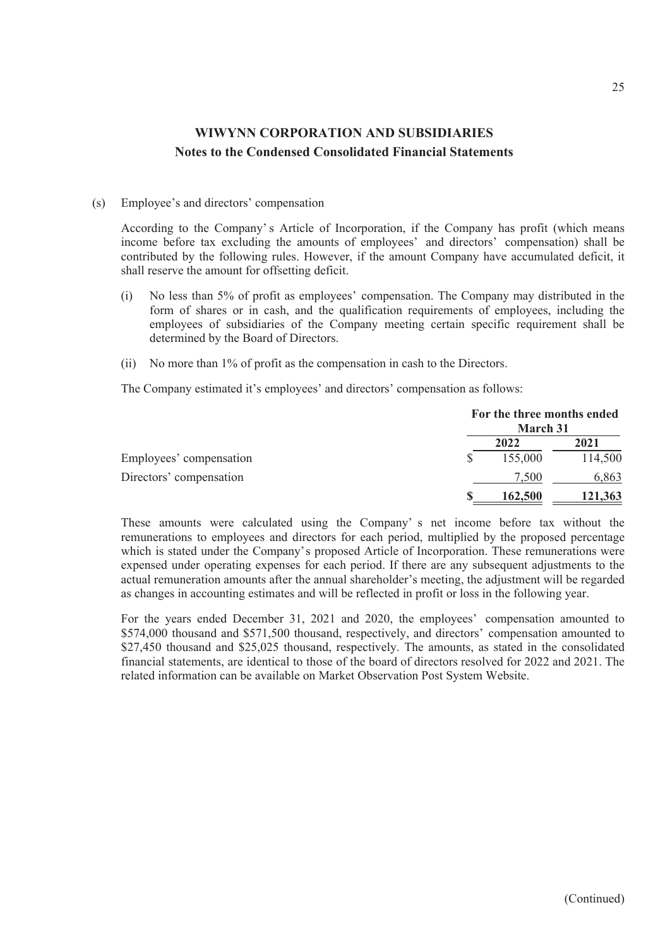#### (s) Employee's and directors' compensation

According to the Company' s Article of Incorporation, if the Company has profit (which means income before tax excluding the amounts of employees' and directors' compensation) shall be contributed by the following rules. However, if the amount Company have accumulated deficit, it shall reserve the amount for offsetting deficit.

- (i) No less than 5% of profit as employees' compensation. The Company may distributed in the form of shares or in cash, and the qualification requirements of employees, including the employees of subsidiaries of the Company meeting certain specific requirement shall be determined by the Board of Directors.
- (ii) No more than 1% of profit as the compensation in cash to the Directors.

The Company estimated it's employees' and directors' compensation as follows:

|                         | For the three months ended<br>March 31 |         |
|-------------------------|----------------------------------------|---------|
|                         | 2022                                   | 2021    |
| Employees' compensation | 155,000                                | 114,500 |
| Directors' compensation | 7.500                                  | 6,863   |
|                         | 162,500                                | 121,363 |

These amounts were calculated using the Company' s net income before tax without the remunerations to employees and directors for each period, multiplied by the proposed percentage which is stated under the Company's proposed Article of Incorporation. These remunerations were expensed under operating expenses for each period. If there are any subsequent adjustments to the actual remuneration amounts after the annual shareholder's meeting, the adjustment will be regarded as changes in accounting estimates and will be reflected in profit or loss in the following year.

For the years ended December 31, 2021 and 2020, the employees' compensation amounted to \$574,000 thousand and \$571,500 thousand, respectively, and directors' compensation amounted to \$27,450 thousand and \$25,025 thousand, respectively. The amounts, as stated in the consolidated financial statements, are identical to those of the board of directors resolved for 2022 and 2021. The related information can be available on Market Observation Post System Website.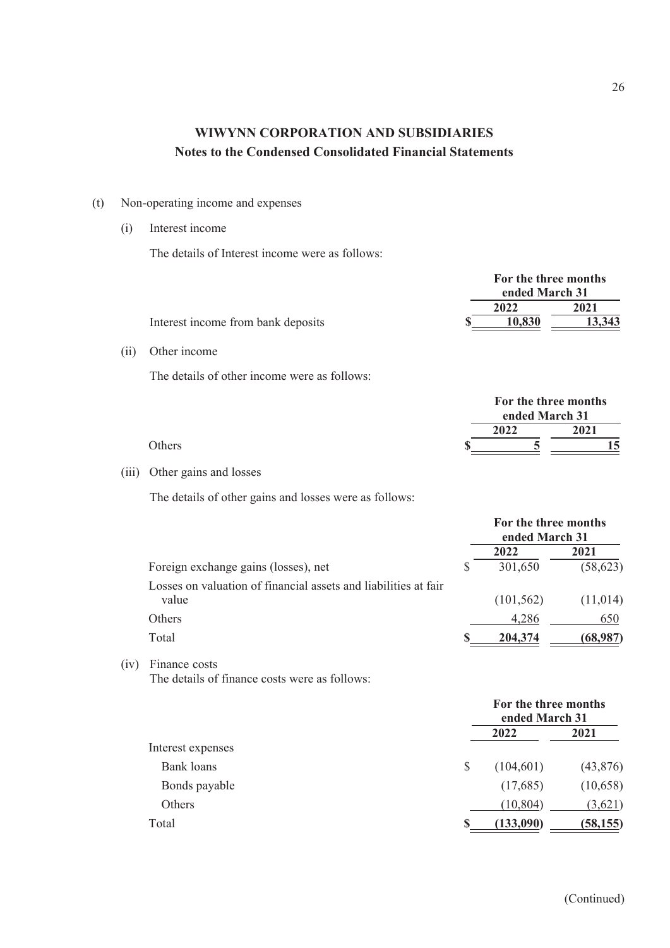- (t) Non-operating income and expenses
	- (i) Interest income

 $(ii)$ 

 $(iii)$ 

The details of Interest income were as follows:

|                                                                 |   | For the three months<br>ended March 31 |           |
|-----------------------------------------------------------------|---|----------------------------------------|-----------|
|                                                                 |   | 2022                                   | 2021      |
| Interest income from bank deposits                              |   | 10,830                                 | 13,343    |
| Other income                                                    |   |                                        |           |
| The details of other income were as follows:                    |   |                                        |           |
|                                                                 |   | For the three months<br>ended March 31 |           |
|                                                                 |   | 2022                                   | 2021      |
| Others                                                          |   | 5                                      | 15        |
| Other gains and losses                                          |   |                                        |           |
| The details of other gains and losses were as follows:          |   |                                        |           |
|                                                                 |   | For the three months<br>ended March 31 |           |
|                                                                 |   | 2022                                   | 2021      |
| Foreign exchange gains (losses), net                            | S | 301,650                                | (58, 623) |
| Losses on valuation of financial assets and liabilities at fair |   |                                        |           |
| value                                                           |   | (101, 562)                             | (11,014)  |
| Others                                                          |   | 4,286                                  | 650       |
| Total                                                           |   | 204,374                                | (68,987)  |

(iv) Finance costs The details of finance costs were as follows:

|                   |    | For the three months<br>ended March 31 |           |  |
|-------------------|----|----------------------------------------|-----------|--|
|                   |    | 2022                                   | 2021      |  |
| Interest expenses |    |                                        |           |  |
| <b>Bank</b> loans | \$ | (104, 601)                             | (43, 876) |  |
| Bonds payable     |    | (17,685)                               | (10,658)  |  |
| Others            |    | (10, 804)                              | (3,621)   |  |
| Total             | S  | (133,090)                              | (58, 155) |  |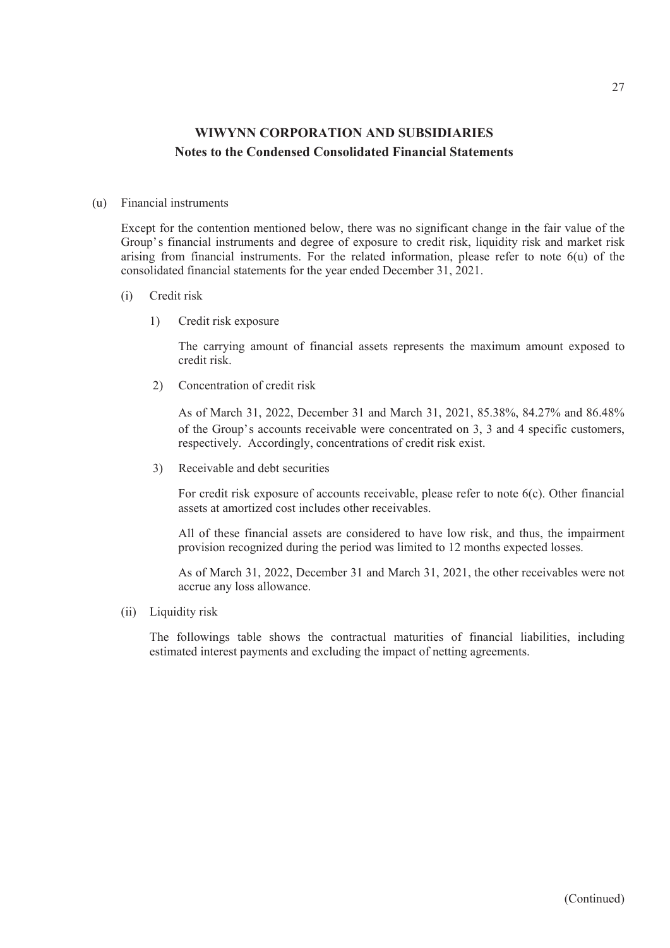#### (u) Financial instruments

Except for the contention mentioned below, there was no significant change in the fair value of the Group's financial instruments and degree of exposure to credit risk, liquidity risk and market risk arising from financial instruments. For the related information, please refer to note 6(u) of the consolidated financial statements for the year ended December 31, 2021.

- (i) Credit risk
	- 1) Credit risk exposure

The carrying amount of financial assets represents the maximum amount exposed to credit risk.

2) Concentration of credit risk

As of March 31, 2022, December 31 and March 31, 2021, 85.38%, 84.27% and 86.48% of the Group's accounts receivable were concentrated on 3, 3 and 4 specific customers, respectively. Accordingly, concentrations of credit risk exist.

3) Receivable and debt securities

For credit risk exposure of accounts receivable, please refer to note 6(c). Other financial assets at amortized cost includes other receivables.

All of these financial assets are considered to have low risk, and thus, the impairment provision recognized during the period was limited to 12 months expected losses.

As of March 31, 2022, December 31 and March 31, 2021, the other receivables were not accrue any loss allowance.

(ii) Liquidity risk

The followings table shows the contractual maturities of financial liabilities, including estimated interest payments and excluding the impact of netting agreements.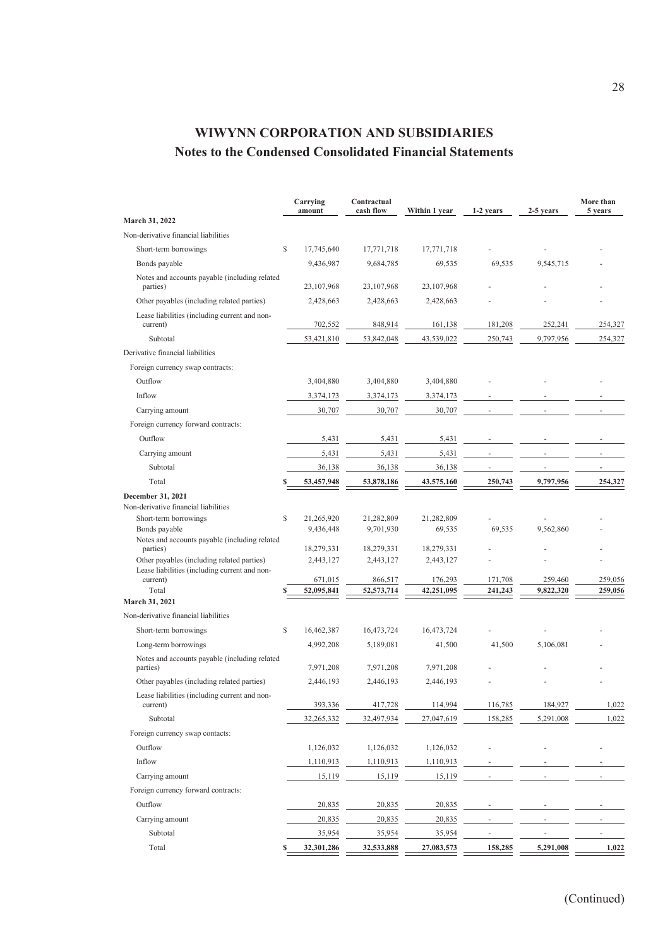| \$<br>Short-term borrowings<br>17,745,640<br>17,771,718<br>17,771,718<br>Bonds payable<br>69,535<br>9,545,715<br>9,436,987<br>9,684,785<br>69,535<br>Notes and accounts payable (including related<br>parties)<br>23,107,968<br>23,107,968<br>23, 107, 968<br>Other payables (including related parties)<br>2,428,663<br>2,428,663<br>2,428,663<br>Lease liabilities (including current and non-<br>current)<br>702,552<br>848,914<br>161,138<br>181,208<br>252,241<br>254,327<br>Subtotal<br>53,421,810<br>53,842,048<br>43,539,022<br>9,797,956<br>250,743<br>254,327<br>Foreign currency swap contracts:<br>Outflow<br>3,404,880<br>3,404,880<br>3,404,880<br>Inflow<br>3,374,173<br>3,374,173<br>3,374,173<br>30,707<br>Carrying amount<br>30,707<br>30,707<br>Foreign currency forward contracts:<br>Outflow<br>5,431<br>5,431<br>5,431<br>5,431<br>5,431<br>5,431<br>Carrying amount<br>36,138<br>36,138<br>36,138<br>Subtotal<br>Total<br>53,457,948<br>53,878,186<br>43,575,160<br>250,743<br>9,797,956<br>254,327<br>\$<br>Short-term borrowings<br>21,265,920<br>21,282,809<br>21,282,809<br>Bonds payable<br>9,436,448<br>69,535<br>69,535<br>9,562,860<br>9,701,930<br>Notes and accounts payable (including related<br>parties)<br>18,279,331<br>18,279,331<br>18,279,331<br>Other payables (including related parties)<br>2,443,127<br>2,443,127<br>2,443,127<br>Lease liabilities (including current and non-<br>259,056<br>current)<br>671,015<br>866,517<br>176,293<br>171,708<br>259,460<br>Total<br>259,056<br>52,095,841<br>52,573,714<br>42,251,095<br>241,243<br>9,822,320<br>March 31, 2021<br>Non-derivative financial liabilities<br>Short-term borrowings<br>\$<br>16,462,387<br>16,473,724<br>16,473,724<br>4,992,208<br>41,500<br>41,500<br>5,106,081<br>Long-term borrowings<br>5,189,081<br>Notes and accounts payable (including related<br>parties)<br>7,971,208<br>7,971,208<br>7,971,208<br>Other payables (including related parties)<br>2,446,193<br>2,446,193<br>2,446,193<br>Lease liabilities (including current and non-<br>393,336<br>417,728<br>114,994<br>116,785<br>184,927<br>1,022<br>current)<br>27,047,619<br>Subtotal<br>32,265,332<br>32,497,934<br>158,285<br>5,291,008<br>1,022<br>Foreign currency swap contacts:<br>Outflow<br>1,126,032<br>1,126,032<br>1,126,032<br>Inflow<br>1,110,913<br>1,110,913<br>1,110,913<br>Carrying amount<br>15,119<br>15,119<br>15,119<br>Foreign currency forward contracts:<br>Outflow<br>20,835<br>20,835<br>20,835<br>Carrying amount<br>20,835<br>20,835<br>20,835<br>Subtotal<br>35,954<br>35,954<br>35,954<br>Total<br>32,301,286<br>27,083,573<br>158,285<br>5,291,008<br>1,022<br>32,533,888 |                                      | Carrying<br>amount | Contractual<br>cash flow | Within 1 year | 1-2 years | 2-5 years | More than<br>5 years |
|-------------------------------------------------------------------------------------------------------------------------------------------------------------------------------------------------------------------------------------------------------------------------------------------------------------------------------------------------------------------------------------------------------------------------------------------------------------------------------------------------------------------------------------------------------------------------------------------------------------------------------------------------------------------------------------------------------------------------------------------------------------------------------------------------------------------------------------------------------------------------------------------------------------------------------------------------------------------------------------------------------------------------------------------------------------------------------------------------------------------------------------------------------------------------------------------------------------------------------------------------------------------------------------------------------------------------------------------------------------------------------------------------------------------------------------------------------------------------------------------------------------------------------------------------------------------------------------------------------------------------------------------------------------------------------------------------------------------------------------------------------------------------------------------------------------------------------------------------------------------------------------------------------------------------------------------------------------------------------------------------------------------------------------------------------------------------------------------------------------------------------------------------------------------------------------------------------------------------------------------------------------------------------------------------------------------------------------------------------------------------------------------------------------------------------------------------------------------------------------------------------------------------------------------------------------------------------------------------------------------------------------------------------------------------------------------|--------------------------------------|--------------------|--------------------------|---------------|-----------|-----------|----------------------|
|                                                                                                                                                                                                                                                                                                                                                                                                                                                                                                                                                                                                                                                                                                                                                                                                                                                                                                                                                                                                                                                                                                                                                                                                                                                                                                                                                                                                                                                                                                                                                                                                                                                                                                                                                                                                                                                                                                                                                                                                                                                                                                                                                                                                                                                                                                                                                                                                                                                                                                                                                                                                                                                                                           | March 31, 2022                       |                    |                          |               |           |           |                      |
|                                                                                                                                                                                                                                                                                                                                                                                                                                                                                                                                                                                                                                                                                                                                                                                                                                                                                                                                                                                                                                                                                                                                                                                                                                                                                                                                                                                                                                                                                                                                                                                                                                                                                                                                                                                                                                                                                                                                                                                                                                                                                                                                                                                                                                                                                                                                                                                                                                                                                                                                                                                                                                                                                           | Non-derivative financial liabilities |                    |                          |               |           |           |                      |
|                                                                                                                                                                                                                                                                                                                                                                                                                                                                                                                                                                                                                                                                                                                                                                                                                                                                                                                                                                                                                                                                                                                                                                                                                                                                                                                                                                                                                                                                                                                                                                                                                                                                                                                                                                                                                                                                                                                                                                                                                                                                                                                                                                                                                                                                                                                                                                                                                                                                                                                                                                                                                                                                                           |                                      |                    |                          |               |           |           |                      |
|                                                                                                                                                                                                                                                                                                                                                                                                                                                                                                                                                                                                                                                                                                                                                                                                                                                                                                                                                                                                                                                                                                                                                                                                                                                                                                                                                                                                                                                                                                                                                                                                                                                                                                                                                                                                                                                                                                                                                                                                                                                                                                                                                                                                                                                                                                                                                                                                                                                                                                                                                                                                                                                                                           |                                      |                    |                          |               |           |           |                      |
|                                                                                                                                                                                                                                                                                                                                                                                                                                                                                                                                                                                                                                                                                                                                                                                                                                                                                                                                                                                                                                                                                                                                                                                                                                                                                                                                                                                                                                                                                                                                                                                                                                                                                                                                                                                                                                                                                                                                                                                                                                                                                                                                                                                                                                                                                                                                                                                                                                                                                                                                                                                                                                                                                           |                                      |                    |                          |               |           |           |                      |
|                                                                                                                                                                                                                                                                                                                                                                                                                                                                                                                                                                                                                                                                                                                                                                                                                                                                                                                                                                                                                                                                                                                                                                                                                                                                                                                                                                                                                                                                                                                                                                                                                                                                                                                                                                                                                                                                                                                                                                                                                                                                                                                                                                                                                                                                                                                                                                                                                                                                                                                                                                                                                                                                                           |                                      |                    |                          |               |           |           |                      |
|                                                                                                                                                                                                                                                                                                                                                                                                                                                                                                                                                                                                                                                                                                                                                                                                                                                                                                                                                                                                                                                                                                                                                                                                                                                                                                                                                                                                                                                                                                                                                                                                                                                                                                                                                                                                                                                                                                                                                                                                                                                                                                                                                                                                                                                                                                                                                                                                                                                                                                                                                                                                                                                                                           |                                      |                    |                          |               |           |           |                      |
|                                                                                                                                                                                                                                                                                                                                                                                                                                                                                                                                                                                                                                                                                                                                                                                                                                                                                                                                                                                                                                                                                                                                                                                                                                                                                                                                                                                                                                                                                                                                                                                                                                                                                                                                                                                                                                                                                                                                                                                                                                                                                                                                                                                                                                                                                                                                                                                                                                                                                                                                                                                                                                                                                           |                                      |                    |                          |               |           |           |                      |
|                                                                                                                                                                                                                                                                                                                                                                                                                                                                                                                                                                                                                                                                                                                                                                                                                                                                                                                                                                                                                                                                                                                                                                                                                                                                                                                                                                                                                                                                                                                                                                                                                                                                                                                                                                                                                                                                                                                                                                                                                                                                                                                                                                                                                                                                                                                                                                                                                                                                                                                                                                                                                                                                                           | Derivative financial liabilities     |                    |                          |               |           |           |                      |
|                                                                                                                                                                                                                                                                                                                                                                                                                                                                                                                                                                                                                                                                                                                                                                                                                                                                                                                                                                                                                                                                                                                                                                                                                                                                                                                                                                                                                                                                                                                                                                                                                                                                                                                                                                                                                                                                                                                                                                                                                                                                                                                                                                                                                                                                                                                                                                                                                                                                                                                                                                                                                                                                                           |                                      |                    |                          |               |           |           |                      |
|                                                                                                                                                                                                                                                                                                                                                                                                                                                                                                                                                                                                                                                                                                                                                                                                                                                                                                                                                                                                                                                                                                                                                                                                                                                                                                                                                                                                                                                                                                                                                                                                                                                                                                                                                                                                                                                                                                                                                                                                                                                                                                                                                                                                                                                                                                                                                                                                                                                                                                                                                                                                                                                                                           |                                      |                    |                          |               |           |           |                      |
|                                                                                                                                                                                                                                                                                                                                                                                                                                                                                                                                                                                                                                                                                                                                                                                                                                                                                                                                                                                                                                                                                                                                                                                                                                                                                                                                                                                                                                                                                                                                                                                                                                                                                                                                                                                                                                                                                                                                                                                                                                                                                                                                                                                                                                                                                                                                                                                                                                                                                                                                                                                                                                                                                           |                                      |                    |                          |               |           |           |                      |
|                                                                                                                                                                                                                                                                                                                                                                                                                                                                                                                                                                                                                                                                                                                                                                                                                                                                                                                                                                                                                                                                                                                                                                                                                                                                                                                                                                                                                                                                                                                                                                                                                                                                                                                                                                                                                                                                                                                                                                                                                                                                                                                                                                                                                                                                                                                                                                                                                                                                                                                                                                                                                                                                                           |                                      |                    |                          |               |           |           |                      |
|                                                                                                                                                                                                                                                                                                                                                                                                                                                                                                                                                                                                                                                                                                                                                                                                                                                                                                                                                                                                                                                                                                                                                                                                                                                                                                                                                                                                                                                                                                                                                                                                                                                                                                                                                                                                                                                                                                                                                                                                                                                                                                                                                                                                                                                                                                                                                                                                                                                                                                                                                                                                                                                                                           |                                      |                    |                          |               |           |           |                      |
|                                                                                                                                                                                                                                                                                                                                                                                                                                                                                                                                                                                                                                                                                                                                                                                                                                                                                                                                                                                                                                                                                                                                                                                                                                                                                                                                                                                                                                                                                                                                                                                                                                                                                                                                                                                                                                                                                                                                                                                                                                                                                                                                                                                                                                                                                                                                                                                                                                                                                                                                                                                                                                                                                           |                                      |                    |                          |               |           |           |                      |
|                                                                                                                                                                                                                                                                                                                                                                                                                                                                                                                                                                                                                                                                                                                                                                                                                                                                                                                                                                                                                                                                                                                                                                                                                                                                                                                                                                                                                                                                                                                                                                                                                                                                                                                                                                                                                                                                                                                                                                                                                                                                                                                                                                                                                                                                                                                                                                                                                                                                                                                                                                                                                                                                                           |                                      |                    |                          |               |           |           |                      |
|                                                                                                                                                                                                                                                                                                                                                                                                                                                                                                                                                                                                                                                                                                                                                                                                                                                                                                                                                                                                                                                                                                                                                                                                                                                                                                                                                                                                                                                                                                                                                                                                                                                                                                                                                                                                                                                                                                                                                                                                                                                                                                                                                                                                                                                                                                                                                                                                                                                                                                                                                                                                                                                                                           |                                      |                    |                          |               |           |           |                      |
|                                                                                                                                                                                                                                                                                                                                                                                                                                                                                                                                                                                                                                                                                                                                                                                                                                                                                                                                                                                                                                                                                                                                                                                                                                                                                                                                                                                                                                                                                                                                                                                                                                                                                                                                                                                                                                                                                                                                                                                                                                                                                                                                                                                                                                                                                                                                                                                                                                                                                                                                                                                                                                                                                           |                                      |                    |                          |               |           |           |                      |
|                                                                                                                                                                                                                                                                                                                                                                                                                                                                                                                                                                                                                                                                                                                                                                                                                                                                                                                                                                                                                                                                                                                                                                                                                                                                                                                                                                                                                                                                                                                                                                                                                                                                                                                                                                                                                                                                                                                                                                                                                                                                                                                                                                                                                                                                                                                                                                                                                                                                                                                                                                                                                                                                                           | December 31, 2021                    |                    |                          |               |           |           |                      |
|                                                                                                                                                                                                                                                                                                                                                                                                                                                                                                                                                                                                                                                                                                                                                                                                                                                                                                                                                                                                                                                                                                                                                                                                                                                                                                                                                                                                                                                                                                                                                                                                                                                                                                                                                                                                                                                                                                                                                                                                                                                                                                                                                                                                                                                                                                                                                                                                                                                                                                                                                                                                                                                                                           | Non-derivative financial liabilities |                    |                          |               |           |           |                      |
|                                                                                                                                                                                                                                                                                                                                                                                                                                                                                                                                                                                                                                                                                                                                                                                                                                                                                                                                                                                                                                                                                                                                                                                                                                                                                                                                                                                                                                                                                                                                                                                                                                                                                                                                                                                                                                                                                                                                                                                                                                                                                                                                                                                                                                                                                                                                                                                                                                                                                                                                                                                                                                                                                           |                                      |                    |                          |               |           |           |                      |
|                                                                                                                                                                                                                                                                                                                                                                                                                                                                                                                                                                                                                                                                                                                                                                                                                                                                                                                                                                                                                                                                                                                                                                                                                                                                                                                                                                                                                                                                                                                                                                                                                                                                                                                                                                                                                                                                                                                                                                                                                                                                                                                                                                                                                                                                                                                                                                                                                                                                                                                                                                                                                                                                                           |                                      |                    |                          |               |           |           |                      |
|                                                                                                                                                                                                                                                                                                                                                                                                                                                                                                                                                                                                                                                                                                                                                                                                                                                                                                                                                                                                                                                                                                                                                                                                                                                                                                                                                                                                                                                                                                                                                                                                                                                                                                                                                                                                                                                                                                                                                                                                                                                                                                                                                                                                                                                                                                                                                                                                                                                                                                                                                                                                                                                                                           |                                      |                    |                          |               |           |           |                      |
|                                                                                                                                                                                                                                                                                                                                                                                                                                                                                                                                                                                                                                                                                                                                                                                                                                                                                                                                                                                                                                                                                                                                                                                                                                                                                                                                                                                                                                                                                                                                                                                                                                                                                                                                                                                                                                                                                                                                                                                                                                                                                                                                                                                                                                                                                                                                                                                                                                                                                                                                                                                                                                                                                           |                                      |                    |                          |               |           |           |                      |
|                                                                                                                                                                                                                                                                                                                                                                                                                                                                                                                                                                                                                                                                                                                                                                                                                                                                                                                                                                                                                                                                                                                                                                                                                                                                                                                                                                                                                                                                                                                                                                                                                                                                                                                                                                                                                                                                                                                                                                                                                                                                                                                                                                                                                                                                                                                                                                                                                                                                                                                                                                                                                                                                                           |                                      |                    |                          |               |           |           |                      |
|                                                                                                                                                                                                                                                                                                                                                                                                                                                                                                                                                                                                                                                                                                                                                                                                                                                                                                                                                                                                                                                                                                                                                                                                                                                                                                                                                                                                                                                                                                                                                                                                                                                                                                                                                                                                                                                                                                                                                                                                                                                                                                                                                                                                                                                                                                                                                                                                                                                                                                                                                                                                                                                                                           |                                      |                    |                          |               |           |           |                      |
|                                                                                                                                                                                                                                                                                                                                                                                                                                                                                                                                                                                                                                                                                                                                                                                                                                                                                                                                                                                                                                                                                                                                                                                                                                                                                                                                                                                                                                                                                                                                                                                                                                                                                                                                                                                                                                                                                                                                                                                                                                                                                                                                                                                                                                                                                                                                                                                                                                                                                                                                                                                                                                                                                           |                                      |                    |                          |               |           |           |                      |
|                                                                                                                                                                                                                                                                                                                                                                                                                                                                                                                                                                                                                                                                                                                                                                                                                                                                                                                                                                                                                                                                                                                                                                                                                                                                                                                                                                                                                                                                                                                                                                                                                                                                                                                                                                                                                                                                                                                                                                                                                                                                                                                                                                                                                                                                                                                                                                                                                                                                                                                                                                                                                                                                                           |                                      |                    |                          |               |           |           |                      |
|                                                                                                                                                                                                                                                                                                                                                                                                                                                                                                                                                                                                                                                                                                                                                                                                                                                                                                                                                                                                                                                                                                                                                                                                                                                                                                                                                                                                                                                                                                                                                                                                                                                                                                                                                                                                                                                                                                                                                                                                                                                                                                                                                                                                                                                                                                                                                                                                                                                                                                                                                                                                                                                                                           |                                      |                    |                          |               |           |           |                      |
|                                                                                                                                                                                                                                                                                                                                                                                                                                                                                                                                                                                                                                                                                                                                                                                                                                                                                                                                                                                                                                                                                                                                                                                                                                                                                                                                                                                                                                                                                                                                                                                                                                                                                                                                                                                                                                                                                                                                                                                                                                                                                                                                                                                                                                                                                                                                                                                                                                                                                                                                                                                                                                                                                           |                                      |                    |                          |               |           |           |                      |
|                                                                                                                                                                                                                                                                                                                                                                                                                                                                                                                                                                                                                                                                                                                                                                                                                                                                                                                                                                                                                                                                                                                                                                                                                                                                                                                                                                                                                                                                                                                                                                                                                                                                                                                                                                                                                                                                                                                                                                                                                                                                                                                                                                                                                                                                                                                                                                                                                                                                                                                                                                                                                                                                                           |                                      |                    |                          |               |           |           |                      |
|                                                                                                                                                                                                                                                                                                                                                                                                                                                                                                                                                                                                                                                                                                                                                                                                                                                                                                                                                                                                                                                                                                                                                                                                                                                                                                                                                                                                                                                                                                                                                                                                                                                                                                                                                                                                                                                                                                                                                                                                                                                                                                                                                                                                                                                                                                                                                                                                                                                                                                                                                                                                                                                                                           |                                      |                    |                          |               |           |           |                      |
|                                                                                                                                                                                                                                                                                                                                                                                                                                                                                                                                                                                                                                                                                                                                                                                                                                                                                                                                                                                                                                                                                                                                                                                                                                                                                                                                                                                                                                                                                                                                                                                                                                                                                                                                                                                                                                                                                                                                                                                                                                                                                                                                                                                                                                                                                                                                                                                                                                                                                                                                                                                                                                                                                           |                                      |                    |                          |               |           |           |                      |
|                                                                                                                                                                                                                                                                                                                                                                                                                                                                                                                                                                                                                                                                                                                                                                                                                                                                                                                                                                                                                                                                                                                                                                                                                                                                                                                                                                                                                                                                                                                                                                                                                                                                                                                                                                                                                                                                                                                                                                                                                                                                                                                                                                                                                                                                                                                                                                                                                                                                                                                                                                                                                                                                                           |                                      |                    |                          |               |           |           |                      |
|                                                                                                                                                                                                                                                                                                                                                                                                                                                                                                                                                                                                                                                                                                                                                                                                                                                                                                                                                                                                                                                                                                                                                                                                                                                                                                                                                                                                                                                                                                                                                                                                                                                                                                                                                                                                                                                                                                                                                                                                                                                                                                                                                                                                                                                                                                                                                                                                                                                                                                                                                                                                                                                                                           |                                      |                    |                          |               |           |           |                      |
|                                                                                                                                                                                                                                                                                                                                                                                                                                                                                                                                                                                                                                                                                                                                                                                                                                                                                                                                                                                                                                                                                                                                                                                                                                                                                                                                                                                                                                                                                                                                                                                                                                                                                                                                                                                                                                                                                                                                                                                                                                                                                                                                                                                                                                                                                                                                                                                                                                                                                                                                                                                                                                                                                           |                                      |                    |                          |               |           |           |                      |
|                                                                                                                                                                                                                                                                                                                                                                                                                                                                                                                                                                                                                                                                                                                                                                                                                                                                                                                                                                                                                                                                                                                                                                                                                                                                                                                                                                                                                                                                                                                                                                                                                                                                                                                                                                                                                                                                                                                                                                                                                                                                                                                                                                                                                                                                                                                                                                                                                                                                                                                                                                                                                                                                                           |                                      |                    |                          |               |           |           |                      |
|                                                                                                                                                                                                                                                                                                                                                                                                                                                                                                                                                                                                                                                                                                                                                                                                                                                                                                                                                                                                                                                                                                                                                                                                                                                                                                                                                                                                                                                                                                                                                                                                                                                                                                                                                                                                                                                                                                                                                                                                                                                                                                                                                                                                                                                                                                                                                                                                                                                                                                                                                                                                                                                                                           |                                      |                    |                          |               |           |           |                      |
|                                                                                                                                                                                                                                                                                                                                                                                                                                                                                                                                                                                                                                                                                                                                                                                                                                                                                                                                                                                                                                                                                                                                                                                                                                                                                                                                                                                                                                                                                                                                                                                                                                                                                                                                                                                                                                                                                                                                                                                                                                                                                                                                                                                                                                                                                                                                                                                                                                                                                                                                                                                                                                                                                           |                                      |                    |                          |               |           |           |                      |
|                                                                                                                                                                                                                                                                                                                                                                                                                                                                                                                                                                                                                                                                                                                                                                                                                                                                                                                                                                                                                                                                                                                                                                                                                                                                                                                                                                                                                                                                                                                                                                                                                                                                                                                                                                                                                                                                                                                                                                                                                                                                                                                                                                                                                                                                                                                                                                                                                                                                                                                                                                                                                                                                                           |                                      |                    |                          |               |           |           |                      |
|                                                                                                                                                                                                                                                                                                                                                                                                                                                                                                                                                                                                                                                                                                                                                                                                                                                                                                                                                                                                                                                                                                                                                                                                                                                                                                                                                                                                                                                                                                                                                                                                                                                                                                                                                                                                                                                                                                                                                                                                                                                                                                                                                                                                                                                                                                                                                                                                                                                                                                                                                                                                                                                                                           |                                      |                    |                          |               |           |           |                      |
|                                                                                                                                                                                                                                                                                                                                                                                                                                                                                                                                                                                                                                                                                                                                                                                                                                                                                                                                                                                                                                                                                                                                                                                                                                                                                                                                                                                                                                                                                                                                                                                                                                                                                                                                                                                                                                                                                                                                                                                                                                                                                                                                                                                                                                                                                                                                                                                                                                                                                                                                                                                                                                                                                           |                                      |                    |                          |               |           |           |                      |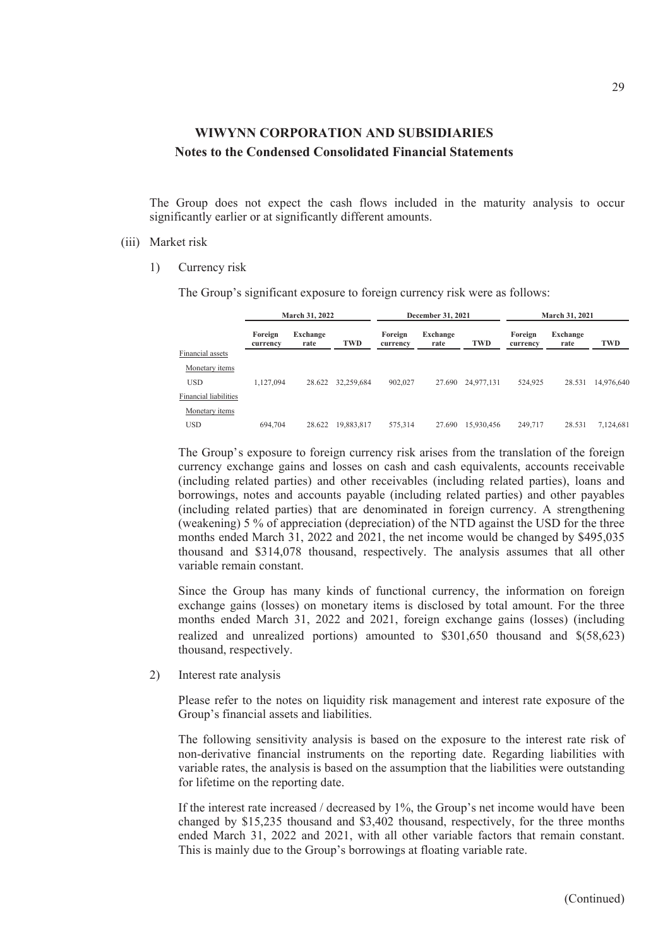The Group does not expect the cash flows included in the maturity analysis to occur significantly earlier or at significantly different amounts.

#### (iii) Market risk

1) Currency risk

The Group's significant exposure to foreign currency risk were as follows:

|                              |                     | <b>March 31, 2022</b> |            | <b>December 31, 2021</b> |                  |            | <b>March 31, 2021</b> |                  |            |  |
|------------------------------|---------------------|-----------------------|------------|--------------------------|------------------|------------|-----------------------|------------------|------------|--|
|                              | Foreign<br>currency | Exchange<br>rate      | TWD        | Foreign<br>currency      | Exchange<br>rate | TWD        | Foreign<br>currency   | Exchange<br>rate | TWD        |  |
| Financial assets             |                     |                       |            |                          |                  |            |                       |                  |            |  |
| Monetary items               |                     |                       |            |                          |                  |            |                       |                  |            |  |
| <b>USD</b>                   | 1.127.094           | 28.622                | 32,259,684 | 902,027                  | 27.690           | 24,977,131 | 524,925               | 28.531           | 14,976,640 |  |
| <b>Financial liabilities</b> |                     |                       |            |                          |                  |            |                       |                  |            |  |
| Monetary items               |                     |                       |            |                          |                  |            |                       |                  |            |  |
| <b>USD</b>                   | 694,704             | 28.622                | 19,883,817 | 575,314                  | 27.690           | 15.930.456 | 249,717               | 28.531           | 7.124.681  |  |

The Group's exposure to foreign currency risk arises from the translation of the foreign currency exchange gains and losses on cash and cash equivalents, accounts receivable (including related parties) and other receivables (including related parties), loans and borrowings, notes and accounts payable (including related parties) and other payables (including related parties) that are denominated in foreign currency. A strengthening (weakening) 5 % of appreciation (depreciation) of the NTD against the USD for the three months ended March 31, 2022 and 2021, the net income would be changed by \$495,035 thousand and \$314,078 thousand, respectively. The analysis assumes that all other variable remain constant.

Since the Group has many kinds of functional currency, the information on foreign exchange gains (losses) on monetary items is disclosed by total amount. For the three months ended March 31, 2022 and 2021, foreign exchange gains (losses) (including realized and unrealized portions) amounted to \$301,650 thousand and \$(58,623) thousand, respectively.

2) Interest rate analysis

Please refer to the notes on liquidity risk management and interest rate exposure of the Group's financial assets and liabilities.

The following sensitivity analysis is based on the exposure to the interest rate risk of non-derivative financial instruments on the reporting date. Regarding liabilities with variable rates, the analysis is based on the assumption that the liabilities were outstanding for lifetime on the reporting date.

If the interest rate increased / decreased by 1%, the Group's net income would have been changed by \$15,235 thousand and \$3,402 thousand, respectively, for the three months ended March 31, 2022 and 2021, with all other variable factors that remain constant. This is mainly due to the Group's borrowings at floating variable rate.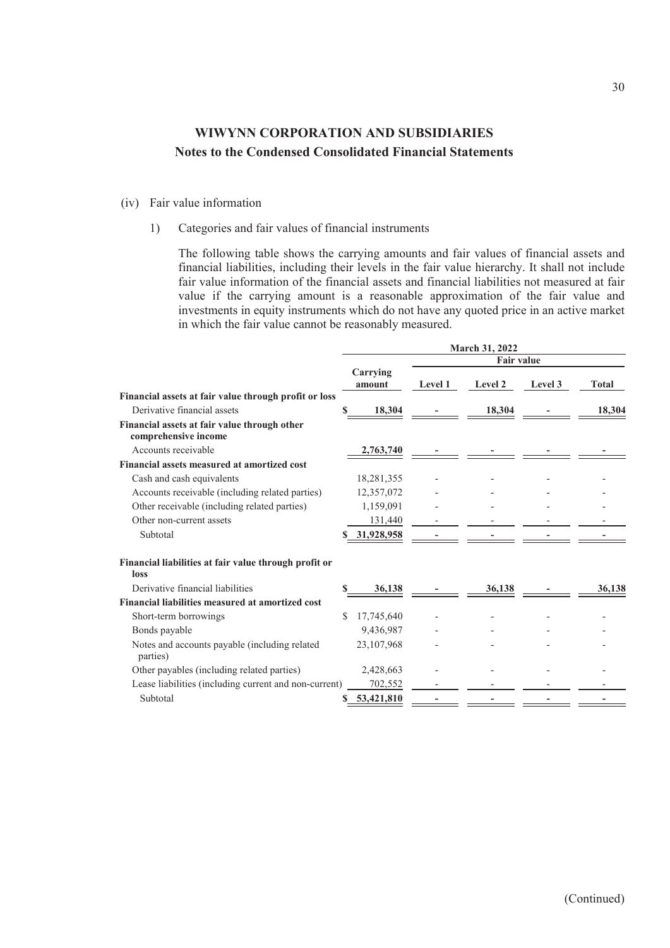- (iv) Fair value information
	- 1) Categories and fair values of financial instruments

The following table shows the carrying amounts and fair values of financial assets and financial liabilities, including their levels in the fair value hierarchy. It shall not include fair value information of the financial assets and financial liabilities not measured at fair value if the carrying amount is a reasonable approximation of the fair value and investments in equity instruments which do not have any quoted price in an active market in which the fair value cannot be reasonably measured.

|                                                                      |    |                    |         | March 31, 2022    |         |              |
|----------------------------------------------------------------------|----|--------------------|---------|-------------------|---------|--------------|
|                                                                      |    |                    |         | <b>Fair value</b> |         |              |
|                                                                      |    | Carrying<br>amount | Level 1 | Level 2           | Level 3 | <b>Total</b> |
| Financial assets at fair value through profit or loss                |    |                    |         |                   |         |              |
| Derivative financial assets                                          |    | 18,304             |         | 18,304            |         | 18,304       |
| Financial assets at fair value through other<br>comprehensive income |    |                    |         |                   |         |              |
| Accounts receivable                                                  |    | 2,763,740          |         |                   |         |              |
| Financial assets measured at amortized cost                          |    |                    |         |                   |         |              |
| Cash and cash equivalents                                            |    | 18,281,355         |         |                   |         |              |
| Accounts receivable (including related parties)                      |    | 12,357,072         |         |                   |         |              |
| Other receivable (including related parties)                         |    | 1,159,091          |         |                   |         |              |
| Other non-current assets                                             |    | 131,440            |         |                   |         |              |
| Subtotal                                                             |    | 31,928,958         |         |                   |         |              |
| Financial liabilities at fair value through profit or<br>loss        |    |                    |         |                   |         |              |
| Derivative financial liabilities                                     |    | 36,138             |         | 36,138            |         | 36.138       |
| Financial liabilities measured at amortized cost                     |    |                    |         |                   |         |              |
| Short-term borrowings                                                | \$ | 17,745,640         |         |                   |         |              |
| Bonds payable                                                        |    | 9,436,987          |         |                   |         |              |
| Notes and accounts payable (including related<br>parties)            |    | 23,107,968         |         |                   |         |              |
| Other payables (including related parties)                           |    | 2,428,663          |         |                   |         |              |
| Lease liabilities (including current and non-current)                |    | 702,552            |         |                   |         |              |
| Subtotal                                                             | S  | 53,421,810         |         |                   |         |              |
|                                                                      |    |                    |         |                   |         |              |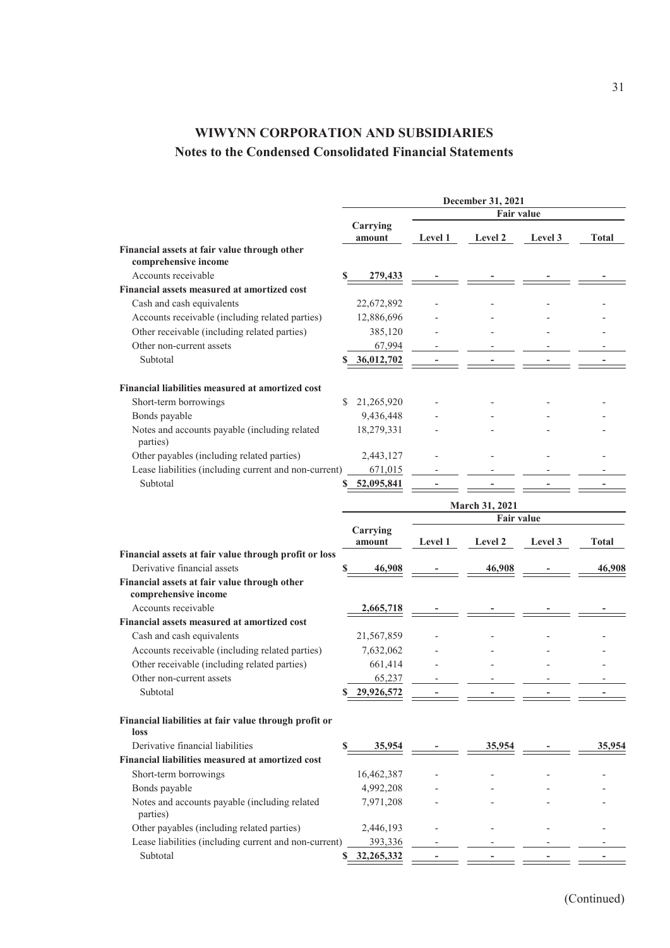|                                                                      |    |                    |                | December 31, 2021 |         |        |
|----------------------------------------------------------------------|----|--------------------|----------------|-------------------|---------|--------|
|                                                                      |    |                    |                | Fair value        |         |        |
|                                                                      |    | Carrying           |                |                   |         |        |
|                                                                      |    | amount             | <b>Level 1</b> | Level 2           | Level 3 | Total  |
| Financial assets at fair value through other<br>comprehensive income |    |                    |                |                   |         |        |
| Accounts receivable                                                  | S  | 279,433            |                |                   |         |        |
| Financial assets measured at amortized cost                          |    |                    |                |                   |         |        |
| Cash and cash equivalents                                            |    | 22,672,892         |                |                   |         |        |
| Accounts receivable (including related parties)                      |    | 12,886,696         |                |                   |         |        |
| Other receivable (including related parties)                         |    | 385,120            |                |                   |         |        |
| Other non-current assets                                             |    | 67,994             |                |                   |         |        |
| Subtotal                                                             |    | 36,012,702         |                |                   |         |        |
|                                                                      |    |                    |                |                   |         |        |
| Financial liabilities measured at amortized cost                     |    |                    |                |                   |         |        |
| Short-term borrowings                                                | S  | 21,265,920         |                |                   |         |        |
| Bonds payable                                                        |    | 9,436,448          |                |                   |         |        |
| Notes and accounts payable (including related                        |    | 18,279,331         |                |                   |         |        |
| parties)                                                             |    |                    |                |                   |         |        |
| Other payables (including related parties)                           |    | 2,443,127          |                |                   |         |        |
| Lease liabilities (including current and non-current)                |    | 671,015            |                |                   |         |        |
| Subtotal                                                             |    | 52,095,841         |                |                   |         |        |
|                                                                      |    |                    |                |                   |         |        |
|                                                                      |    |                    |                | March 31, 2021    |         |        |
|                                                                      |    |                    |                | <b>Fair value</b> |         |        |
|                                                                      |    | Carrying<br>amount | <b>Level 1</b> | Level 2           | Level 3 | Total  |
| Financial assets at fair value through profit or loss                |    |                    |                |                   |         |        |
| Derivative financial assets                                          | \$ | 46,908             |                | 46,908            |         | 46,908 |
| Financial assets at fair value through other                         |    |                    |                |                   |         |        |
| comprehensive income                                                 |    |                    |                |                   |         |        |
| Accounts receivable                                                  |    | 2,665,718          |                |                   |         |        |
| Financial assets measured at amortized cost                          |    |                    |                |                   |         |        |
| Cash and cash equivalents                                            |    | 21,567,859         |                |                   |         |        |
| Accounts receivable (including related parties)                      |    | 7,632,062          |                |                   |         |        |
| Other receivable (including related parties)                         |    | 661,414            |                |                   |         |        |
| Other non-current assets                                             |    | 65,237             |                |                   |         |        |
| Subtotal                                                             |    | 29,926,572         |                |                   |         |        |
|                                                                      |    |                    |                |                   |         |        |
| Financial liabilities at fair value through profit or                |    |                    |                |                   |         |        |
| loss                                                                 |    |                    |                |                   |         |        |
| Derivative financial liabilities                                     | \$ | 35,954             |                | 35,954            |         | 35,954 |
| Financial liabilities measured at amortized cost                     |    |                    |                |                   |         |        |
| Short-term borrowings                                                |    | 16,462,387         |                |                   |         |        |
| Bonds payable                                                        |    | 4,992,208          |                |                   |         |        |
| Notes and accounts payable (including related                        |    | 7,971,208          |                |                   |         |        |
| parties)                                                             |    |                    |                |                   |         |        |
| Other payables (including related parties)                           |    | 2,446,193          |                |                   |         |        |
| Lease liabilities (including current and non-current)                |    | 393,336            |                |                   |         |        |
| Subtotal                                                             |    | 32,265,332         |                |                   |         |        |
|                                                                      |    |                    |                |                   |         |        |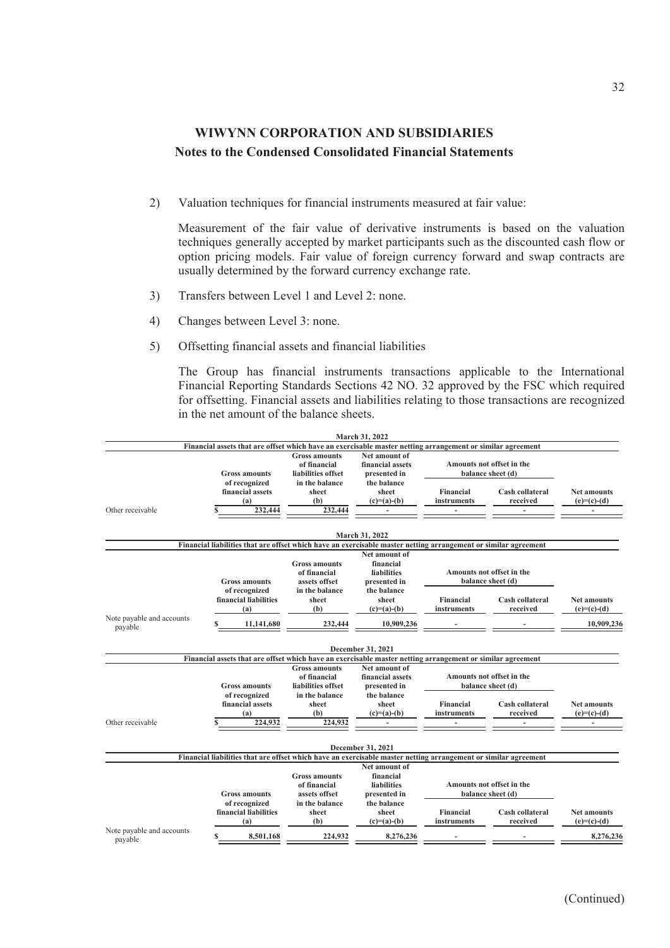2) Valuation techniques for financial instruments measured at fair value:

Measurement of the fair value of derivative instruments is based on the valuation techniques generally accepted by market participants such as the discounted cash flow or option pricing models. Fair value of foreign currency forward and swap contracts are usually determined by the forward currency exchange rate.

- 3) Transfers between Level 1 and Level 2: none.
- 4) Changes between Level 3: none.
- 5) Offsetting financial assets and financial liabilities

The Group has financial instruments transactions applicable to the International Financial Reporting Standards Sections 42 NO. 32 approved by the FSC which required for offsetting. Financial assets and liabilities relating to those transactions are recognized in the net amount of the balance sheets.

|                                      |                                                                                                                 |                                                            | March 31, 2022                                                   |                                                |                                                |                                     |
|--------------------------------------|-----------------------------------------------------------------------------------------------------------------|------------------------------------------------------------|------------------------------------------------------------------|------------------------------------------------|------------------------------------------------|-------------------------------------|
|                                      | Financial assets that are offset which have an exercisable master netting arrangement or similar agreement      |                                                            |                                                                  |                                                |                                                |                                     |
|                                      | <b>Gross amounts</b>                                                                                            | <b>Gross amounts</b><br>of financial<br>liabilities offset | Net amount of<br>financial assets<br>presented in                | Amounts not offset in the<br>balance sheet (d) |                                                |                                     |
|                                      | of recognized<br>financial assets<br>(a)                                                                        | in the balance<br>sheet<br>(b)                             | the balance<br>sheet<br>$(c)=(a)-(b)$                            | <b>Financial</b><br>instruments                | Cash collateral<br>received                    | <b>Net amounts</b><br>$(e)=(c)-(d)$ |
| Other receivable                     | 232,444                                                                                                         | 232,444                                                    |                                                                  |                                                |                                                |                                     |
|                                      |                                                                                                                 |                                                            | March 31, 2022                                                   |                                                |                                                |                                     |
|                                      | Financial liabilities that are offset which have an exercisable master netting arrangement or similar agreement |                                                            |                                                                  |                                                |                                                |                                     |
|                                      | <b>Gross amounts</b>                                                                                            | <b>Gross amounts</b><br>of financial<br>assets offset      | Net amount of<br>financial<br><b>liabilities</b><br>presented in |                                                | Amounts not offset in the<br>balance sheet (d) |                                     |
|                                      | of recognized<br>financial liabilities<br>(a)                                                                   | in the balance<br>sheet<br>(b)                             | the balance<br>sheet<br>$(c)=(a)-(b)$                            | <b>Financial</b><br>instruments                | Cash collateral<br>received                    | <b>Net amounts</b><br>$(e)=(c)-(d)$ |
| Note payable and accounts<br>payable | 11,141,680                                                                                                      | 232,444                                                    | 10.909.236                                                       |                                                |                                                | 10,909,236                          |
|                                      |                                                                                                                 |                                                            | December 31, 2021                                                |                                                |                                                |                                     |
|                                      | Financial assets that are offset which have an exercisable master netting arrangement or similar agreement      |                                                            |                                                                  |                                                |                                                |                                     |
|                                      | <b>Gross amounts</b>                                                                                            | <b>Gross amounts</b><br>of financial<br>liabilities offset | Net amount of<br>financial assets<br>presented in                |                                                | Amounts not offset in the<br>balance sheet (d) |                                     |
| Other receivable                     | of recognized<br>financial assets<br>(a)<br>224,932                                                             | in the balance<br>sheet<br>(b)<br>224,932                  | the balance<br>sheet<br>$(c)=(a)-(b)$                            | <b>Financial</b><br>instruments                | Cash collateral<br>received                    | <b>Net amounts</b><br>$(e)=(c)-(d)$ |
|                                      |                                                                                                                 |                                                            |                                                                  |                                                |                                                |                                     |
|                                      |                                                                                                                 |                                                            | December 31, 2021                                                |                                                |                                                |                                     |
|                                      | Financial liabilities that are offset which have an exercisable master netting arrangement or similar agreement |                                                            |                                                                  |                                                |                                                |                                     |
|                                      |                                                                                                                 | <b>Gross amounts</b><br>of financial                       | Net amount of<br>financial<br>liabilities                        |                                                | Amounts not offset in the                      |                                     |
|                                      | <b>Gross amounts</b><br>of recognized                                                                           | assets offset<br>in the balance                            | presented in<br>the balance                                      |                                                | balance sheet (d)                              |                                     |
|                                      | financial liabilities<br>(a)                                                                                    | sheet<br>(b)                                               | sheet<br>$(c)=(a)-(b)$                                           | <b>Financial</b><br>instruments                | Cash collateral<br>received                    | <b>Net amounts</b><br>$(e)=(c)-(d)$ |
| Note payable and accounts<br>payable | 8,501,168<br>S                                                                                                  | 224,932                                                    | 8,276,236                                                        |                                                |                                                | 8,276,236                           |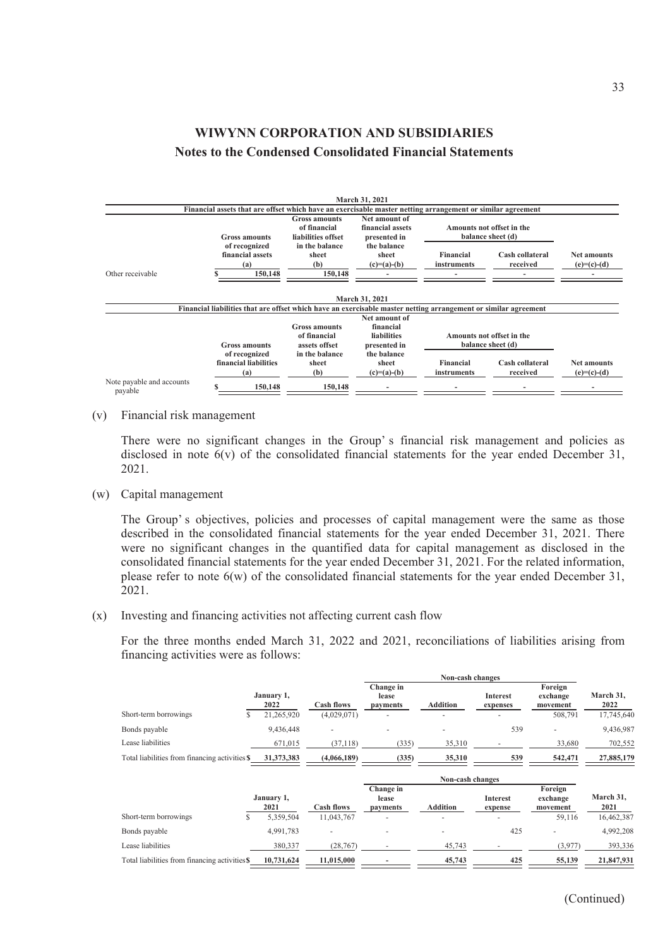|                           |                                                                                                                 |                                                            | March 31, 2021                                    |                                 |                                                |                                     |
|---------------------------|-----------------------------------------------------------------------------------------------------------------|------------------------------------------------------------|---------------------------------------------------|---------------------------------|------------------------------------------------|-------------------------------------|
|                           | Financial assets that are offset which have an exercisable master netting arrangement or similar agreement      |                                                            |                                                   |                                 |                                                |                                     |
|                           | <b>Gross amounts</b>                                                                                            | <b>Gross amounts</b><br>of financial<br>liabilities offset | Net amount of<br>financial assets<br>presented in |                                 | Amounts not offset in the<br>balance sheet (d) |                                     |
|                           | of recognized<br>financial assets<br>(a)                                                                        | in the balance<br>sheet<br>(b)                             | the balance<br>sheet<br>$(c)=(a)-(b)$             | <b>Financial</b><br>instruments | Cash collateral<br>received                    | <b>Net amounts</b><br>$(e)=(c)-(d)$ |
| Other receivable          | 150,148                                                                                                         | 150,148                                                    |                                                   |                                 |                                                |                                     |
|                           | Financial liabilities that are offset which have an exercisable master netting arrangement or similar agreement |                                                            | March 31, 2021<br>Net amount of                   |                                 |                                                |                                     |
|                           | Gross amounts                                                                                                   | <b>Gross amounts</b><br>of financial<br>assets offset      | financial<br><b>liabilities</b><br>presented in   |                                 | Amounts not offset in the<br>balance sheet (d) |                                     |
| Note payable and accounts | of recognized<br>financial liabilities<br>(a)                                                                   | in the balance<br>sheet<br>(b)                             | the balance<br>sheet<br>$(c)=(a)-(b)$             | Financial<br>instruments        | Cash collateral<br>received                    | <b>Net amounts</b><br>$(e)=(c)-(d)$ |
| payable                   | 150,148                                                                                                         | 150,148                                                    |                                                   |                                 |                                                |                                     |

(v) Financial risk management

There were no significant changes in the Group' s financial risk management and policies as disclosed in note 6(v) of the consolidated financial statements for the year ended December 31, 2021.

(w) Capital management

The Group's objectives, policies and processes of capital management were the same as those described in the consolidated financial statements for the year ended December 31, 2021. There were no significant changes in the quantified data for capital management as disclosed in the consolidated financial statements for the year ended December 31, 2021. For the related information, please refer to note 6(w) of the consolidated financial statements for the year ended December 31, 2021.

(x) Investing and financing activities not affecting current cash flow

For the three months ended March 31, 2022 and 2021, reconciliations of liabilities arising from financing activities were as follows:

|                                                |                    | Non-cash changes |                                |                 |                             |                                 |                   |
|------------------------------------------------|--------------------|------------------|--------------------------------|-----------------|-----------------------------|---------------------------------|-------------------|
|                                                | January 1,<br>2022 | Cash flows       | Change in<br>lease<br>payments | <b>Addition</b> | <b>Interest</b><br>expenses | Foreign<br>exchange<br>movement | March 31,<br>2022 |
| Short-term borrowings                          | 21,265,920         | (4,029,071)      |                                |                 |                             | 508,791                         | 17,745,640        |
| Bonds payable                                  | 9.436.448          |                  |                                |                 | 539                         |                                 | 9,436,987         |
| Lease liabilities                              | 671,015            | (37, 118)        | (335)                          | 35,310          |                             | 33,680                          | 702,552           |
| Total liabilities from financing activities \$ | 31,373,383         | (4,066,189)      | (335)                          | 35,310          | 539                         | 542,471                         | 27,885,179        |

|                                                |            | Non-cash changes  |                    |                 |                 |                     |            |  |
|------------------------------------------------|------------|-------------------|--------------------|-----------------|-----------------|---------------------|------------|--|
|                                                | January 1, |                   | Change in<br>lease |                 | <b>Interest</b> | Foreign<br>exchange | March 31,  |  |
|                                                | 2021       | <b>Cash flows</b> | payments           | <b>Addition</b> | expense         | movement            | 2021       |  |
| Short-term borrowings                          | 5,359,504  | 11,043,767        |                    |                 | -               | 59,116              | 16,462,387 |  |
| Bonds payable                                  | 4.991.783  |                   |                    |                 | 425             |                     | 4,992,208  |  |
| Lease liabilities                              | 380,337    | (28, 767)         |                    | 45,743          |                 | (3,977)             | 393,336    |  |
| Total liabilities from financing activities \$ | 10,731,624 | 11.015.000        |                    | 45,743          | 425             | 55,139              | 21,847,931 |  |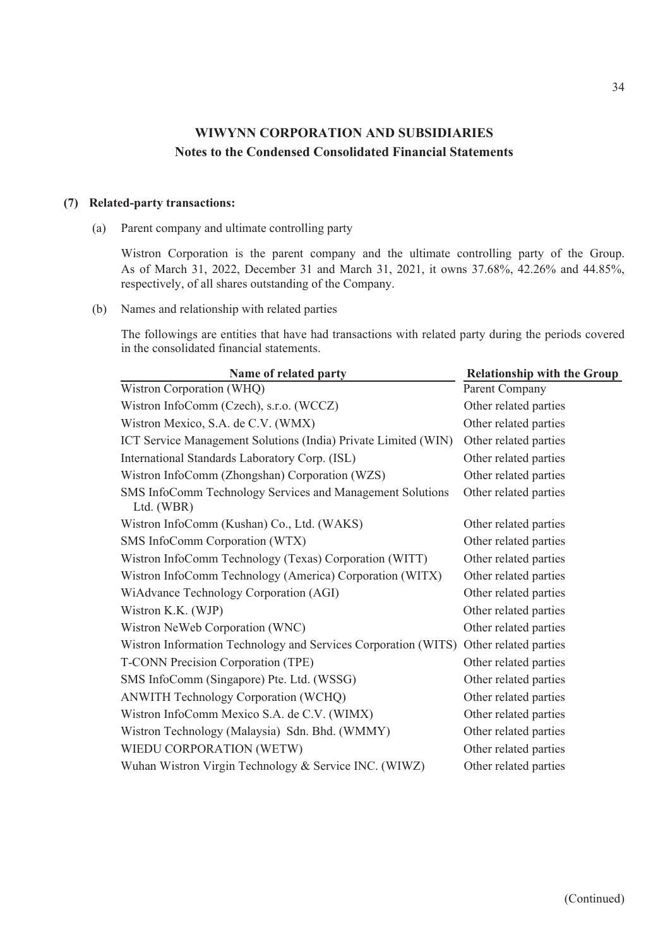### **(7) Related-party transactions:**

(a) Parent company and ultimate controlling party

Wistron Corporation is the parent company and the ultimate controlling party of the Group. As of March 31, 2022, December 31 and March 31, 2021, it owns 37.68%, 42.26% and 44.85%, respectively, of all shares outstanding of the Company.

(b) Names and relationship with related parties

The followings are entities that have had transactions with related party during the periods covered in the consolidated financial statements.

| Name of related party                                                   | <b>Relationship with the Group</b> |
|-------------------------------------------------------------------------|------------------------------------|
| Wistron Corporation (WHQ)                                               | Parent Company                     |
| Wistron InfoComm (Czech), s.r.o. (WCCZ)                                 | Other related parties              |
| Wistron Mexico, S.A. de C.V. (WMX)                                      | Other related parties              |
| ICT Service Management Solutions (India) Private Limited (WIN)          | Other related parties              |
| International Standards Laboratory Corp. (ISL)                          | Other related parties              |
| Wistron InfoComm (Zhongshan) Corporation (WZS)                          | Other related parties              |
| SMS InfoComm Technology Services and Management Solutions<br>Ltd. (WBR) | Other related parties              |
| Wistron InfoComm (Kushan) Co., Ltd. (WAKS)                              | Other related parties              |
| SMS InfoComm Corporation (WTX)                                          | Other related parties              |
| Wistron InfoComm Technology (Texas) Corporation (WITT)                  | Other related parties              |
| Wistron InfoComm Technology (America) Corporation (WITX)                | Other related parties              |
| WiAdvance Technology Corporation (AGI)                                  | Other related parties              |
| Wistron K.K. (WJP)                                                      | Other related parties              |
| Wistron NeWeb Corporation (WNC)                                         | Other related parties              |
| Wistron Information Technology and Services Corporation (WITS)          | Other related parties              |
| T-CONN Precision Corporation (TPE)                                      | Other related parties              |
| SMS InfoComm (Singapore) Pte. Ltd. (WSSG)                               | Other related parties              |
| ANWITH Technology Corporation (WCHQ)                                    | Other related parties              |
| Wistron InfoComm Mexico S.A. de C.V. (WIMX)                             | Other related parties              |
| Wistron Technology (Malaysia) Sdn. Bhd. (WMMY)                          | Other related parties              |
| WIEDU CORPORATION (WETW)                                                | Other related parties              |
| Wuhan Wistron Virgin Technology & Service INC. (WIWZ)                   | Other related parties              |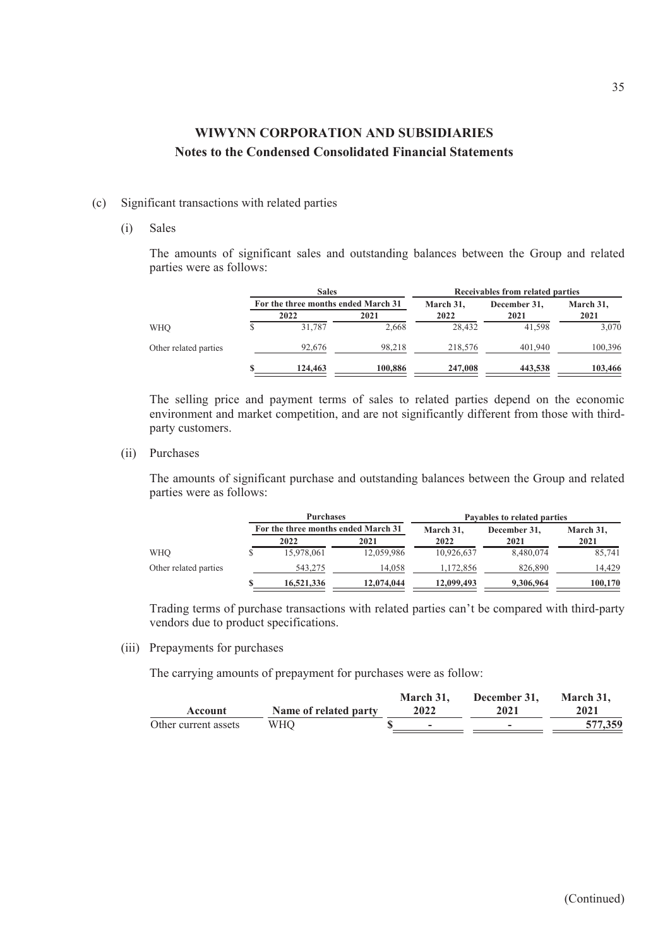- (c) Significant transactions with related parties
	- (i) Sales

The amounts of significant sales and outstanding balances between the Group and related parties were as follows:

|                       | <b>Sales</b>                        |         | Receivables from related parties |              |           |
|-----------------------|-------------------------------------|---------|----------------------------------|--------------|-----------|
|                       | For the three months ended March 31 |         | March 31,                        | December 31. | March 31, |
|                       | 2022                                | 2021    | 2022                             | 2021         | 2021      |
| WHO                   | 31.787                              | 2,668   | 28.432                           | 41.598       | 3,070     |
| Other related parties | 92,676                              | 98,218  | 218,576                          | 401.940      | 100,396   |
|                       | 124,463                             | 100,886 | 247,008                          | 443,538      | 103,466   |

The selling price and payment terms of sales to related parties depend on the economic environment and market competition, and are not significantly different from those with thirdparty customers.

(ii) Purchases

The amounts of significant purchase and outstanding balances between the Group and related parties were as follows:

|                       |   | <b>Purchases</b>                    |            | Payables to related parties |              |           |  |
|-----------------------|---|-------------------------------------|------------|-----------------------------|--------------|-----------|--|
|                       |   | For the three months ended March 31 |            | March 31,                   | December 31, | March 31, |  |
|                       |   | 2022                                | 2021       | 2022                        | 2021         | 2021      |  |
| <b>WHO</b>            |   | 15,978,061                          | 12,059,986 | 10,926,637                  | 8,480,074    | 85,741    |  |
| Other related parties |   | 543,275                             | 14.058     | 1,172,856                   | 826,890      | 14.429    |  |
|                       | S | 16,521,336                          | 12,074,044 | 12,099,493                  | 9,306,964    | 100,170   |  |

Trading terms of purchase transactions with related parties can't be compared with third-party vendors due to product specifications.

(iii) Prepayments for purchases

The carrying amounts of prepayment for purchases were as follow:

|                      |                       | March 31. | December 31, | March 31. |
|----------------------|-----------------------|-----------|--------------|-----------|
| Account              | Name of related party | 2022      | 2021         | 2021      |
| Other current assets | WHO                   | -         |              | 577,359   |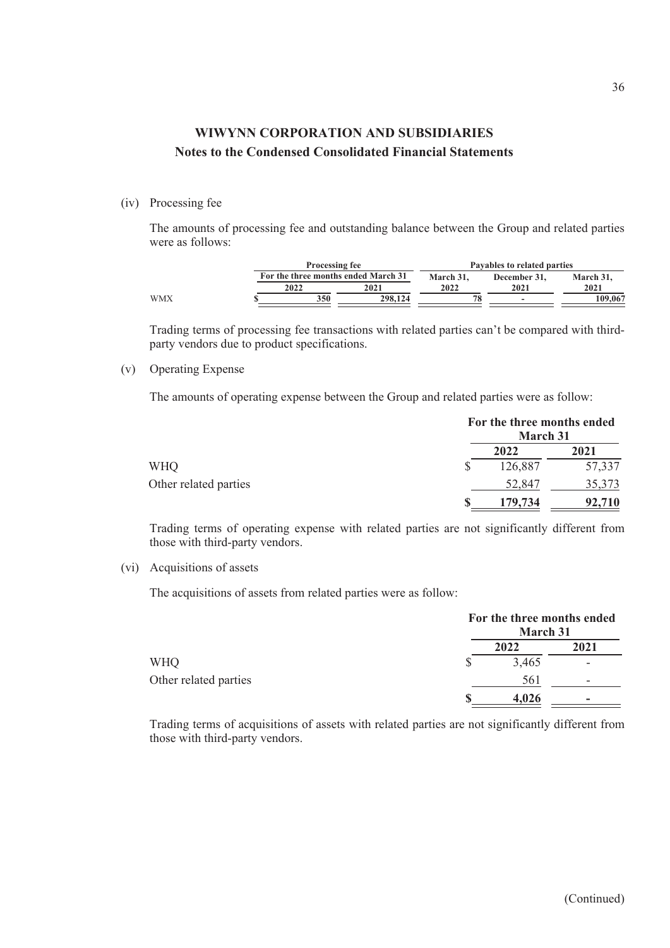#### (iv) Processing fee

The amounts of processing fee and outstanding balance between the Group and related parties were as follows:

|     |      | <b>Processing fee</b>               |      | Pavables to related parties |           |  |  |
|-----|------|-------------------------------------|------|-----------------------------|-----------|--|--|
|     |      | For the three months ended March 31 |      | December 31.                | March 31. |  |  |
|     | 2022 | 2021                                | 2022 | 2021                        | 2021      |  |  |
| WMX |      | 350<br>298,124                      | 78   | $\overline{\phantom{a}}$    | 109.067   |  |  |

Trading terms of processing fee transactions with related parties can't be compared with thirdparty vendors due to product specifications.

### (v) Operating Expense

The amounts of operating expense between the Group and related parties were as follow:

|                       | For the three months ended<br>March 31 |        |  |
|-----------------------|----------------------------------------|--------|--|
|                       | 2022                                   | 2021   |  |
| <b>WHQ</b>            | 126,887                                | 57,337 |  |
| Other related parties | 52,847                                 | 35,373 |  |
|                       | 179,734                                | 92,710 |  |

Trading terms of operating expense with related parties are not significantly different from those with third-party vendors.

#### (vi) Acquisitions of assets

The acquisitions of assets from related parties were as follow:

|                       | For the three months ended<br>March 31 |                          |
|-----------------------|----------------------------------------|--------------------------|
|                       | 2022                                   | 2021                     |
| <b>WHQ</b>            | 3,465                                  | $\overline{\phantom{0}}$ |
| Other related parties | 561                                    | -                        |
|                       | 4.026                                  | -                        |

Trading terms of acquisitions of assets with related parties are not significantly different from those with third-party vendors.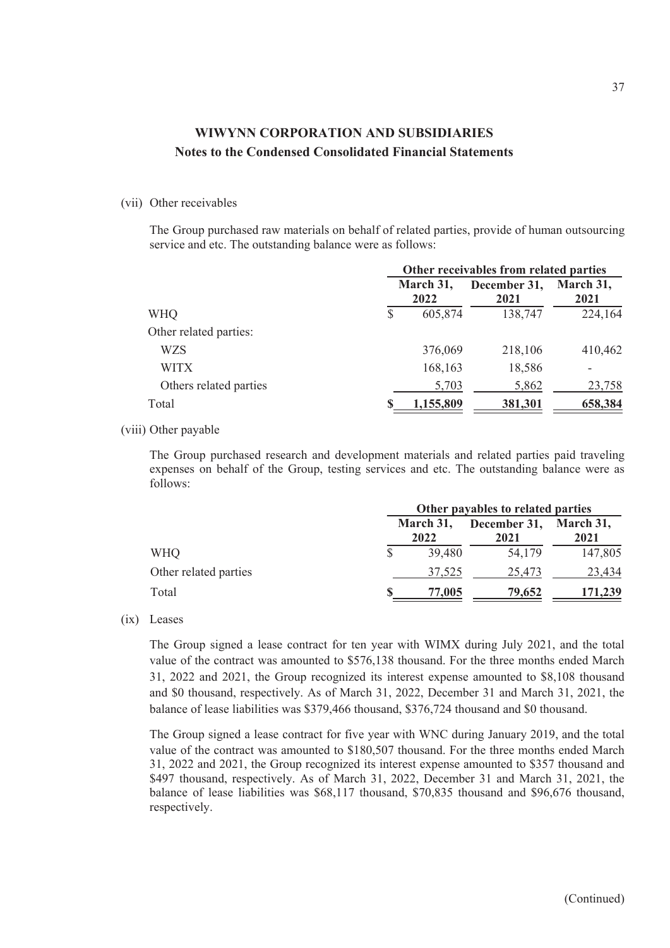### (vii) Other receivables

The Group purchased raw materials on behalf of related parties, provide of human outsourcing service and etc. The outstanding balance were as follows:

|                        | Other receivables from related parties |                      |                   |  |
|------------------------|----------------------------------------|----------------------|-------------------|--|
|                        | March 31,<br>2022                      | December 31,<br>2021 | March 31,<br>2021 |  |
| \$<br><b>WHQ</b>       | 605,874                                | 138,747              | 224,164           |  |
| Other related parties: |                                        |                      |                   |  |
| WZS                    | 376,069                                | 218,106              | 410,462           |  |
| <b>WITX</b>            | 168,163                                | 18,586               |                   |  |
| Others related parties | 5,703                                  | 5,862                | 23,758            |  |
| Total<br>\$            | 1,155,809                              | 381,301              | 658,384           |  |

### (viii) Other payable

The Group purchased research and development materials and related parties paid traveling expenses on behalf of the Group, testing services and etc. The outstanding balance were as follows:

|                       | Other payables to related parties |                      |                   |  |  |  |  |  |  |
|-----------------------|-----------------------------------|----------------------|-------------------|--|--|--|--|--|--|
|                       | March 31,<br>2022                 | December 31,<br>2021 | March 31,<br>2021 |  |  |  |  |  |  |
| WHO                   | 39,480                            | 54,179               | 147,805           |  |  |  |  |  |  |
| Other related parties | 37,525                            | 25,473               | 23,434            |  |  |  |  |  |  |
| Total                 | 77,005                            | 79,652               | 171,239           |  |  |  |  |  |  |

#### (ix) Leases

The Group signed a lease contract for ten year with WIMX during July 2021, and the total value of the contract was amounted to \$576,138 thousand. For the three months ended March 31, 2022 and 2021, the Group recognized its interest expense amounted to \$8,108 thousand and \$0 thousand, respectively. As of March 31, 2022, December 31 and March 31, 2021, the balance of lease liabilities was \$379,466 thousand, \$376,724 thousand and \$0 thousand.

The Group signed a lease contract for five year with WNC during January 2019, and the total value of the contract was amounted to \$180,507 thousand. For the three months ended March 31, 2022 and 2021, the Group recognized its interest expense amounted to \$357 thousand and \$497 thousand, respectively. As of March 31, 2022, December 31 and March 31, 2021, the balance of lease liabilities was \$68,117 thousand, \$70,835 thousand and \$96,676 thousand, respectively.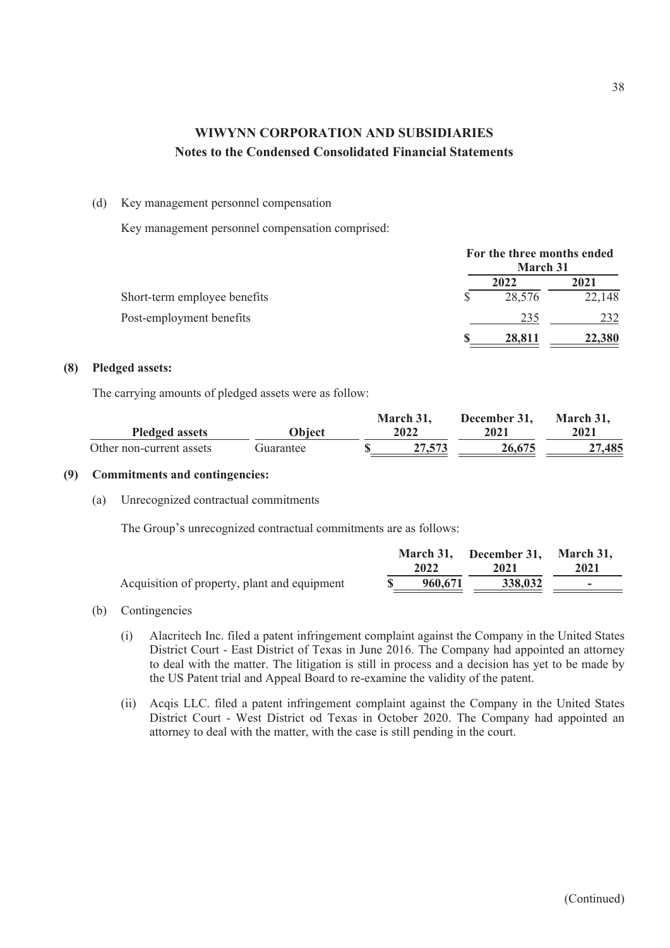### (d) Key management personnel compensation

Key management personnel compensation comprised:

|                              | For the three months ended<br><b>March 31</b> |        |
|------------------------------|-----------------------------------------------|--------|
|                              | 2022                                          | 2021   |
| Short-term employee benefits | 28,576                                        | 22,148 |
| Post-employment benefits     | 235                                           | 232    |
|                              | 28,811                                        | 22,380 |

### **(8) Pledged assets:**

The carrying amounts of pledged assets were as follow:

|                          |           | March 31, | December 31. | March 31. |
|--------------------------|-----------|-----------|--------------|-----------|
| <b>Pledged assets</b>    | Object    | 2022      | 2021         | 2021      |
| Other non-current assets | Guarantee | 27,573    | 26,675       | 27,485    |

### **(9) Commitments and contingencies:**

(a) Unrecognized contractual commitments

The Group's unrecognized contractual commitments are as follows:

|                                              | 2022    | March 31, December 31, March 31,<br>2021 | 2021 |
|----------------------------------------------|---------|------------------------------------------|------|
| Acquisition of property, plant and equipment | 960,671 | 338,032                                  |      |

### (b) Contingencies

- (i) Alacritech Inc. filed a patent infringement complaint against the Company in the United States District Court - East District of Texas in June 2016. The Company had appointed an attorney to deal with the matter. The litigation is still in process and a decision has yet to be made by the US Patent trial and Appeal Board to re-examine the validity of the patent.
- (ii) Acqis LLC. filed a patent infringement complaint against the Company in the United States District Court - West District od Texas in October 2020. The Company had appointed an attorney to deal with the matter, with the case is still pending in the court.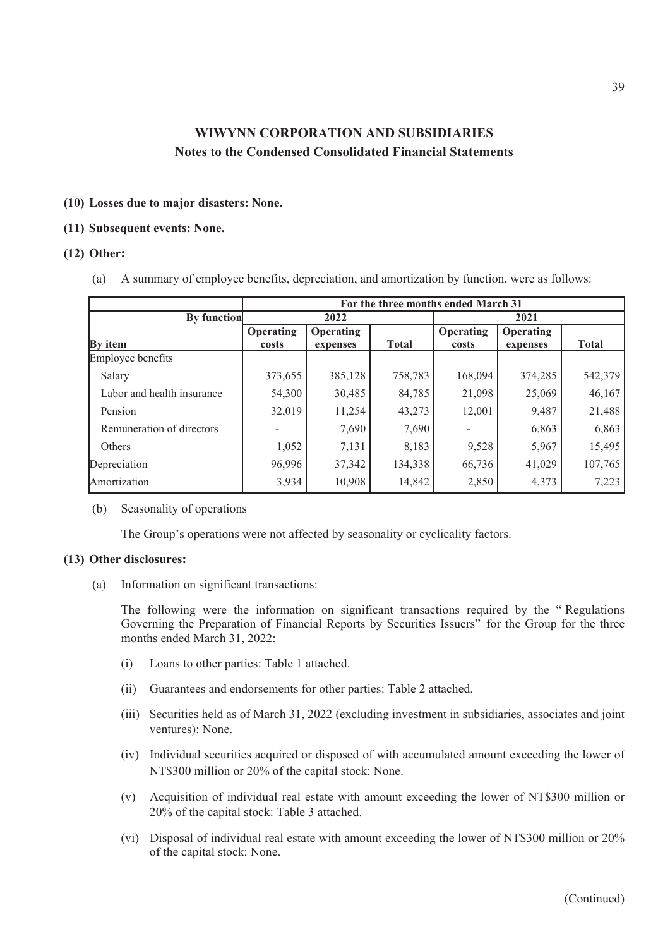### **(10) Losses due to major disasters: None.**

#### **(11) Subsequent events: None.**

### **(12) Other:**

(a) A summary of employee benefits, depreciation, and amortization by function, were as follows:

|                            |           |           |              | For the three months ended March 31 |           |              |
|----------------------------|-----------|-----------|--------------|-------------------------------------|-----------|--------------|
| <b>By function</b>         |           | 2022      |              |                                     | 2021      |              |
|                            | Operating | Operating |              | Operating                           | Operating |              |
| <b>By</b> item             | costs     | expenses  | <b>Total</b> | costs                               | expenses  | <b>Total</b> |
| Employee benefits          |           |           |              |                                     |           |              |
| Salary                     | 373,655   | 385,128   | 758,783      | 168,094                             | 374,285   | 542,379      |
| Labor and health insurance | 54,300    | 30,485    | 84,785       | 21,098                              | 25,069    | 46,167       |
| Pension                    | 32,019    | 11,254    | 43,273       | 12,001                              | 9,487     | 21,488       |
| Remuneration of directors  |           | 7,690     | 7,690        |                                     | 6,863     | 6,863        |
| <b>Others</b>              | 1,052     | 7,131     | 8,183        | 9,528                               | 5,967     | 15,495       |
| Depreciation               | 96,996    | 37,342    | 134,338      | 66,736                              | 41,029    | 107,765      |
| Amortization               | 3,934     | 10,908    | 14,842       | 2,850                               | 4,373     | 7,223        |

#### (b) Seasonality of operations

The Group's operations were not affected by seasonality or cyclicality factors.

### **(13) Other disclosures:**

(a) Information on significant transactions:

The following were the information on significant transactions required by the " Regulations Governing the Preparation of Financial Reports by Securities Issuers" for the Group for the three months ended March 31, 2022:

- (i) Loans to other parties: Table 1 attached.
- (ii) Guarantees and endorsements for other parties: Table 2 attached.
- (iii) Securities held as of March 31, 2022 (excluding investment in subsidiaries, associates and joint ventures): None.
- (iv) Individual securities acquired or disposed of with accumulated amount exceeding the lower of NT\$300 million or 20% of the capital stock: None.
- (v) Acquisition of individual real estate with amount exceeding the lower of NT\$300 million or 20% of the capital stock: Table 3 attached.
- (vi) Disposal of individual real estate with amount exceeding the lower of NT\$300 million or 20% of the capital stock: None.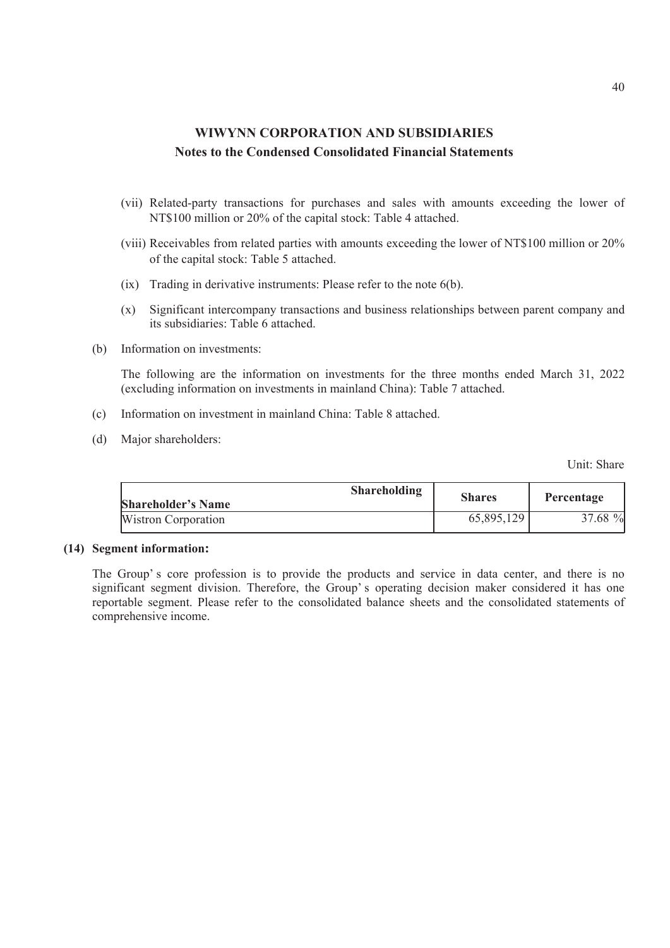- (vii) Related-party transactions for purchases and sales with amounts exceeding the lower of NT\$100 million or 20% of the capital stock: Table 4 attached.
- (viii) Receivables from related parties with amounts exceeding the lower of NT\$100 million or 20% of the capital stock: Table 5 attached.
- (ix) Trading in derivative instruments: Please refer to the note 6(b).
- (x) Significant intercompany transactions and business relationships between parent company and its subsidiaries: Table 6 attached.
- (b) Information on investments:

The following are the information on investments for the three months ended March 31, 2022 (excluding information on investments in mainland China): Table 7 attached.

- (c) Information on investment in mainland China: Table 8 attached.
- (d) Major shareholders:

Unit: Share

| <b>Shareholding</b><br><b>Shareholder's Name</b> | <b>Shares</b> | Percentage |
|--------------------------------------------------|---------------|------------|
| Wistron Corporation                              | 65,895,129    | 37.68 %    |

#### **(14) Segment information:**

The Group's core profession is to provide the products and service in data center, and there is no significant segment division. Therefore, the Group's operating decision maker considered it has one reportable segment. Please refer to the consolidated balance sheets and the consolidated statements of comprehensive income.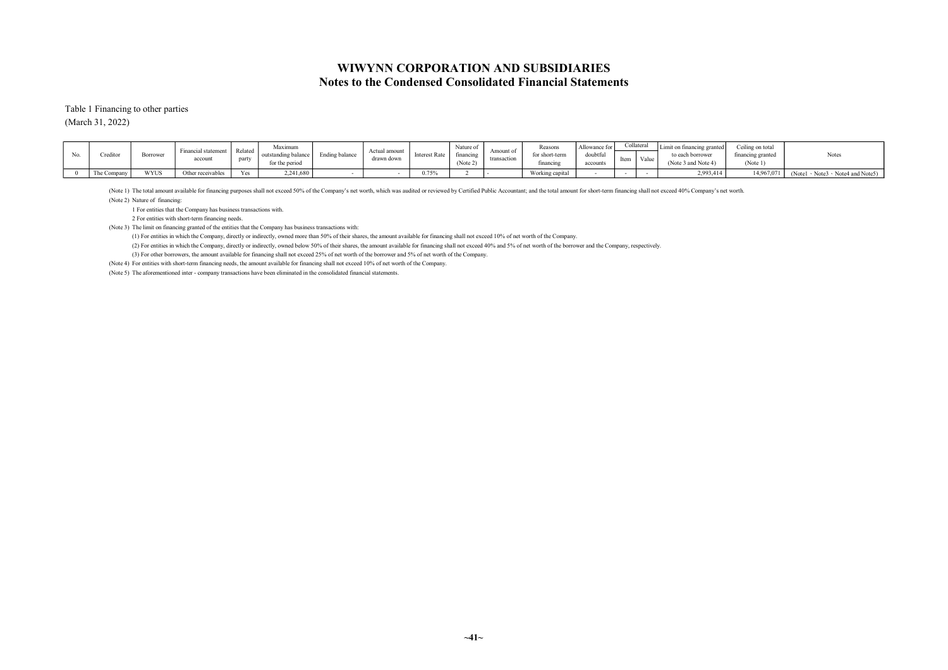Table 1 Financing to other parties (March 31, 2022)

| Creditor              | 3orrower    | Financial statement<br>account | $ -$<br>l Related<br>party | Maximum<br>for the period | Ending balance | Actual amount<br>drawn down | <b>Interest Rate</b> | $\sim$ $\sim$<br>Nature of<br>financing<br>(Note 2) | Amount of<br>transaction | Reason:<br>for short-terr<br>financing | Allowance for<br>doubtful<br>account | пеш | Collateral<br>Value | Limit on financing granted<br>to each borrower<br>(Note 3 and Note 4) | Ceiling on total<br>financing granted<br>(Note 1) | Notes                                       |
|-----------------------|-------------|--------------------------------|----------------------------|---------------------------|----------------|-----------------------------|----------------------|-----------------------------------------------------|--------------------------|----------------------------------------|--------------------------------------|-----|---------------------|-----------------------------------------------------------------------|---------------------------------------------------|---------------------------------------------|
| $\sim$<br>The Company | <b>WYUS</b> | Other receivables              | Yes                        | 2,241,680                 |                |                             | 0.75%                |                                                     |                          | Working capital                        |                                      |     |                     | 2,993,41                                                              | 14,967,071                                        | $(Note1 \cdot Note3 \cdot Note4 and Note5)$ |

(Note 1) The total amount available for financing purposes shall not exceed 50% of the Company's net worth, which was audited or reviewed by Certified Public Accountant; and the total amount for short-term financing shall

(Note 2) Nature of financing:

1 For entities that the Company has business transactions with.

2 For entities with short-term financing needs.

(Note 3) The limit on financing granted of the entities that the Company has business transactions with:

(1) For entities in which the Company, directly or indirectly, owned more than 50% of their shares, the amount available for financing shall not exceed 10% of net worth of the Company.

(2) For entities in which the Company, directly or indirectly, owned below 50% of their shares, the amount available for financing shall not exceed 40% and 5% of net worth of the borrower and the Company, respectively.

(3) For other borrowers, the amount available for financing shall not exceed 25% of net worth of the borrower and 5% of net worth of the Company.

(Note 4) For entities with short-term financing needs, the amount available for financing shall not exceed 10% of net worth of the Company.

(Note 5) The aforementioned inter - company transactions have been eliminated in the consolidated financial statements.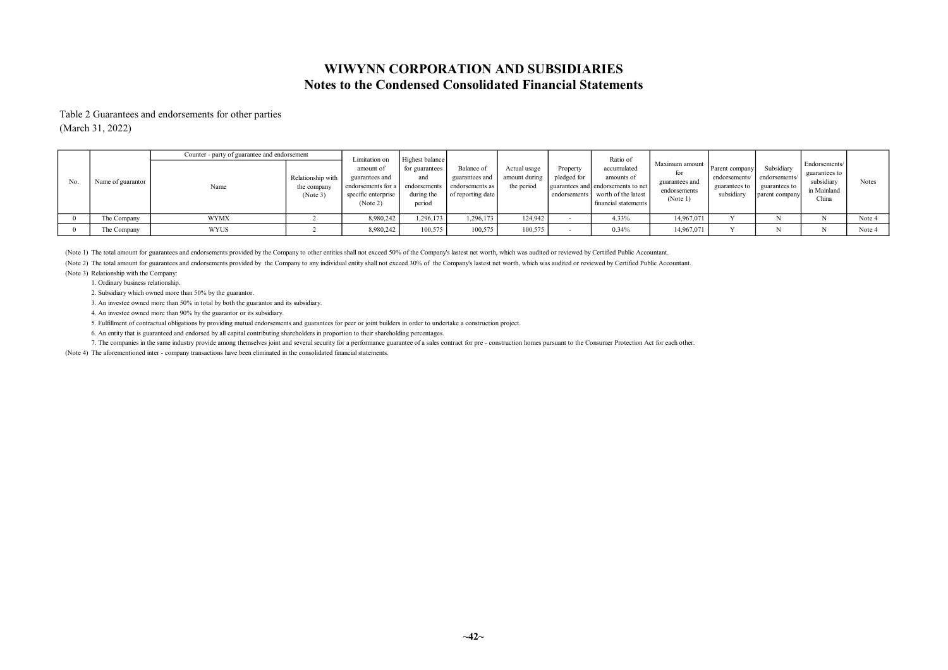### Notes to the Condensed Consolidated Financial Statements WIWYNN CORPORATION AND SUBSIDIARIES

Table 2 Guarantees and endorsements for other parties (March 31, 2022)

|     |                   | Counter - party of guarantee and endorsement |                                              | Limitation on                                                                        | Highest balance                               |                                                                                     |                                             |                         | Ratio of                                                                                                                    |                                                              |                                                                |                                                               |                                                                      |        |
|-----|-------------------|----------------------------------------------|----------------------------------------------|--------------------------------------------------------------------------------------|-----------------------------------------------|-------------------------------------------------------------------------------------|---------------------------------------------|-------------------------|-----------------------------------------------------------------------------------------------------------------------------|--------------------------------------------------------------|----------------------------------------------------------------|---------------------------------------------------------------|----------------------------------------------------------------------|--------|
| No. | Name of guarantor | Name                                         | Relationship with<br>the company<br>(Note 3) | amount of<br>guarantees and<br>endorsements for a<br>specific enterprise<br>(Note 2) | for guarantees<br>and<br>during the<br>period | Balance of<br>guarantees and<br>endorsements   endorsements as<br>of reporting date | Actual usage<br>amount during<br>the period | Property<br>pledged for | accumulated<br>amounts of<br>guarantees and endorsements to net<br>endorsements worth of the latest<br>financial statements | Maximum amount<br>guarantees and<br>endorsements<br>(Note 1) | Parent company<br>endorsements/<br>guarantees to<br>subsidiary | Subsidiary<br>endorsements<br>guarantees to<br>parent company | Endorsements/<br>guarantees to<br>subsidiary<br>in Mainland<br>China | Notes  |
|     | The Company       | <b>WYMX</b>                                  |                                              | 8,980,242                                                                            | 1,296,173                                     | 1,296,173                                                                           | 124,942                                     |                         | 4.33%                                                                                                                       | 14,967,071                                                   |                                                                |                                                               |                                                                      | Note 4 |
|     | The Company       | WYUS                                         |                                              | 8,980,242                                                                            | 100,575                                       | 100,575                                                                             | 100,575                                     |                         | 0.34%                                                                                                                       | 14,967,071                                                   |                                                                |                                                               |                                                                      | Note 4 |

(Note 1) The total amount for guarantees and endorsements provided by the Company to other entities shall not exceed 50% of the Company's lastest net worth, which was audited or reviewed by Certified Public Accountant.

(Note 2) The total amount for guarantees and endorsements provided by the Company to any individual entity shall not exceed 30% of the Company's lastest net worth, which was audited or reviewed by Certified Public Accounta

(Note 3) Relationship with the Company:

1. Ordinary business relationship.

2. Subsidiary which owned more than 50% by the guarantor.

3. An investee owned more than 50% in total by both the guarantor and its subsidiary.

4. An investee owned more than 90% by the guarantor or its subsidiary.

5. Fulfillment of contractual obligations by providing mutual endorsements and guarantees for peer or joint builders in order to undertake a construction project.

6. An entity that is guaranteed and endorsed by all capital contributing shareholders in proportion to their shareholding percentages.

7. The companies in the same industry provide among themselves joint and several security for a performance guarantee of a sales contract for pre - construction homes pursuant to the Consumer Protection Act for each other.

(Note 4) The aforementioned inter - company transactions have been eliminated in the consolidated financial statements.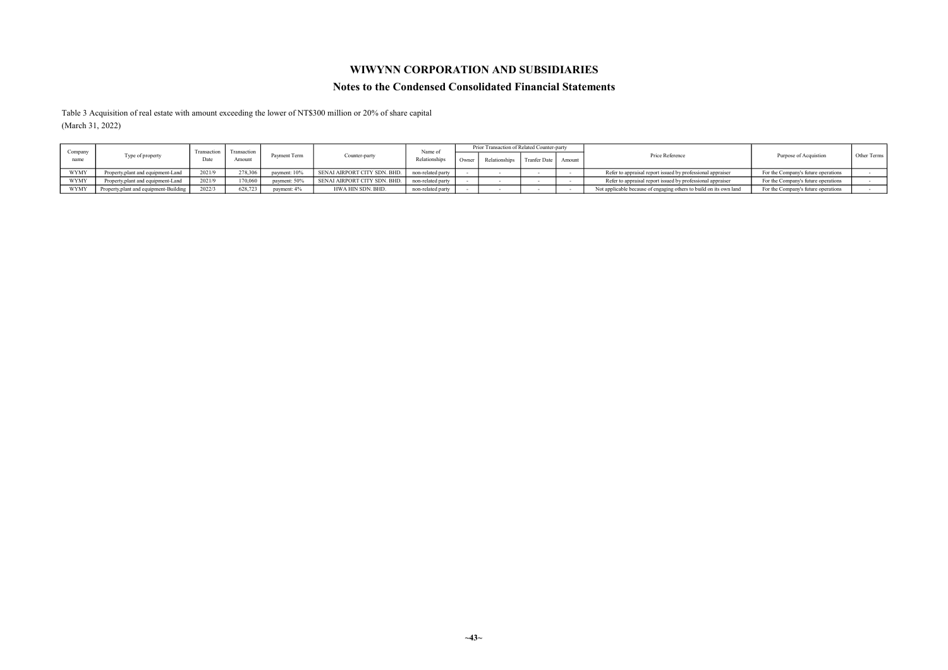### WIWYNN CORPORATION AND SUBSIDIARIES

#### Notes to the Condensed Consolidated Financial Statements

Table 3 Acquisition of real estate with amount exceeding the lower of NT\$300 million or 20% of share capital (March 31, 2022)

|                 |                                        |                     | Transaction |              |                              | Name of           | Prior Transaction of Related Counter-party |                       |                                                                    |                                     |             |
|-----------------|----------------------------------------|---------------------|-------------|--------------|------------------------------|-------------------|--------------------------------------------|-----------------------|--------------------------------------------------------------------|-------------------------------------|-------------|
| Company<br>name | Type of property                       | Transaction<br>Date | Amount      | Payment Term | Counter-party                | Relationships     | Relationships                              | Tranfer Date   Amount | Price Reference                                                    | Purpose of Acquistion               | Other Terms |
| <b>WYMY</b>     | Property, plant and equipment-Land     | 2021/9              | 278,306     | payment: 10% | SENAI AIRPORT CITY SDN. BHD. | non-related party |                                            |                       | Refer to appraisal report issued by professional appraiser         | For the Company's future operations |             |
| WYMY            | Property, plant and equipment-Land     | 2021/9              | 170,060     | payment: 50% | SENAI AIRPORT CITY SDN. BHD. | non-related party |                                            |                       | Refer to appraisal report issued by professional appraiser         | For the Company's future operations |             |
| <b>WYMY</b>     | Property, plant and equipment-Building | 2022/3              | 628,723     | payment: 4%  | HWA HIN SDN. BHD.            | non-related party |                                            |                       | Not applicable because of engaging others to build on its own land | For the Company's future operations |             |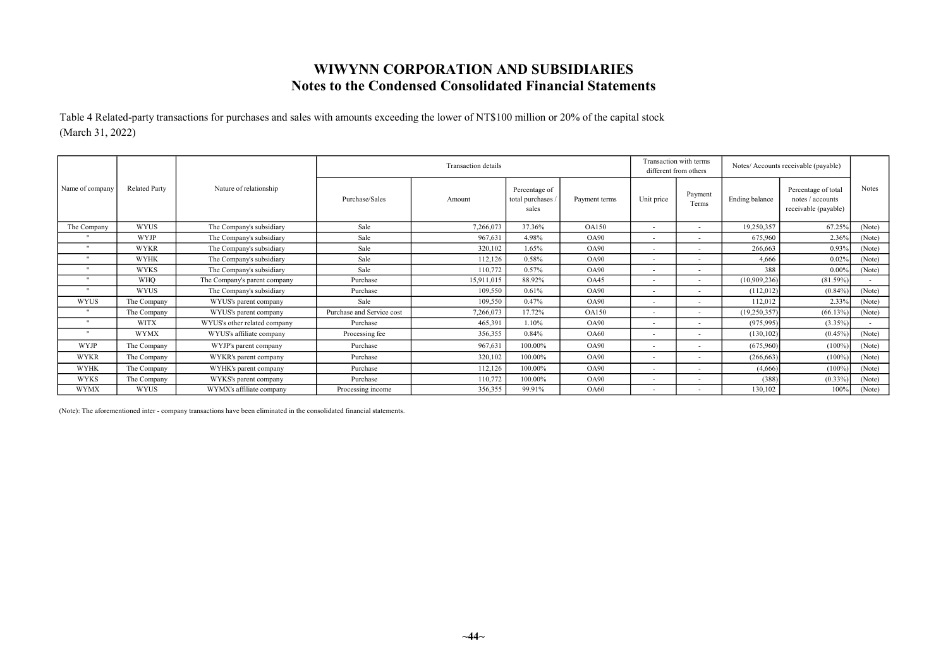## Notes to the Condensed Consolidated Financial Statements WIWYNN CORPORATION AND SUBSIDIARIES

Table 4 Related-party transactions for purchases and sales with amounts exceeding the lower of NT\$100 million or 20% of the capital stock (March 31, 2022)

|                      |                      |                              |                           | <b>Transaction</b> details |                                           |               |                          | Transaction with terms<br>different from others |                | Notes/ Accounts receivable (payable)                            |        |
|----------------------|----------------------|------------------------------|---------------------------|----------------------------|-------------------------------------------|---------------|--------------------------|-------------------------------------------------|----------------|-----------------------------------------------------------------|--------|
| Name of company      | <b>Related Party</b> | Nature of relationship       | Purchase/Sales            | Amount                     | Percentage of<br>total purchases<br>sales | Payment terms | Unit price               | Payment<br>Terms                                | Ending balance | Percentage of total<br>notes / accounts<br>receivable (payable) | Notes  |
| The Company          | <b>WYUS</b>          | The Company's subsidiary     | Sale                      | 7,266,073                  | 37.36%                                    | <b>OA150</b>  | $\overline{\phantom{a}}$ | <b>COL</b>                                      | 19,250,357     | 67.25%                                                          | (Note) |
|                      | <b>WYJP</b>          | The Company's subsidiary     | Sale                      | 967,631                    | 4.98%                                     | <b>OA90</b>   | ٠                        | $\sim$                                          | 675,960        | 2.36%                                                           | (Note) |
| $\cdot$              | <b>WYKR</b>          | The Company's subsidiary     | Sale                      | 320,102                    | 1.65%                                     | <b>OA90</b>   | ٠                        | $\sim$                                          | 266,663        | 0.93%                                                           | (Note) |
| $\ddot{\phantom{0}}$ | <b>WYHK</b>          | The Company's subsidiary     | Sale                      | 112,126                    | 0.58%                                     | OA90          | $\overline{\phantom{a}}$ | $\sim$                                          | 4,666          | 0.02%                                                           | (Note) |
| $\cdot$              | <b>WYKS</b>          | The Company's subsidiary     | Sale                      | 110,772                    | 0.57%                                     | <b>OA90</b>   | ۰                        | <b>COL</b>                                      | 388            | 0.009                                                           | (Note) |
| $^{\prime\prime}$    | <b>WHO</b>           | The Company's parent company | Purchase                  | 15,911,015                 | 88.92%                                    | OA45          | ٠                        | <b>COL</b>                                      | (10,909,236)   | (81.59%)                                                        | ×.     |
| $\mathbf{H}$         | <b>WYUS</b>          | The Company's subsidiary     | Purchase                  | 109,550                    | 0.61%                                     | <b>OA90</b>   | $\overline{\phantom{a}}$ | $\sim$                                          | (112,012)      | $(0.84\%)$                                                      | (Note) |
| <b>WYUS</b>          | The Company          | WYUS's parent company        | Sale                      | 109,550                    | 0.47%                                     | OA90          | ٠                        | $\sim$                                          | 112,012        | 2.33%                                                           | (Note) |
| $^{\prime}$          | The Company          | WYUS's parent company        | Purchase and Service cost | 7,266,073                  | 17.72%                                    | <b>OA150</b>  | ٠                        |                                                 | (19,250,357)   | (66.13%                                                         | (Note) |
| $\mathbf{H}$         | <b>WITX</b>          | WYUS's other related company | Purchase                  | 465,391                    | 1.10%                                     | <b>OA90</b>   | ۰                        |                                                 | (975, 995)     | $(3.35\%)$                                                      | $\sim$ |
| $\mathbf{H}$         | <b>WYMX</b>          | WYUS's affiliate company     | Processing fee            | 356,355                    | 0.84%                                     | <b>OA60</b>   | ٠                        |                                                 | (130, 102)     | (0.45%                                                          | (Note) |
| <b>WYJP</b>          | The Company          | WYJP's parent company        | Purchase                  | 967,631                    | 100.00%                                   | <b>OA90</b>   |                          |                                                 | (675,960)      | $(100\%)$                                                       | (Note) |
| <b>WYKR</b>          | The Company          | WYKR's parent company        | Purchase                  | 320,102                    | 100.00%                                   | <b>OA90</b>   | ٠                        | <b>COL</b>                                      | (266, 663)     | (100%                                                           | (Note) |
| <b>WYHK</b>          | The Company          | WYHK's parent company        | Purchase                  | 112,126                    | 100.00%                                   | <b>OA90</b>   | ٠                        | <b>COL</b>                                      | (4,666)        | (100%                                                           | (Note) |
| <b>WYKS</b>          | The Company          | WYKS's parent company        | Purchase                  | 110,772                    | 100.00%                                   | OA90          | ٠                        | <b>COL</b>                                      | (388)          | (0.33%                                                          | (Note) |
| <b>WYMX</b>          | <b>WYUS</b>          | WYMX's affiliate company     | Processing income         | 356,355                    | 99.91%                                    | <b>OA60</b>   |                          |                                                 | 130,102        | 100%                                                            | (Note) |

(Note): The aforementioned inter - company transactions have been eliminated in the consolidated financial statements.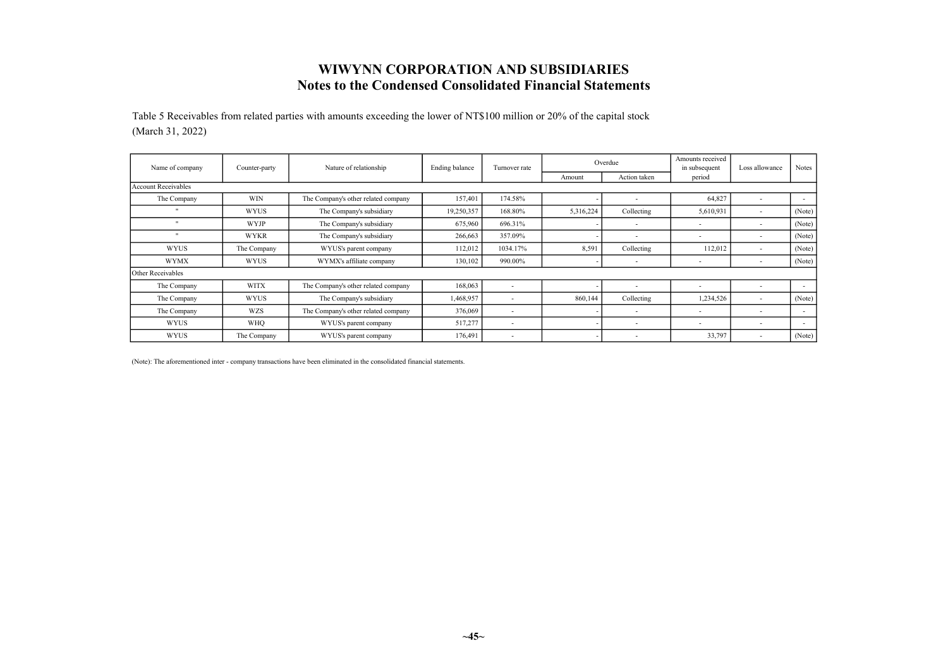Table 5 Receivables from related parties with amounts exceeding the lower of NT\$100 million or 20% of the capital stock (March 31, 2022)

| Name of company            | Counter-party | Nature of relationship              | Ending balance | Turnover rate            |           | Overdue                  | Amounts received<br>in subsequent | Loss allowance           | <b>Notes</b> |
|----------------------------|---------------|-------------------------------------|----------------|--------------------------|-----------|--------------------------|-----------------------------------|--------------------------|--------------|
|                            |               |                                     |                |                          | Amount    | Action taken             | period                            |                          |              |
| <b>Account Receivables</b> |               |                                     |                |                          |           |                          |                                   |                          |              |
| The Company                | <b>WIN</b>    | The Company's other related company | 157,401        | 174.58%                  |           |                          | 64,827                            | $\overline{\phantom{a}}$ | $\sim$       |
| $\mathbf{u}$               | <b>WYUS</b>   | The Company's subsidiary            | 19,250,357     | 168.80%                  | 5,316,224 | Collecting               | 5,610,931                         |                          | (Note)       |
|                            | <b>WYJP</b>   | The Company's subsidiary            | 675,960        | 696.31%                  |           |                          | $\overline{\phantom{a}}$          |                          | (Note)       |
| $\mathbf{u}$               | <b>WYKR</b>   | The Company's subsidiary            | 266,663        | 357.09%                  |           |                          | $\overline{\phantom{a}}$          |                          | (Note)       |
| <b>WYUS</b>                | The Company   | WYUS's parent company               | 112,012        | 1034.17%                 | 8,591     | Collecting               | 112,012                           |                          | (Note)       |
| <b>WYMX</b>                | <b>WYUS</b>   | WYMX's affiliate company            | 130,102        | 990.00%                  |           |                          | $\overline{\phantom{a}}$          |                          | (Note)       |
| Other Receivables          |               |                                     |                |                          |           |                          |                                   |                          |              |
| The Company                | <b>WITX</b>   | The Company's other related company | 168,063        | <b>.</b>                 |           |                          | $\overline{\phantom{a}}$          |                          | $\sim$       |
| The Company                | <b>WYUS</b>   | The Company's subsidiary            | 1,468,957      | $\overline{\phantom{a}}$ | 860,144   | Collecting               | 1,234,526                         |                          | (Note)       |
| The Company                | <b>WZS</b>    | The Company's other related company | 376,069        | $\overline{\phantom{0}}$ |           |                          | $\overline{\phantom{a}}$          |                          | $\sim$       |
| <b>WYUS</b>                | <b>WHO</b>    | WYUS's parent company               | 517,277        | $\overline{\phantom{a}}$ |           | $\overline{\phantom{a}}$ | $\sim$                            |                          | $\sim$       |
| <b>WYUS</b>                | The Company   | WYUS's parent company               | 176.491        | . .                      |           |                          | 33,797                            |                          | (Note)       |

(Note): The aforementioned inter - company transactions have been eliminated in the consolidated financial statements.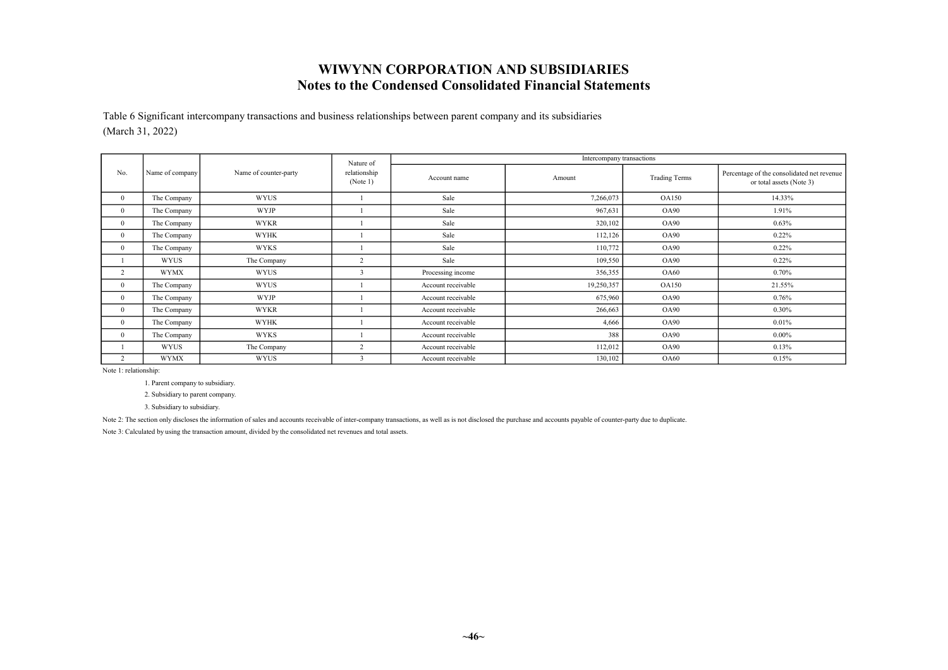Table 6 Significant intercompany transactions and business relationships between parent company and its subsidiaries (March 31, 2022)

|                          |                 |                       | Nature of                |                    | Intercompany transactions |                      |                                                                        |
|--------------------------|-----------------|-----------------------|--------------------------|--------------------|---------------------------|----------------------|------------------------------------------------------------------------|
| No.                      | Name of company | Name of counter-party | relationship<br>(Note 1) | Account name       | Amount                    | <b>Trading Terms</b> | Percentage of the consolidated net revenue<br>or total assets (Note 3) |
| $\mathbf{0}$             | The Company     | <b>WYUS</b>           |                          | Sale               | 7,266,073                 | <b>OA150</b>         | 14.33%                                                                 |
| $\Omega$                 | The Company     | <b>WYJP</b>           |                          | Sale               | 967,631                   | <b>OA90</b>          | 1.91%                                                                  |
| $\Omega$                 | The Company     | <b>WYKR</b>           |                          | Sale               | 320,102                   | <b>OA90</b>          | 0.63%                                                                  |
| $\Omega$                 | The Company     | <b>WYHK</b>           |                          | Sale               | 112,126                   | <b>OA90</b>          | 0.22%                                                                  |
| $\overline{0}$           | The Company     | WYKS                  |                          | Sale               | 110,772                   | <b>OA90</b>          | 0.22%                                                                  |
|                          | <b>WYUS</b>     | The Company           | $\overline{2}$           | Sale               | 109,550                   | <b>OA90</b>          | 0.22%                                                                  |
| $\overline{\phantom{a}}$ | <b>WYMX</b>     | <b>WYUS</b>           | $\mathbf{3}$             | Processing income  | 356,355                   | <b>OA60</b>          | 0.70%                                                                  |
| $\overline{0}$           | The Company     | <b>WYUS</b>           |                          | Account receivable | 19,250,357                | <b>OA150</b>         | 21.55%                                                                 |
| $\Omega$                 | The Company     | <b>WYJP</b>           |                          | Account receivable | 675,960                   | <b>OA90</b>          | 0.76%                                                                  |
| $\overline{0}$           | The Company     | <b>WYKR</b>           |                          | Account receivable | 266,663                   | <b>OA90</b>          | 0.30%                                                                  |
| $\overline{0}$           | The Company     | <b>WYHK</b>           |                          | Account receivable | 4,666                     | <b>OA90</b>          | 0.01%                                                                  |
| $\Omega$                 | The Company     | WYKS                  |                          | Account receivable | 388                       | OA90                 | $0.00\%$                                                               |
|                          | WYUS            | The Company           | 2                        | Account receivable | 112,012                   | <b>OA90</b>          | 0.13%                                                                  |
| $\sim$                   | <b>WYMX</b>     | <b>WYUS</b>           |                          | Account receivable | 130,102                   | <b>OA60</b>          | 0.15%                                                                  |

Note 1: relationship:

1. Parent company to subsidiary.

2. Subsidiary to parent company.

3. Subsidiary to subsidiary.

Note 2: The section only discloses the information of sales and accounts receivable of inter-company transactions, as well as is not disclosed the purchase and accounts payable of counter-party due to duplicate.

Note 3: Calculated by using the transaction amount, divided by the consolidated net revenues and total assets.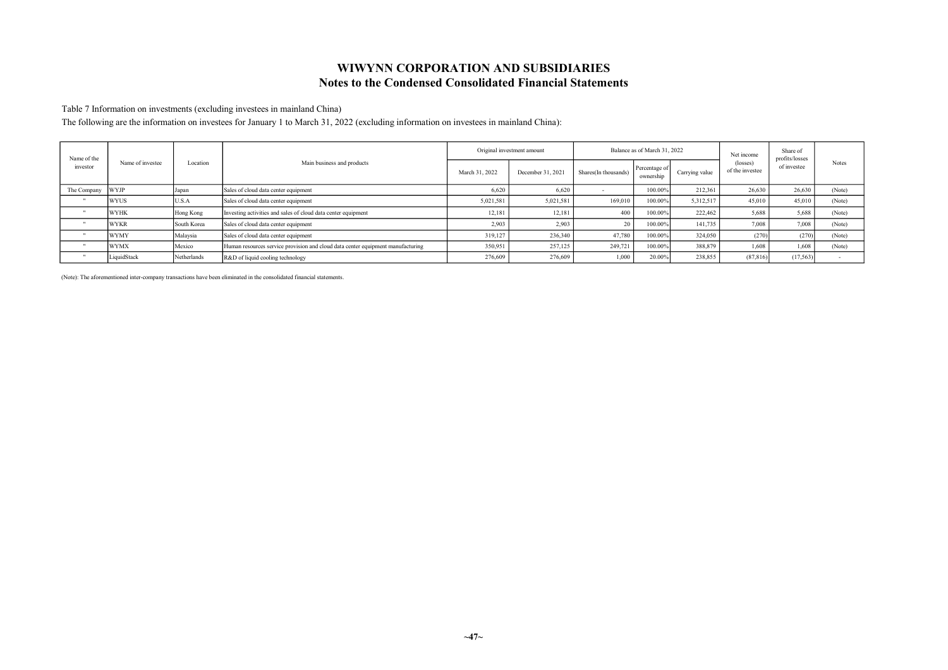Table 7 Information on investments (excluding investees in mainland China)

The following are the information on investees for January 1 to March 31, 2022 (excluding information on investees in mainland China):

| Name of the<br>investor | Name of investee | Location    | Main business and products                                                      | Original investment amount |                   | Balance as of March 31, 2022 |                            |                | Net income                  | Share of<br>profits/losses |              |
|-------------------------|------------------|-------------|---------------------------------------------------------------------------------|----------------------------|-------------------|------------------------------|----------------------------|----------------|-----------------------------|----------------------------|--------------|
|                         |                  |             |                                                                                 | March 31, 2022             | December 31, 2021 | Shares(In thousands)         | Percentage of<br>ownership | Carrying value | (losses)<br>of the investee | of investee                | <b>Notes</b> |
| The Company             | <b>WYJP</b>      | Japan       | Sales of cloud data center equipment                                            | 6.620                      | 6.620             |                              | 100.00%                    | 212,361        | 26,630                      | 26,630                     | (Note)       |
|                         | <b>WYUS</b>      | U.S.A       | Sales of cloud data center equipment                                            | 5,021,581                  | 5,021,581         | 169,010                      | 100.00%                    | 5.312.517      | 45,010                      | 45,010                     | (Note)       |
|                         | <b>WYHK</b>      | Hong Kong   | Investing activities and sales of cloud data center equipment                   | 12.18                      | 12.181            | 400                          | 100.00%                    | 222,462        | 5.688                       | 5.688                      | (Note)       |
|                         | <b>WYKR</b>      | South Korea | Sales of cloud data center equipment                                            | 2,903                      | 2.903             | 20                           | 100.00%                    | 141,735        | 7,008                       | 7.008                      | (Note)       |
|                         | <b>WYMY</b>      | Malaysia    | Sales of cloud data center equipment                                            | 319.127                    | 236,340           | 47,780                       | 100.00%                    | 324,050        | (270)                       | (270)                      | (Note)       |
|                         | <b>WYMX</b>      | Mexico      | Human resources service provision and cloud data center equipment manufacturing | 350,951                    | 257,125           | 249,721                      | 100.00%                    | 388,879        | 1.608                       | 1.608                      | (Note)       |
|                         | LiquidStack      | Netherlands | R&D of liquid cooling technology                                                | 276,609                    | 276,609           | 1,000                        | 20.009                     | 238,855        | (87, 816)                   | (17,563)                   |              |

(Note): The aforementioned inter-company transactions have been eliminated in the consolidated financial statements.